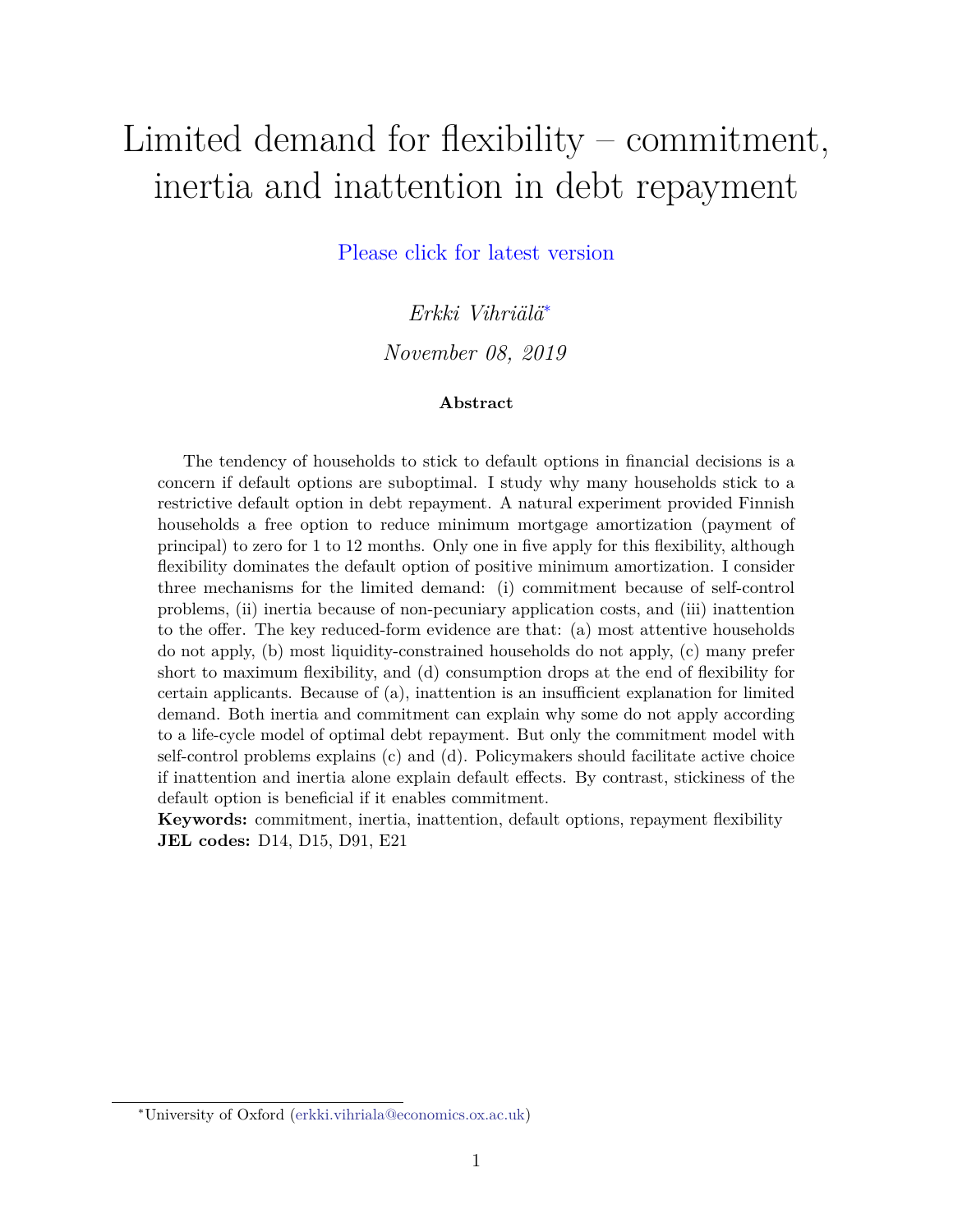# <span id="page-0-0"></span>Limited demand for flexibility – commitment, inertia and inattention in debt repayment

[Please click for latest version](https://vihriala.rbind.io/files/limitedDemandJMP.pdf)

*Erkki Vihriälä*<sup>∗</sup>

*November 08, 2019*

#### **Abstract**

The tendency of households to stick to default options in financial decisions is a concern if default options are suboptimal. I study why many households stick to a restrictive default option in debt repayment. A natural experiment provided Finnish households a free option to reduce minimum mortgage amortization (payment of principal) to zero for 1 to 12 months. Only one in five apply for this flexibility, although flexibility dominates the default option of positive minimum amortization. I consider three mechanisms for the limited demand: (i) commitment because of self-control problems, (ii) inertia because of non-pecuniary application costs, and (iii) inattention to the offer. The key reduced-form evidence are that: (a) most attentive households do not apply, (b) most liquidity-constrained households do not apply, (c) many prefer short to maximum flexibility, and (d) consumption drops at the end of flexibility for certain applicants. Because of (a), inattention is an insufficient explanation for limited demand. Both inertia and commitment can explain why some do not apply according to a life-cycle model of optimal debt repayment. But only the commitment model with self-control problems explains (c) and (d). Policymakers should facilitate active choice if inattention and inertia alone explain default effects. By contrast, stickiness of the default option is beneficial if it enables commitment.

**Keywords:** commitment, inertia, inattention, default options, repayment flexibility **JEL codes:** D14, D15, D91, E21

<sup>∗</sup>University of Oxford [\(erkki.vihriala@economics.ox.ac.uk\)](mailto:erkki.vihriala@economics.ox.ac.uk)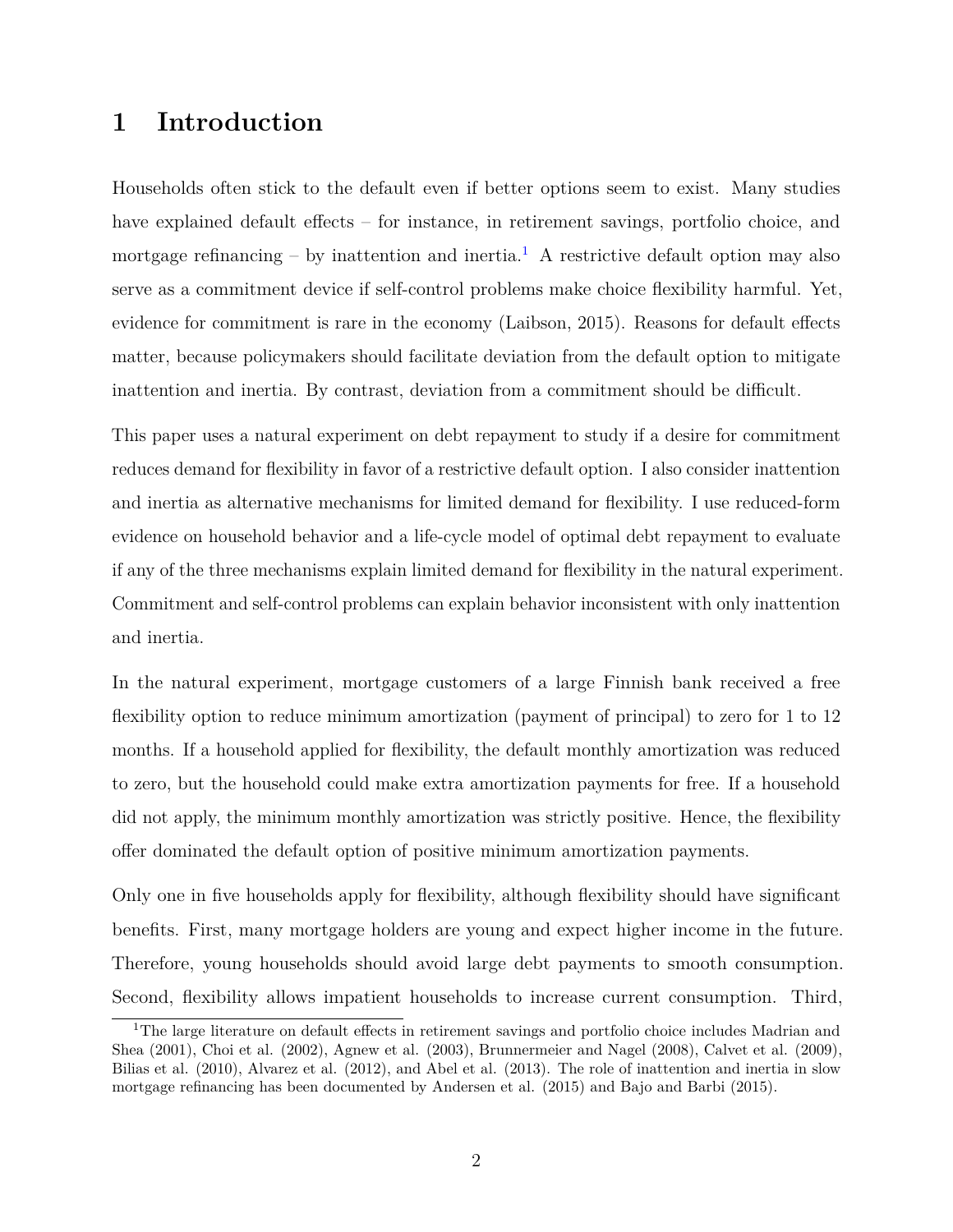# **1 Introduction**

Households often stick to the default even if better options seem to exist. Many studies have explained default effects – for instance, in retirement savings, portfolio choice, and mortgage refinancing – by inattention and inertia.<sup>[1](#page-0-0)</sup> A restrictive default option may also serve as a commitment device if self-control problems make choice flexibility harmful. Yet, evidence for commitment is rare in the economy (Laibson, 2015). Reasons for default effects matter, because policymakers should facilitate deviation from the default option to mitigate inattention and inertia. By contrast, deviation from a commitment should be difficult.

This paper uses a natural experiment on debt repayment to study if a desire for commitment reduces demand for flexibility in favor of a restrictive default option. I also consider inattention and inertia as alternative mechanisms for limited demand for flexibility. I use reduced-form evidence on household behavior and a life-cycle model of optimal debt repayment to evaluate if any of the three mechanisms explain limited demand for flexibility in the natural experiment. Commitment and self-control problems can explain behavior inconsistent with only inattention and inertia.

In the natural experiment, mortgage customers of a large Finnish bank received a free flexibility option to reduce minimum amortization (payment of principal) to zero for 1 to 12 months. If a household applied for flexibility, the default monthly amortization was reduced to zero, but the household could make extra amortization payments for free. If a household did not apply, the minimum monthly amortization was strictly positive. Hence, the flexibility offer dominated the default option of positive minimum amortization payments.

Only one in five households apply for flexibility, although flexibility should have significant benefits. First, many mortgage holders are young and expect higher income in the future. Therefore, young households should avoid large debt payments to smooth consumption. Second, flexibility allows impatient households to increase current consumption. Third,

<sup>&</sup>lt;sup>1</sup>The large literature on default effects in retirement savings and portfolio choice includes Madrian and Shea (2001), Choi et al. (2002), Agnew et al. (2003), Brunnermeier and Nagel (2008), Calvet et al. (2009), Bilias et al. (2010), Alvarez et al. (2012), and Abel et al. (2013). The role of inattention and inertia in slow mortgage refinancing has been documented by Andersen et al. (2015) and Bajo and Barbi (2015).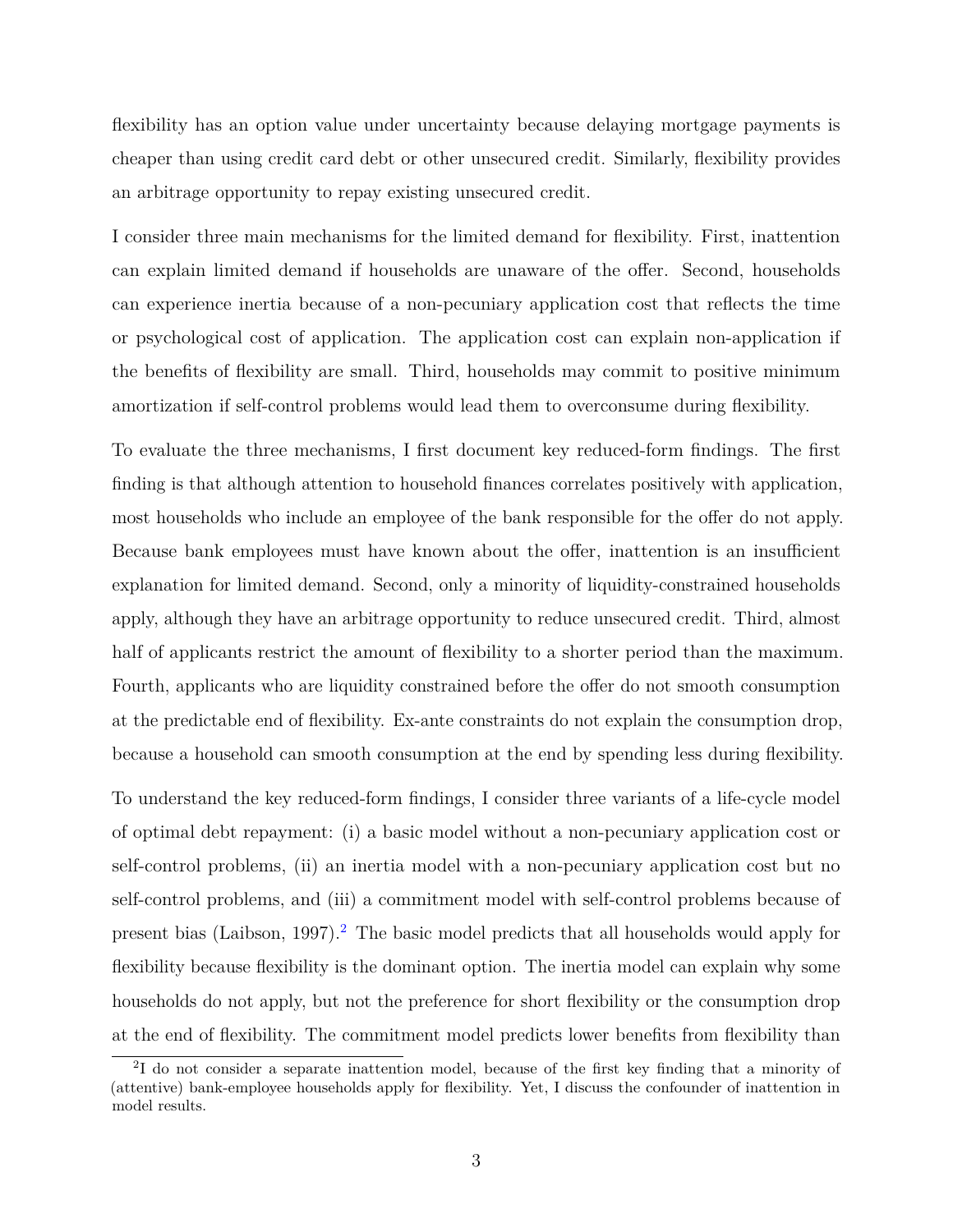flexibility has an option value under uncertainty because delaying mortgage payments is cheaper than using credit card debt or other unsecured credit. Similarly, flexibility provides an arbitrage opportunity to repay existing unsecured credit.

I consider three main mechanisms for the limited demand for flexibility. First, inattention can explain limited demand if households are unaware of the offer. Second, households can experience inertia because of a non-pecuniary application cost that reflects the time or psychological cost of application. The application cost can explain non-application if the benefits of flexibility are small. Third, households may commit to positive minimum amortization if self-control problems would lead them to overconsume during flexibility.

To evaluate the three mechanisms, I first document key reduced-form findings. The first finding is that although attention to household finances correlates positively with application, most households who include an employee of the bank responsible for the offer do not apply. Because bank employees must have known about the offer, inattention is an insufficient explanation for limited demand. Second, only a minority of liquidity-constrained households apply, although they have an arbitrage opportunity to reduce unsecured credit. Third, almost half of applicants restrict the amount of flexibility to a shorter period than the maximum. Fourth, applicants who are liquidity constrained before the offer do not smooth consumption at the predictable end of flexibility. Ex-ante constraints do not explain the consumption drop, because a household can smooth consumption at the end by spending less during flexibility.

To understand the key reduced-form findings, I consider three variants of a life-cycle model of optimal debt repayment: (i) a basic model without a non-pecuniary application cost or self-control problems, (ii) an inertia model with a non-pecuniary application cost but no self-control problems, and (iii) a commitment model with self-control problems because of present bias (Laibson, 1997).<sup>[2](#page-0-0)</sup> The basic model predicts that all households would apply for flexibility because flexibility is the dominant option. The inertia model can explain why some households do not apply, but not the preference for short flexibility or the consumption drop at the end of flexibility. The commitment model predicts lower benefits from flexibility than

<sup>2</sup> I do not consider a separate inattention model, because of the first key finding that a minority of (attentive) bank-employee households apply for flexibility. Yet, I discuss the confounder of inattention in model results.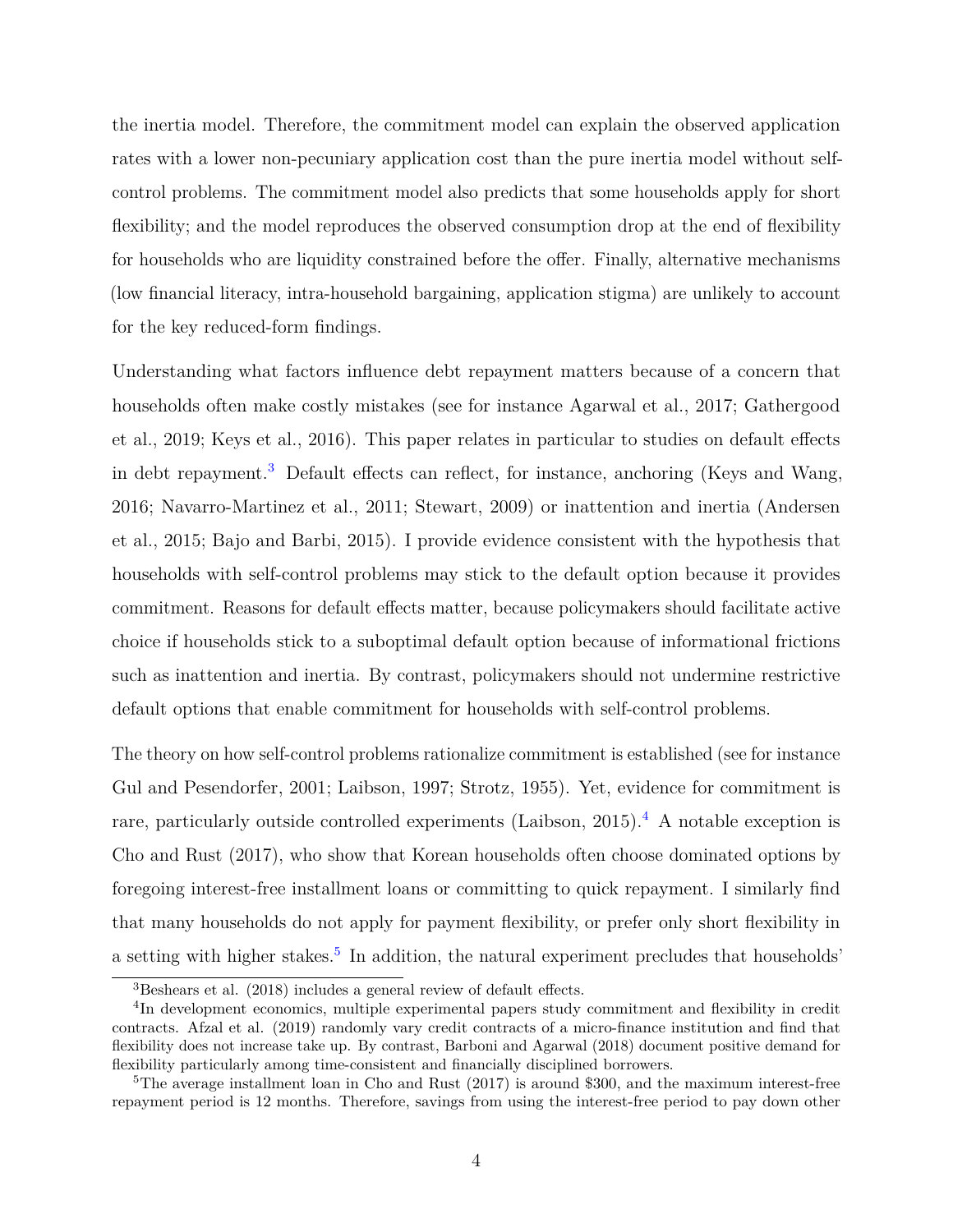the inertia model. Therefore, the commitment model can explain the observed application rates with a lower non-pecuniary application cost than the pure inertia model without selfcontrol problems. The commitment model also predicts that some households apply for short flexibility; and the model reproduces the observed consumption drop at the end of flexibility for households who are liquidity constrained before the offer. Finally, alternative mechanisms (low financial literacy, intra-household bargaining, application stigma) are unlikely to account for the key reduced-form findings.

Understanding what factors influence debt repayment matters because of a concern that households often make costly mistakes (see for instance Agarwal et al., 2017; Gathergood et al., 2019; Keys et al., 2016). This paper relates in particular to studies on default effects in debt repayment.<sup>[3](#page-0-0)</sup> Default effects can reflect, for instance, anchoring (Keys and Wang, 2016; Navarro-Martinez et al., 2011; Stewart, 2009) or inattention and inertia (Andersen et al., 2015; Bajo and Barbi, 2015). I provide evidence consistent with the hypothesis that households with self-control problems may stick to the default option because it provides commitment. Reasons for default effects matter, because policymakers should facilitate active choice if households stick to a suboptimal default option because of informational frictions such as inattention and inertia. By contrast, policymakers should not undermine restrictive default options that enable commitment for households with self-control problems.

The theory on how self-control problems rationalize commitment is established (see for instance Gul and Pesendorfer, 2001; Laibson, 1997; Strotz, 1955). Yet, evidence for commitment is rare, particularly outside controlled experiments (Laibson, 2015).<sup>[4](#page-0-0)</sup> A notable exception is Cho and Rust (2017), who show that Korean households often choose dominated options by foregoing interest-free installment loans or committing to quick repayment. I similarly find that many households do not apply for payment flexibility, or prefer only short flexibility in a setting with higher stakes.<sup>[5](#page-0-0)</sup> In addition, the natural experiment precludes that households'

 $3$ Beshears et al. (2018) includes a general review of default effects.

<sup>&</sup>lt;sup>4</sup>In development economics, multiple experimental papers study commitment and flexibility in credit contracts. Afzal et al. (2019) randomly vary credit contracts of a micro-finance institution and find that flexibility does not increase take up. By contrast, Barboni and Agarwal (2018) document positive demand for flexibility particularly among time-consistent and financially disciplined borrowers.

<sup>&</sup>lt;sup>5</sup>The average installment loan in Cho and Rust  $(2017)$  is around \$300, and the maximum interest-free repayment period is 12 months. Therefore, savings from using the interest-free period to pay down other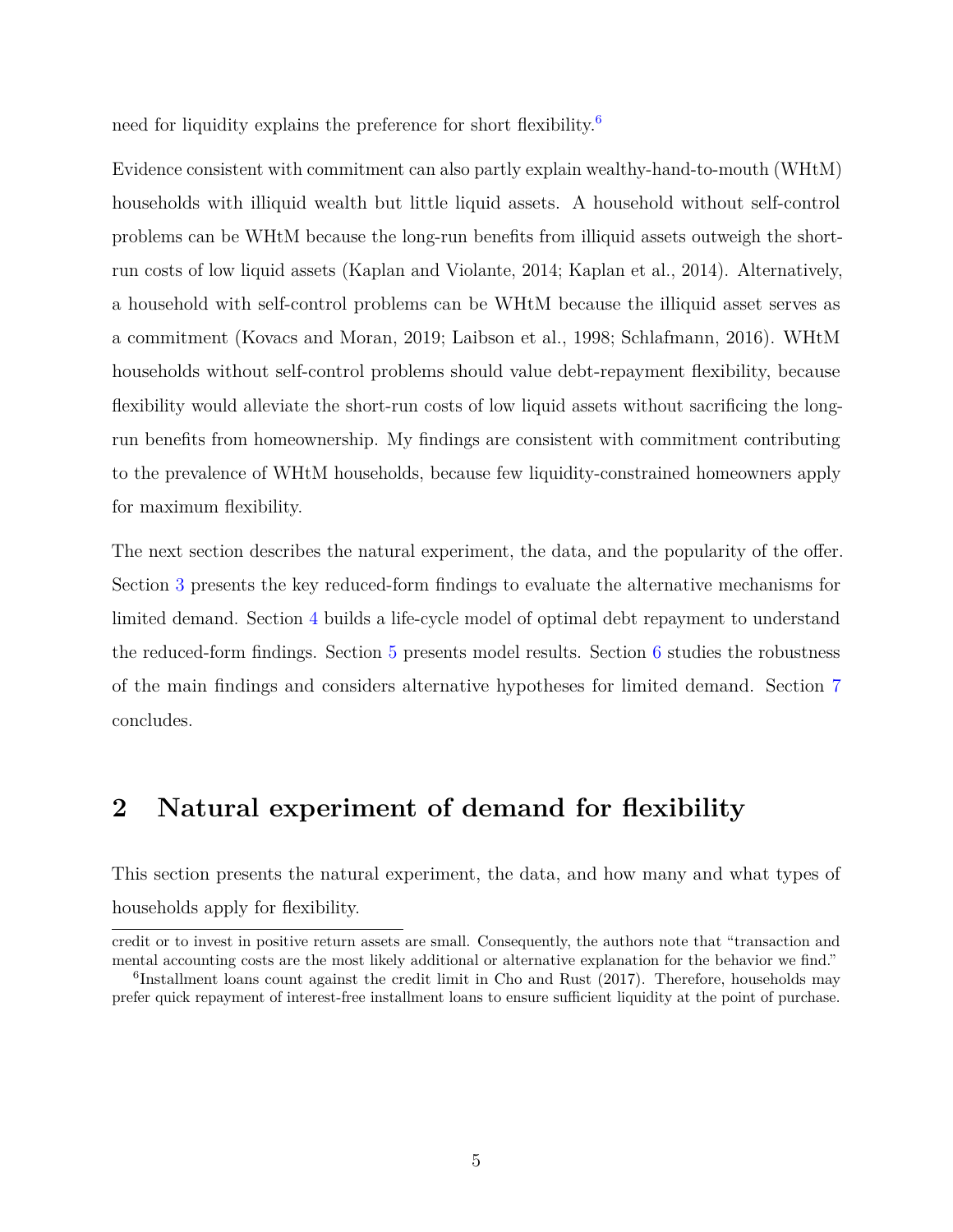need for liquidity explains the preference for short flexibility.<sup>[6](#page-0-0)</sup>

Evidence consistent with commitment can also partly explain wealthy-hand-to-mouth (WHtM) households with illiquid wealth but little liquid assets. A household without self-control problems can be WHtM because the long-run benefits from illiquid assets outweigh the shortrun costs of low liquid assets (Kaplan and Violante, 2014; Kaplan et al., 2014). Alternatively, a household with self-control problems can be WHtM because the illiquid asset serves as a commitment (Kovacs and Moran, 2019; Laibson et al., 1998; Schlafmann, 2016). WHtM households without self-control problems should value debt-repayment flexibility, because flexibility would alleviate the short-run costs of low liquid assets without sacrificing the longrun benefits from homeownership. My findings are consistent with commitment contributing to the prevalence of WHtM households, because few liquidity-constrained homeowners apply for maximum flexibility.

The next section describes the natural experiment, the data, and the popularity of the offer. Section [3](#page-8-0) presents the key reduced-form findings to evaluate the alternative mechanisms for limited demand. Section [4](#page-12-0) builds a life-cycle model of optimal debt repayment to understand the reduced-form findings. Section [5](#page-23-0) presents model results. Section [6](#page-28-0) studies the robustness of the main findings and considers alternative hypotheses for limited demand. Section [7](#page-33-0) concludes.

# **2 Natural experiment of demand for flexibility**

This section presents the natural experiment, the data, and how many and what types of households apply for flexibility.

credit or to invest in positive return assets are small. Consequently, the authors note that "transaction and mental accounting costs are the most likely additional or alternative explanation for the behavior we find."

<sup>&</sup>lt;sup>6</sup>Installment loans count against the credit limit in Cho and Rust (2017). Therefore, households may prefer quick repayment of interest-free installment loans to ensure sufficient liquidity at the point of purchase.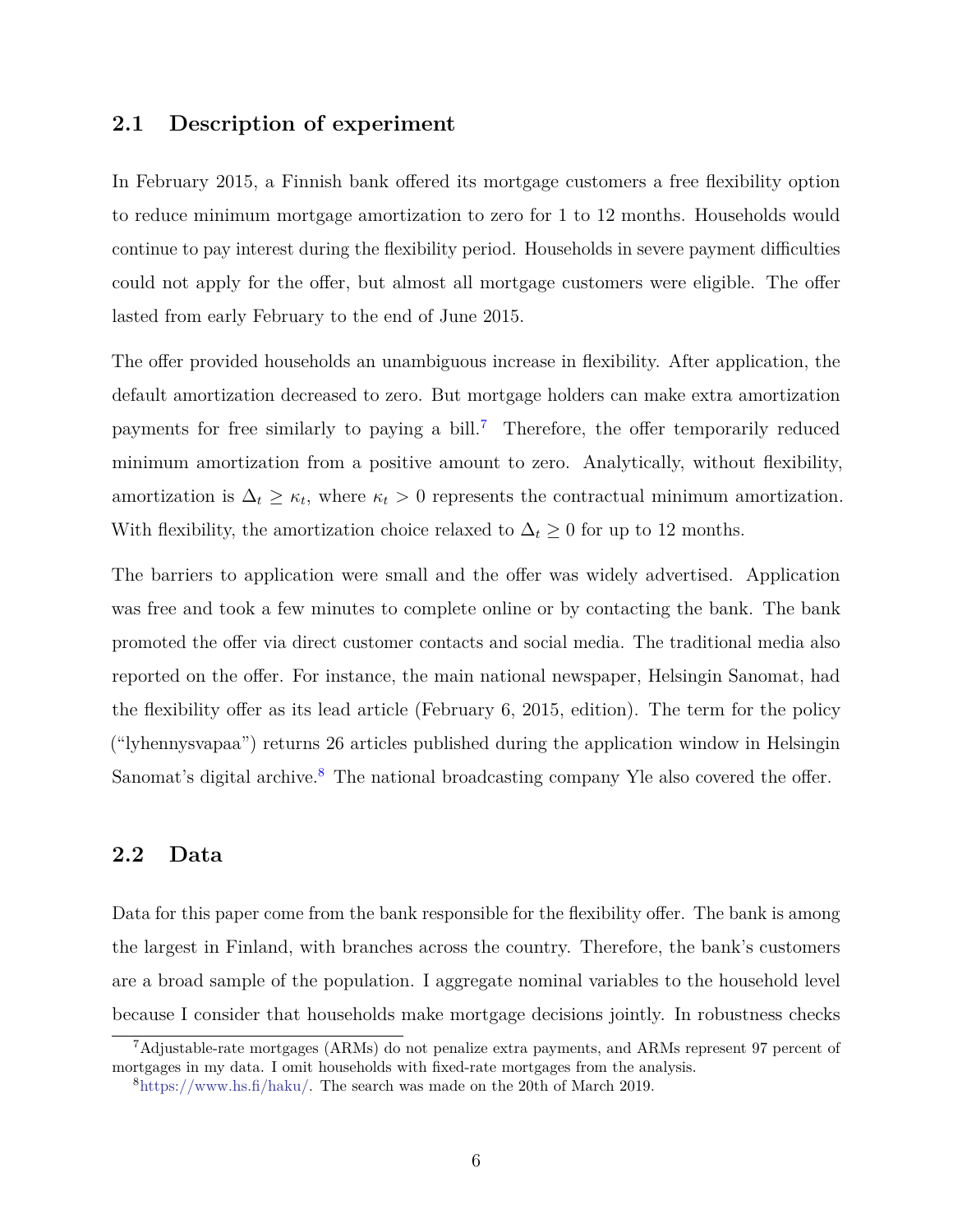### **2.1 Description of experiment**

In February 2015, a Finnish bank offered its mortgage customers a free flexibility option to reduce minimum mortgage amortization to zero for 1 to 12 months. Households would continue to pay interest during the flexibility period. Households in severe payment difficulties could not apply for the offer, but almost all mortgage customers were eligible. The offer lasted from early February to the end of June 2015.

The offer provided households an unambiguous increase in flexibility. After application, the default amortization decreased to zero. But mortgage holders can make extra amortization payments for free similarly to paying a bill.<sup>[7](#page-0-0)</sup> Therefore, the offer temporarily reduced minimum amortization from a positive amount to zero. Analytically, without flexibility, amortization is  $\Delta_t \geq \kappa_t$ , where  $\kappa_t > 0$  represents the contractual minimum amortization. With flexibility, the amortization choice relaxed to  $\Delta_t \geq 0$  for up to 12 months.

The barriers to application were small and the offer was widely advertised. Application was free and took a few minutes to complete online or by contacting the bank. The bank promoted the offer via direct customer contacts and social media. The traditional media also reported on the offer. For instance, the main national newspaper, Helsingin Sanomat, had the flexibility offer as its lead article (February 6, 2015, edition). The term for the policy ("lyhennysvapaa") returns 26 articles published during the application window in Helsingin Sanomat's digital archive.<sup>[8](#page-0-0)</sup> The national broadcasting company Yle also covered the offer.

# <span id="page-5-0"></span>**2.2 Data**

Data for this paper come from the bank responsible for the flexibility offer. The bank is among the largest in Finland, with branches across the country. Therefore, the bank's customers are a broad sample of the population. I aggregate nominal variables to the household level because I consider that households make mortgage decisions jointly. In robustness checks

<sup>7</sup>Adjustable-rate mortgages (ARMs) do not penalize extra payments, and ARMs represent 97 percent of mortgages in my data. I omit households with fixed-rate mortgages from the analysis.

 $8$ [https://www.hs.fi/haku/.](https://www.hs.fi/haku/) The search was made on the 20th of March 2019.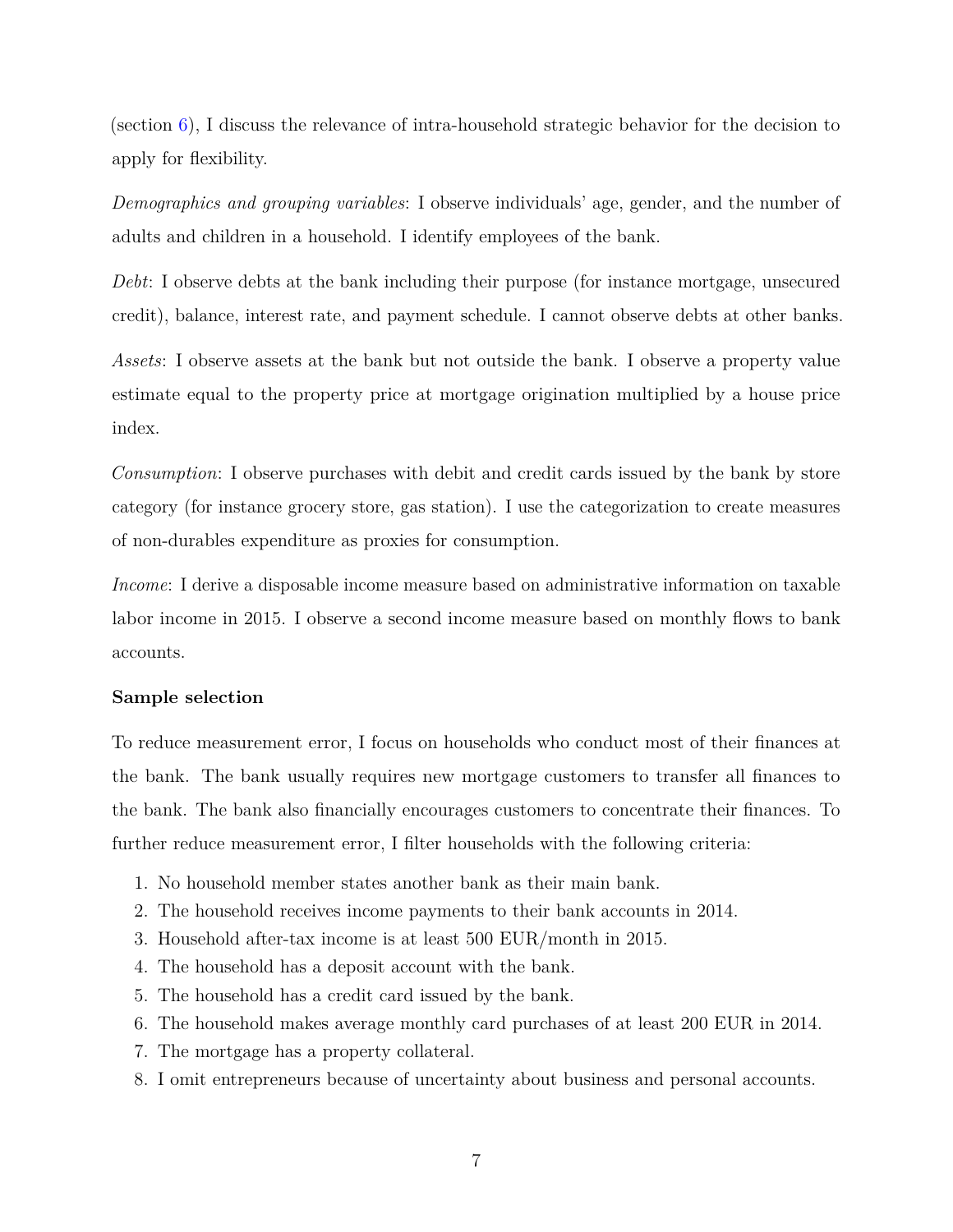(section [6\)](#page-28-0), I discuss the relevance of intra-household strategic behavior for the decision to apply for flexibility.

*Demographics and grouping variables*: I observe individuals' age, gender, and the number of adults and children in a household. I identify employees of the bank.

*Debt*: I observe debts at the bank including their purpose (for instance mortgage, unsecured credit), balance, interest rate, and payment schedule. I cannot observe debts at other banks.

*Assets*: I observe assets at the bank but not outside the bank. I observe a property value estimate equal to the property price at mortgage origination multiplied by a house price index.

*Consumption*: I observe purchases with debit and credit cards issued by the bank by store category (for instance grocery store, gas station). I use the categorization to create measures of non-durables expenditure as proxies for consumption.

*Income*: I derive a disposable income measure based on administrative information on taxable labor income in 2015. I observe a second income measure based on monthly flows to bank accounts.

#### **Sample selection**

To reduce measurement error, I focus on households who conduct most of their finances at the bank. The bank usually requires new mortgage customers to transfer all finances to the bank. The bank also financially encourages customers to concentrate their finances. To further reduce measurement error, I filter households with the following criteria:

- 1. No household member states another bank as their main bank.
- 2. The household receives income payments to their bank accounts in 2014.
- 3. Household after-tax income is at least 500 EUR/month in 2015.
- 4. The household has a deposit account with the bank.
- 5. The household has a credit card issued by the bank.
- 6. The household makes average monthly card purchases of at least 200 EUR in 2014.
- 7. The mortgage has a property collateral.
- 8. I omit entrepreneurs because of uncertainty about business and personal accounts.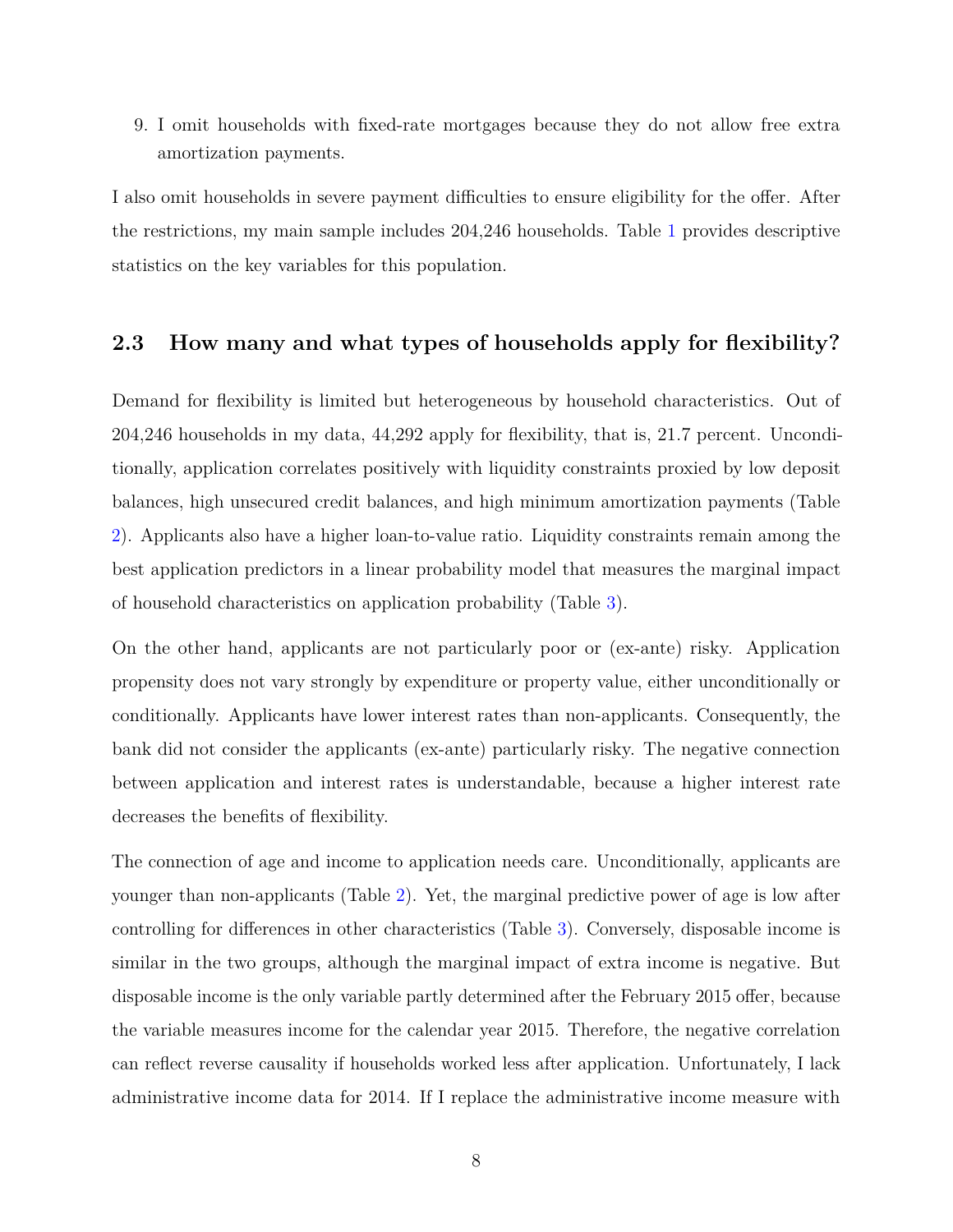9. I omit households with fixed-rate mortgages because they do not allow free extra amortization payments.

I also omit households in severe payment difficulties to ensure eligibility for the offer. After the restrictions, my main sample includes 204,246 households. Table [1](#page-44-0) provides descriptive statistics on the key variables for this population.

# **2.3 How many and what types of households apply for flexibility?**

Demand for flexibility is limited but heterogeneous by household characteristics. Out of 204,246 households in my data, 44,292 apply for flexibility, that is, 21.7 percent. Unconditionally, application correlates positively with liquidity constraints proxied by low deposit balances, high unsecured credit balances, and high minimum amortization payments (Table [2\)](#page-45-0). Applicants also have a higher loan-to-value ratio. Liquidity constraints remain among the best application predictors in a linear probability model that measures the marginal impact of household characteristics on application probability (Table [3\)](#page-46-0).

On the other hand, applicants are not particularly poor or (ex-ante) risky. Application propensity does not vary strongly by expenditure or property value, either unconditionally or conditionally. Applicants have lower interest rates than non-applicants. Consequently, the bank did not consider the applicants (ex-ante) particularly risky. The negative connection between application and interest rates is understandable, because a higher interest rate decreases the benefits of flexibility.

The connection of age and income to application needs care. Unconditionally, applicants are younger than non-applicants (Table [2\)](#page-45-0). Yet, the marginal predictive power of age is low after controlling for differences in other characteristics (Table [3\)](#page-46-0). Conversely, disposable income is similar in the two groups, although the marginal impact of extra income is negative. But disposable income is the only variable partly determined after the February 2015 offer, because the variable measures income for the calendar year 2015. Therefore, the negative correlation can reflect reverse causality if households worked less after application. Unfortunately, I lack administrative income data for 2014. If I replace the administrative income measure with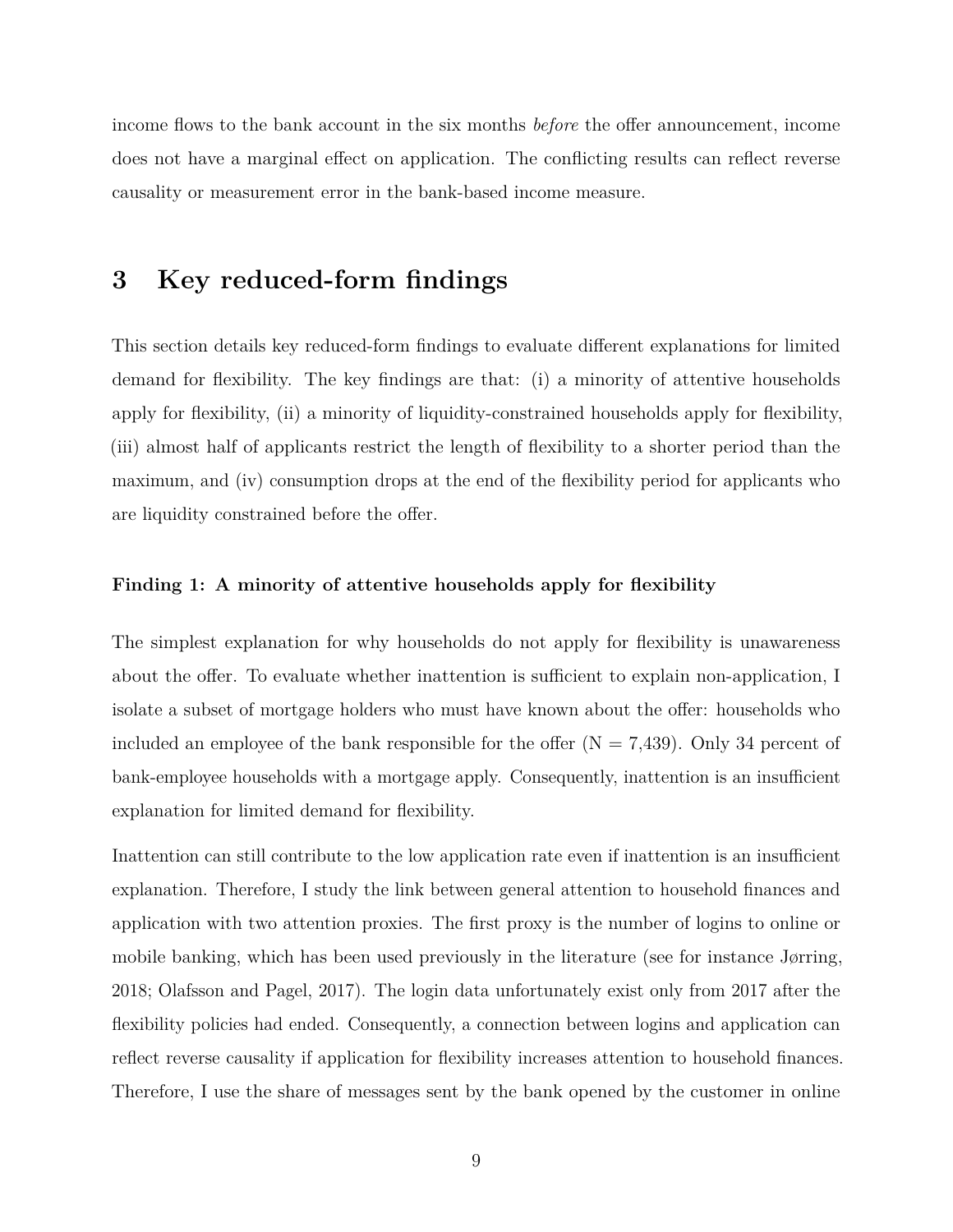income flows to the bank account in the six months *before* the offer announcement, income does not have a marginal effect on application. The conflicting results can reflect reverse causality or measurement error in the bank-based income measure.

# <span id="page-8-0"></span>**3 Key reduced-form findings**

This section details key reduced-form findings to evaluate different explanations for limited demand for flexibility. The key findings are that: (i) a minority of attentive households apply for flexibility, (ii) a minority of liquidity-constrained households apply for flexibility, (iii) almost half of applicants restrict the length of flexibility to a shorter period than the maximum, and (iv) consumption drops at the end of the flexibility period for applicants who are liquidity constrained before the offer.

#### **Finding 1: A minority of attentive households apply for flexibility**

The simplest explanation for why households do not apply for flexibility is unawareness about the offer. To evaluate whether inattention is sufficient to explain non-application, I isolate a subset of mortgage holders who must have known about the offer: households who included an employee of the bank responsible for the offer  $(N = 7,439)$ . Only 34 percent of bank-employee households with a mortgage apply. Consequently, inattention is an insufficient explanation for limited demand for flexibility.

Inattention can still contribute to the low application rate even if inattention is an insufficient explanation. Therefore, I study the link between general attention to household finances and application with two attention proxies. The first proxy is the number of logins to online or mobile banking, which has been used previously in the literature (see for instance Jørring, 2018; Olafsson and Pagel, 2017). The login data unfortunately exist only from 2017 after the flexibility policies had ended. Consequently, a connection between logins and application can reflect reverse causality if application for flexibility increases attention to household finances. Therefore, I use the share of messages sent by the bank opened by the customer in online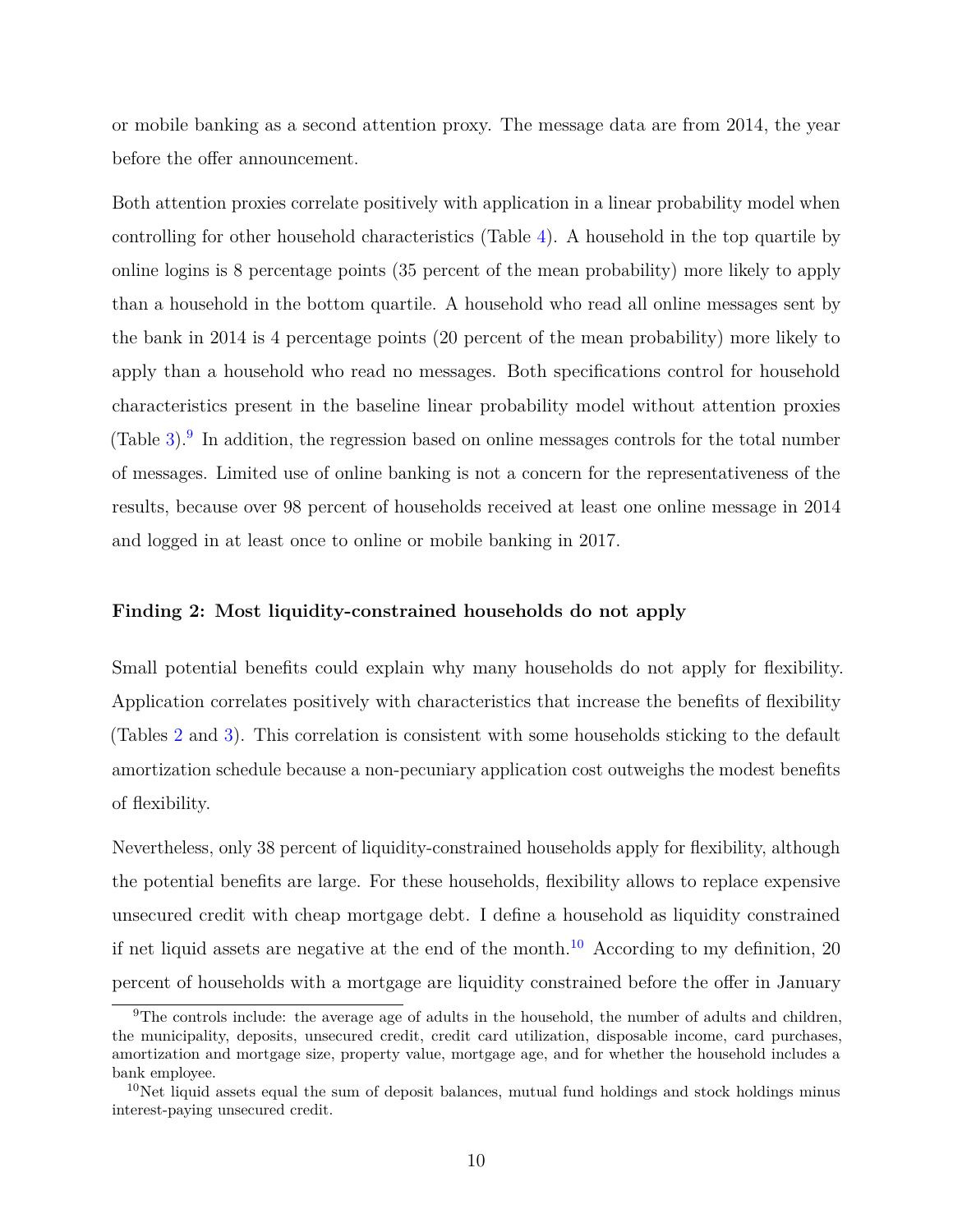or mobile banking as a second attention proxy. The message data are from 2014, the year before the offer announcement.

Both attention proxies correlate positively with application in a linear probability model when controlling for other household characteristics (Table [4\)](#page-47-0). A household in the top quartile by online logins is 8 percentage points (35 percent of the mean probability) more likely to apply than a household in the bottom quartile. A household who read all online messages sent by the bank in 2014 is 4 percentage points (20 percent of the mean probability) more likely to apply than a household who read no messages. Both specifications control for household characteristics present in the baseline linear probability model without attention proxies (Table  $3$ ). In addition, the regression based on online messages controls for the total number of messages. Limited use of online banking is not a concern for the representativeness of the results, because over 98 percent of households received at least one online message in 2014 and logged in at least once to online or mobile banking in 2017.

#### **Finding 2: Most liquidity-constrained households do not apply**

Small potential benefits could explain why many households do not apply for flexibility. Application correlates positively with characteristics that increase the benefits of flexibility (Tables [2](#page-45-0) and [3\)](#page-46-0). This correlation is consistent with some households sticking to the default amortization schedule because a non-pecuniary application cost outweighs the modest benefits of flexibility.

Nevertheless, only 38 percent of liquidity-constrained households apply for flexibility, although the potential benefits are large. For these households, flexibility allows to replace expensive unsecured credit with cheap mortgage debt. I define a household as liquidity constrained if net liquid assets are negative at the end of the month.<sup>[10](#page-0-0)</sup> According to my definition, 20 percent of households with a mortgage are liquidity constrained before the offer in January

<sup>9</sup>The controls include: the average age of adults in the household, the number of adults and children, the municipality, deposits, unsecured credit, credit card utilization, disposable income, card purchases, amortization and mortgage size, property value, mortgage age, and for whether the household includes a bank employee.

 $10$ Net liquid assets equal the sum of deposit balances, mutual fund holdings and stock holdings minus interest-paying unsecured credit.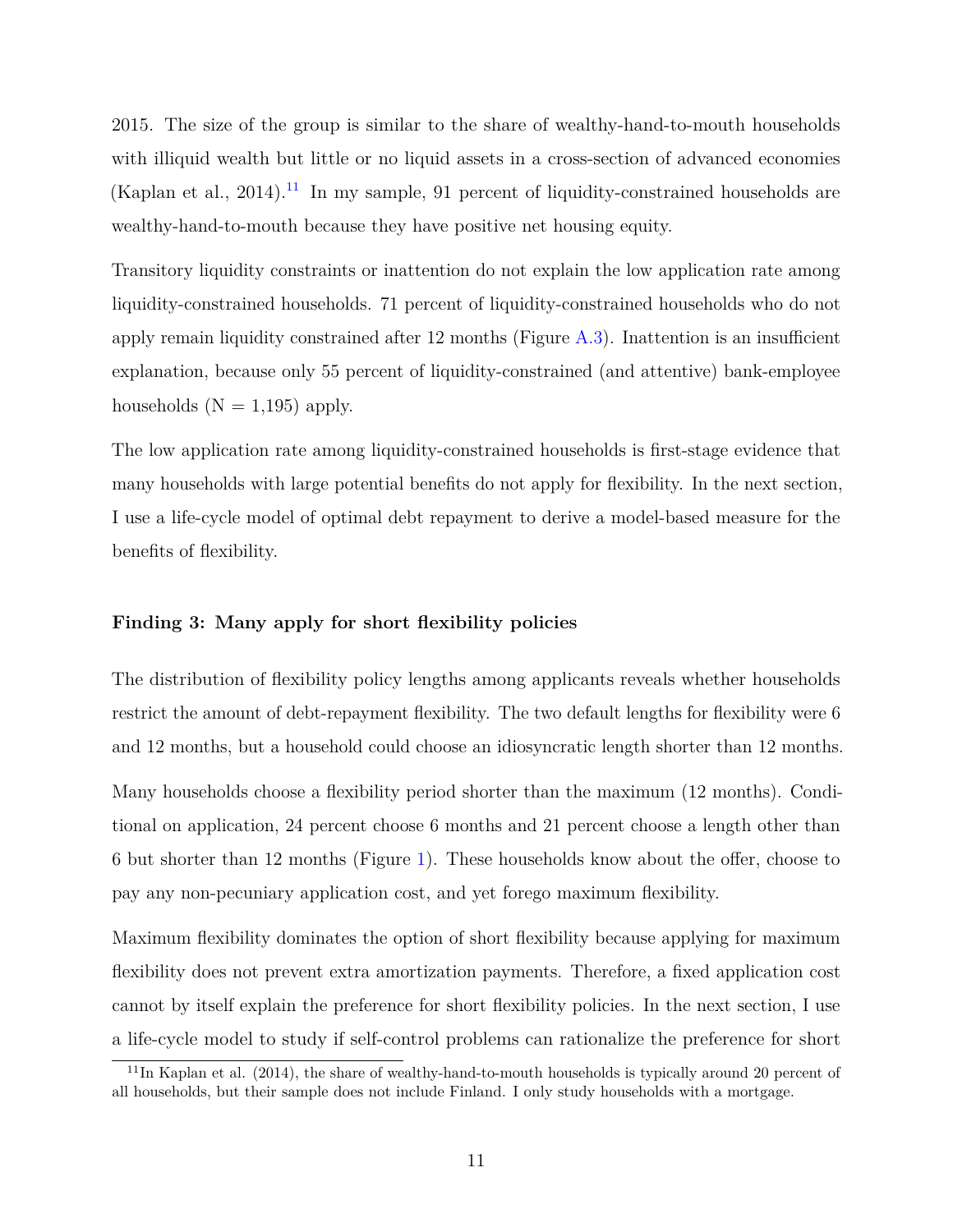2015. The size of the group is similar to the share of wealthy-hand-to-mouth households with illiquid wealth but little or no liquid assets in a cross-section of advanced economies (Kaplan et al., 2014).<sup>[11](#page-0-0)</sup> In my sample, 91 percent of liquidity-constrained households are wealthy-hand-to-mouth because they have positive net housing equity.

Transitory liquidity constraints or inattention do not explain the low application rate among liquidity-constrained households. 71 percent of liquidity-constrained households who do not apply remain liquidity constrained after 12 months (Figure [A.3\)](#page-60-0). Inattention is an insufficient explanation, because only 55 percent of liquidity-constrained (and attentive) bank-employee households  $(N = 1,195)$  apply.

The low application rate among liquidity-constrained households is first-stage evidence that many households with large potential benefits do not apply for flexibility. In the next section, I use a life-cycle model of optimal debt repayment to derive a model-based measure for the benefits of flexibility.

#### **Finding 3: Many apply for short flexibility policies**

The distribution of flexibility policy lengths among applicants reveals whether households restrict the amount of debt-repayment flexibility. The two default lengths for flexibility were 6 and 12 months, but a household could choose an idiosyncratic length shorter than 12 months.

Many households choose a flexibility period shorter than the maximum (12 months). Conditional on application, 24 percent choose 6 months and 21 percent choose a length other than 6 but shorter than 12 months (Figure [1\)](#page-37-0). These households know about the offer, choose to pay any non-pecuniary application cost, and yet forego maximum flexibility.

Maximum flexibility dominates the option of short flexibility because applying for maximum flexibility does not prevent extra amortization payments. Therefore, a fixed application cost cannot by itself explain the preference for short flexibility policies. In the next section, I use a life-cycle model to study if self-control problems can rationalize the preference for short

<sup>&</sup>lt;sup>11</sup>In Kaplan et al. (2014), the share of wealthy-hand-to-mouth households is typically around 20 percent of all households, but their sample does not include Finland. I only study households with a mortgage.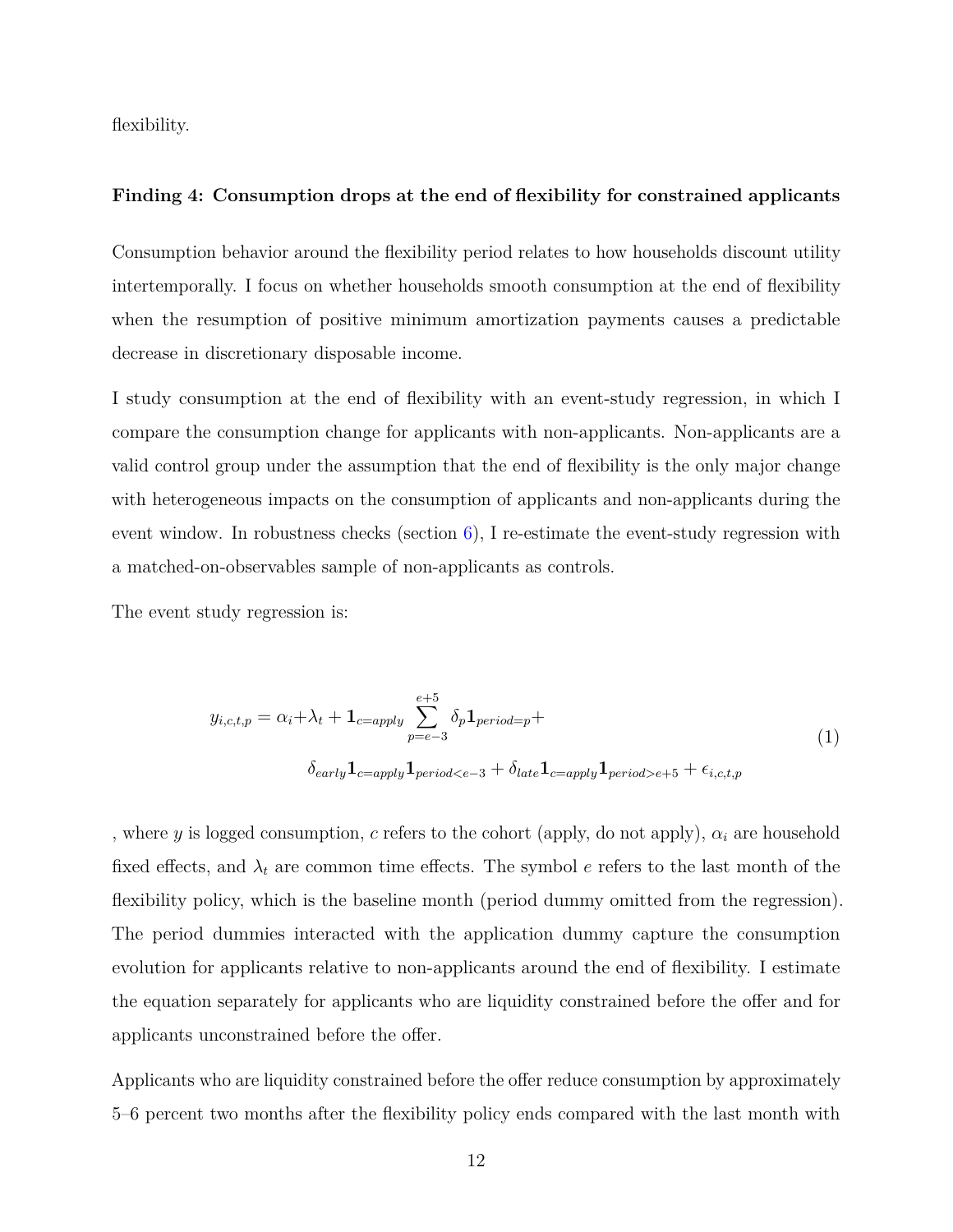flexibility.

#### **Finding 4: Consumption drops at the end of flexibility for constrained applicants**

Consumption behavior around the flexibility period relates to how households discount utility intertemporally. I focus on whether households smooth consumption at the end of flexibility when the resumption of positive minimum amortization payments causes a predictable decrease in discretionary disposable income.

I study consumption at the end of flexibility with an event-study regression, in which I compare the consumption change for applicants with non-applicants. Non-applicants are a valid control group under the assumption that the end of flexibility is the only major change with heterogeneous impacts on the consumption of applicants and non-applicants during the event window. In robustness checks (section  $6$ ), I re-estimate the event-study regression with a matched-on-observables sample of non-applicants as controls.

The event study regression is:

$$
y_{i,c,t,p} = \alpha_i + \lambda_t + \mathbf{1}_{c=\text{apply}} \sum_{p=e-3}^{e+5} \delta_p \mathbf{1}_{period=p} +
$$
  

$$
\delta_{early} \mathbf{1}_{c=\text{apply}} \mathbf{1}_{period \leq e-3} + \delta_{late} \mathbf{1}_{c=\text{apply}} \mathbf{1}_{period \geq e+5} + \epsilon_{i,c,t,p}
$$
 (1)

, where *y* is logged consumption, *c* refers to the cohort (apply, do not apply), *α<sup>i</sup>* are household fixed effects, and  $\lambda_t$  are common time effects. The symbol  $e$  refers to the last month of the flexibility policy, which is the baseline month (period dummy omitted from the regression). The period dummies interacted with the application dummy capture the consumption evolution for applicants relative to non-applicants around the end of flexibility. I estimate the equation separately for applicants who are liquidity constrained before the offer and for applicants unconstrained before the offer.

Applicants who are liquidity constrained before the offer reduce consumption by approximately 5–6 percent two months after the flexibility policy ends compared with the last month with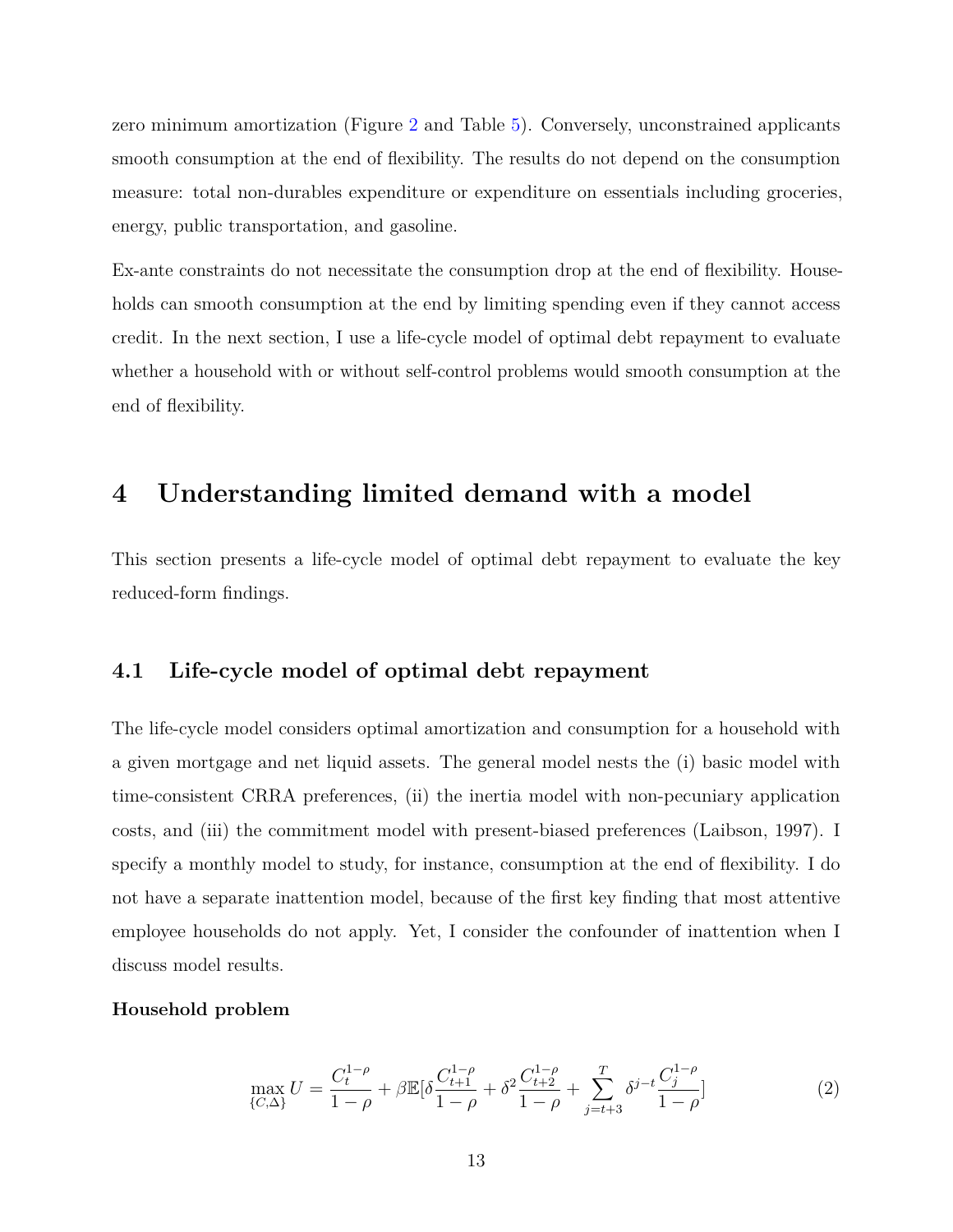zero minimum amortization (Figure [2](#page-38-0) and Table [5\)](#page-48-0). Conversely, unconstrained applicants smooth consumption at the end of flexibility. The results do not depend on the consumption measure: total non-durables expenditure or expenditure on essentials including groceries, energy, public transportation, and gasoline.

Ex-ante constraints do not necessitate the consumption drop at the end of flexibility. Households can smooth consumption at the end by limiting spending even if they cannot access credit. In the next section, I use a life-cycle model of optimal debt repayment to evaluate whether a household with or without self-control problems would smooth consumption at the end of flexibility.

# <span id="page-12-0"></span>**4 Understanding limited demand with a model**

This section presents a life-cycle model of optimal debt repayment to evaluate the key reduced-form findings.

## **4.1 Life-cycle model of optimal debt repayment**

The life-cycle model considers optimal amortization and consumption for a household with a given mortgage and net liquid assets. The general model nests the (i) basic model with time-consistent CRRA preferences, (ii) the inertia model with non-pecuniary application costs, and (iii) the commitment model with present-biased preferences (Laibson, 1997). I specify a monthly model to study, for instance, consumption at the end of flexibility. I do not have a separate inattention model, because of the first key finding that most attentive employee households do not apply. Yet, I consider the confounder of inattention when I discuss model results.

#### **Household problem**

<span id="page-12-1"></span>
$$
\max_{\{C,\Delta\}} U = \frac{C_t^{1-\rho}}{1-\rho} + \beta \mathbb{E}[\delta \frac{C_{t+1}^{1-\rho}}{1-\rho} + \delta^2 \frac{C_{t+2}^{1-\rho}}{1-\rho} + \sum_{j=t+3}^T \delta^{j-t} \frac{C_j^{1-\rho}}{1-\rho}] \tag{2}
$$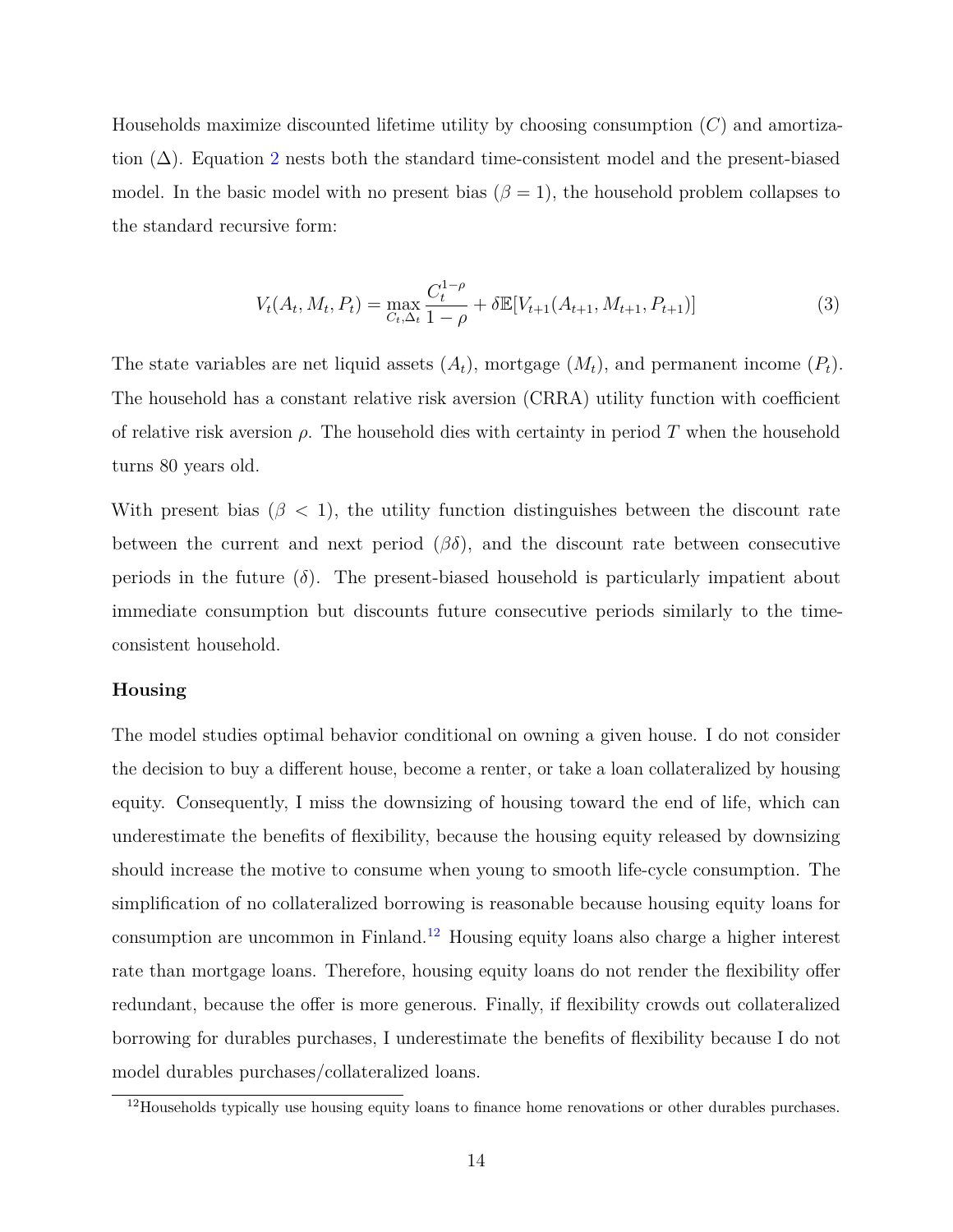Households maximize discounted lifetime utility by choosing consumption (*C*) and amortization  $(\Delta)$ . Equation [2](#page-12-1) nests both the standard time-consistent model and the present-biased model. In the basic model with no present bias  $(\beta = 1)$ , the household problem collapses to the standard recursive form:

$$
V_t(A_t, M_t, P_t) = \max_{C_t, \Delta_t} \frac{C_t^{1-\rho}}{1-\rho} + \delta \mathbb{E}[V_{t+1}(A_{t+1}, M_{t+1}, P_{t+1})]
$$
(3)

The state variables are net liquid assets  $(A_t)$ , mortgage  $(M_t)$ , and permanent income  $(P_t)$ . The household has a constant relative risk aversion (CRRA) utility function with coefficient of relative risk aversion *ρ*. The household dies with certainty in period *T* when the household turns 80 years old.

With present bias  $(\beta < 1)$ , the utility function distinguishes between the discount rate between the current and next period  $(\beta\delta)$ , and the discount rate between consecutive periods in the future  $(\delta)$ . The present-biased household is particularly impatient about immediate consumption but discounts future consecutive periods similarly to the timeconsistent household.

#### **Housing**

The model studies optimal behavior conditional on owning a given house. I do not consider the decision to buy a different house, become a renter, or take a loan collateralized by housing equity. Consequently, I miss the downsizing of housing toward the end of life, which can underestimate the benefits of flexibility, because the housing equity released by downsizing should increase the motive to consume when young to smooth life-cycle consumption. The simplification of no collateralized borrowing is reasonable because housing equity loans for consumption are uncommon in Finland.[12](#page-0-0) Housing equity loans also charge a higher interest rate than mortgage loans. Therefore, housing equity loans do not render the flexibility offer redundant, because the offer is more generous. Finally, if flexibility crowds out collateralized borrowing for durables purchases, I underestimate the benefits of flexibility because I do not model durables purchases/collateralized loans.

<sup>&</sup>lt;sup>12</sup>Households typically use housing equity loans to finance home renovations or other durables purchases.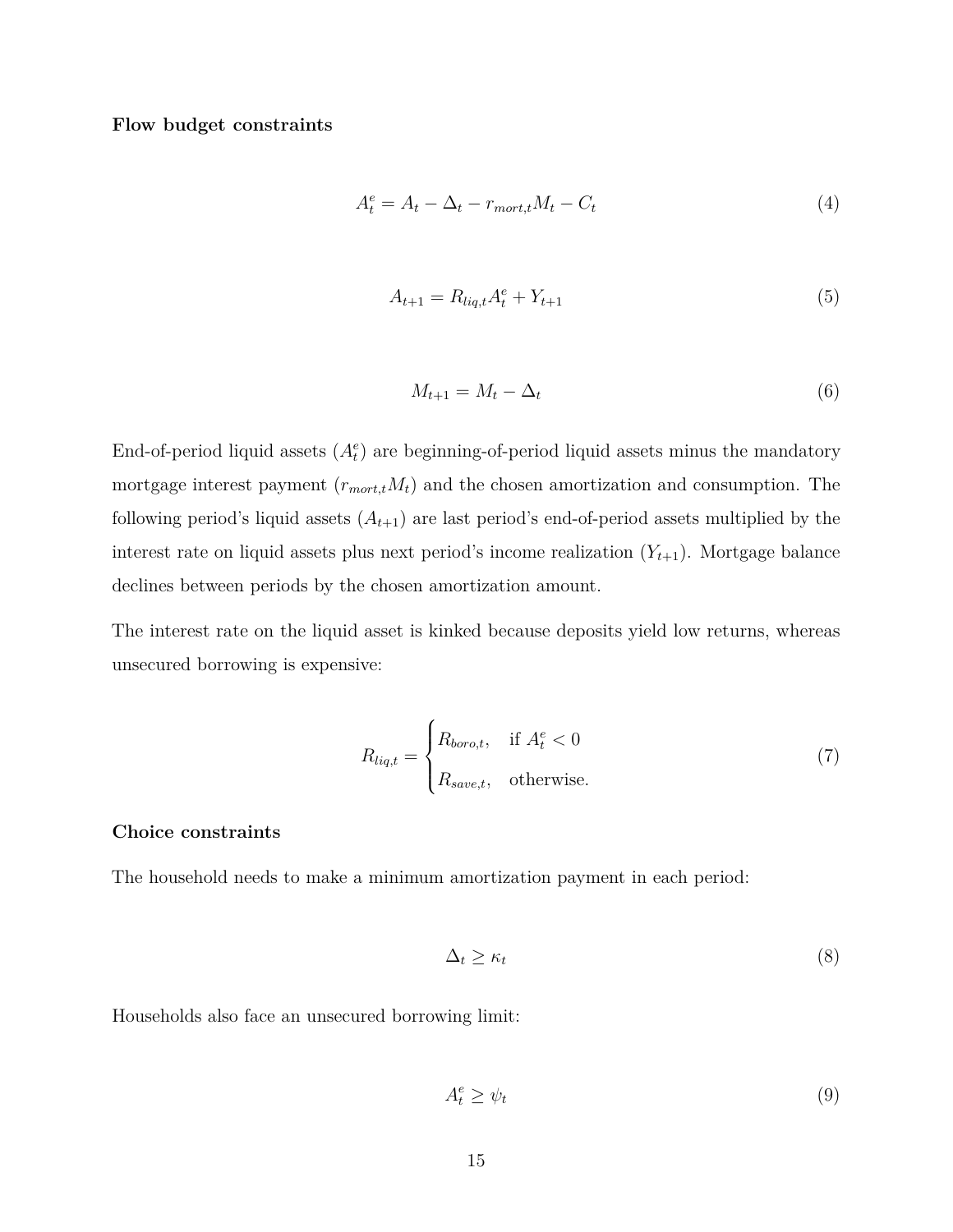#### **Flow budget constraints**

$$
A_t^e = A_t - \Delta_t - r_{mort,t}M_t - C_t \tag{4}
$$

$$
A_{t+1} = R_{liq,t}A_t^e + Y_{t+1}
$$
\n(5)

$$
M_{t+1} = M_t - \Delta_t \tag{6}
$$

End-of-period liquid assets  $(A_t^e)$  are beginning-of-period liquid assets minus the mandatory mortgage interest payment  $(r_{mort, t}M_t)$  and the chosen amortization and consumption. The following period's liquid assets  $(A_{t+1})$  are last period's end-of-period assets multiplied by the interest rate on liquid assets plus next period's income realization  $(Y_{t+1})$ . Mortgage balance declines between periods by the chosen amortization amount.

The interest rate on the liquid asset is kinked because deposits yield low returns, whereas unsecured borrowing is expensive:

$$
R_{liq,t} = \begin{cases} R_{boro,t}, & \text{if } A_t^e < 0\\ R_{save,t}, & \text{otherwise.} \end{cases}
$$
 (7)

#### **Choice constraints**

The household needs to make a minimum amortization payment in each period:

$$
\Delta_t \ge \kappa_t \tag{8}
$$

Households also face an unsecured borrowing limit:

$$
A_t^e \ge \psi_t \tag{9}
$$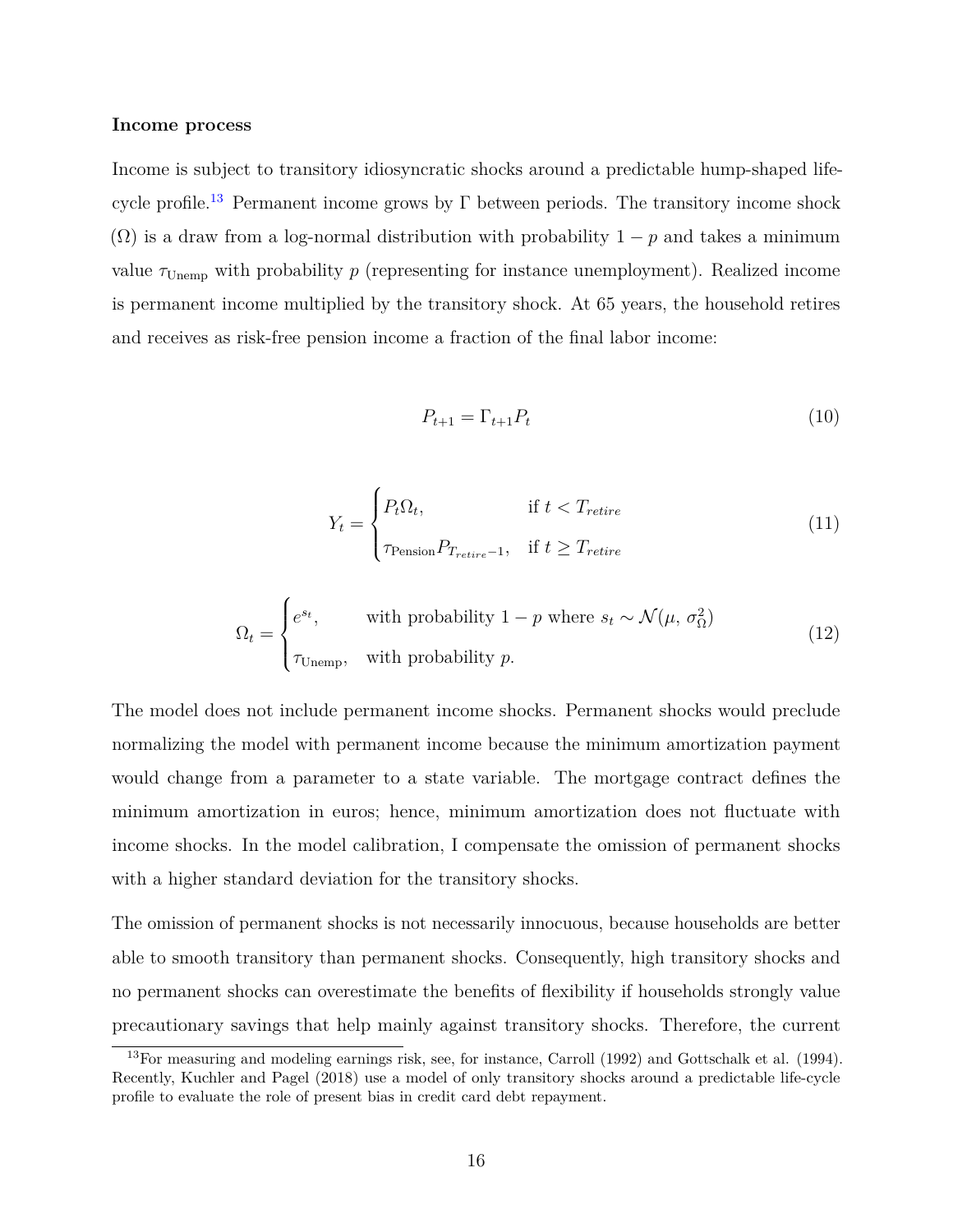#### **Income process**

Income is subject to transitory idiosyncratic shocks around a predictable hump-shaped life-cycle profile.<sup>[13](#page-0-0)</sup> Permanent income grows by  $\Gamma$  between periods. The transitory income shock ( $\Omega$ ) is a draw from a log-normal distribution with probability 1 – *p* and takes a minimum value  $\tau_{\text{Unemp}}$  with probability  $p$  (representing for instance unemployment). Realized income is permanent income multiplied by the transitory shock. At 65 years, the household retires and receives as risk-free pension income a fraction of the final labor income:

$$
P_{t+1} = \Gamma_{t+1} P_t \tag{10}
$$

$$
Y_t = \begin{cases} P_t \Omega_t, & \text{if } t < T_{retrie} \\ \tau_{\text{Pension}} P_{T_{retrie}-1}, & \text{if } t \ge T_{retrie} \end{cases} \tag{11}
$$

$$
\Omega_t = \begin{cases} e^{s_t}, & \text{with probability } 1 - p \text{ where } s_t \sim \mathcal{N}(\mu, \sigma_\Omega^2) \\ \tau_{\text{Unemp}}, & \text{with probability } p. \end{cases} \tag{12}
$$

The model does not include permanent income shocks. Permanent shocks would preclude normalizing the model with permanent income because the minimum amortization payment would change from a parameter to a state variable. The mortgage contract defines the minimum amortization in euros; hence, minimum amortization does not fluctuate with income shocks. In the model calibration, I compensate the omission of permanent shocks with a higher standard deviation for the transitory shocks.

The omission of permanent shocks is not necessarily innocuous, because households are better able to smooth transitory than permanent shocks. Consequently, high transitory shocks and no permanent shocks can overestimate the benefits of flexibility if households strongly value precautionary savings that help mainly against transitory shocks. Therefore, the current

<sup>13</sup>For measuring and modeling earnings risk, see, for instance, Carroll (1992) and Gottschalk et al. (1994). Recently, Kuchler and Pagel (2018) use a model of only transitory shocks around a predictable life-cycle profile to evaluate the role of present bias in credit card debt repayment.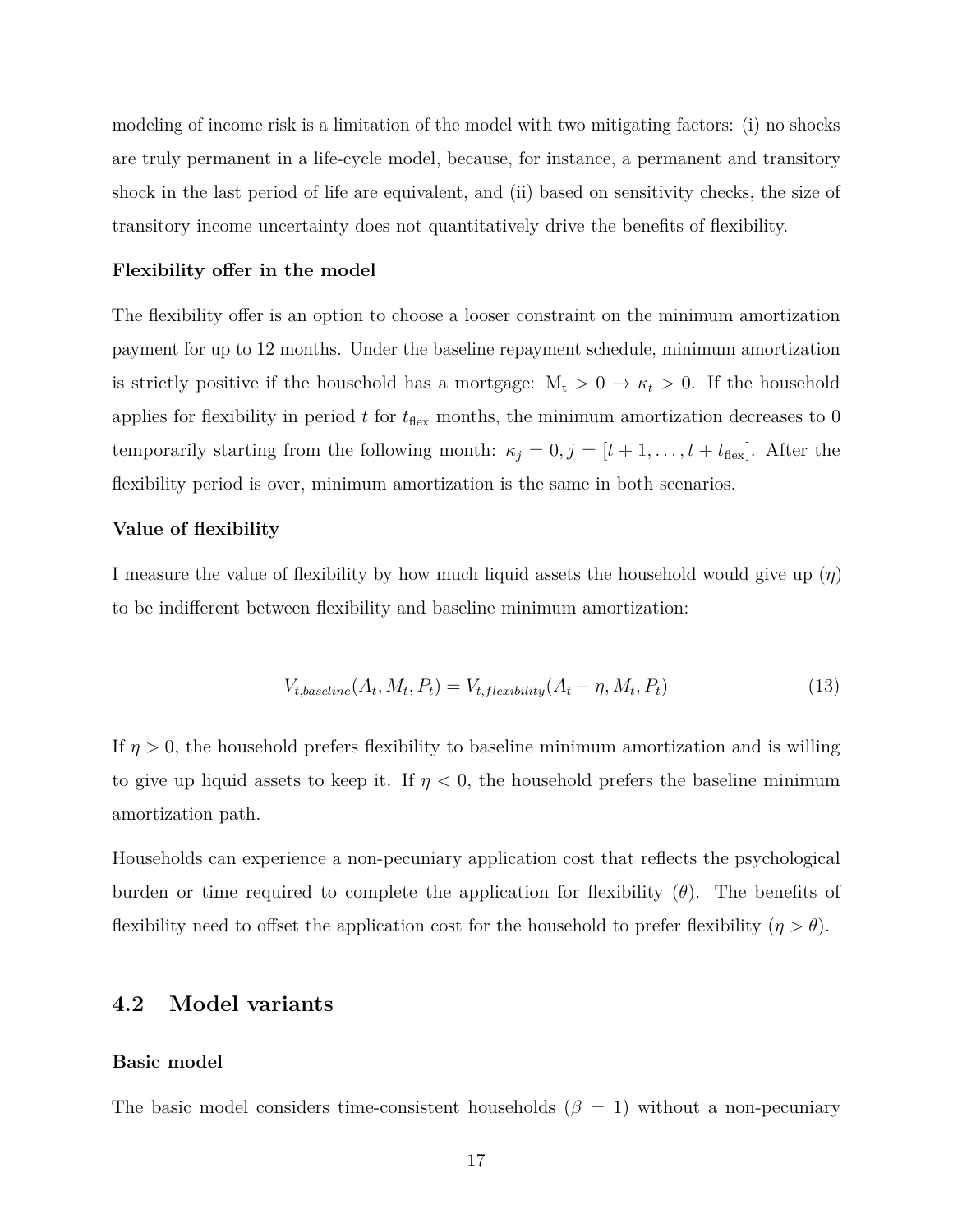modeling of income risk is a limitation of the model with two mitigating factors: (i) no shocks are truly permanent in a life-cycle model, because, for instance, a permanent and transitory shock in the last period of life are equivalent, and (ii) based on sensitivity checks, the size of transitory income uncertainty does not quantitatively drive the benefits of flexibility.

#### **Flexibility offer in the model**

The flexibility offer is an option to choose a looser constraint on the minimum amortization payment for up to 12 months. Under the baseline repayment schedule, minimum amortization is strictly positive if the household has a mortgage:  $M_t > 0 \rightarrow \kappa_t > 0$ . If the household applies for flexibility in period  $t$  for  $t_{\text{flex}}$  months, the minimum amortization decreases to 0 temporarily starting from the following month:  $\kappa_j = 0, j = [t + 1, \ldots, t + t_{\text{flex}}]$ . After the flexibility period is over, minimum amortization is the same in both scenarios.

#### **Value of flexibility**

I measure the value of flexibility by how much liquid assets the household would give up (*η*) to be indifferent between flexibility and baseline minimum amortization:

<span id="page-16-0"></span>
$$
V_{t,baseline}(A_t, M_t, P_t) = V_{t,flexibility}(A_t - \eta, M_t, P_t)
$$
\n
$$
(13)
$$

If  $\eta > 0$ , the household prefers flexibility to baseline minimum amortization and is willing to give up liquid assets to keep it. If  $\eta < 0$ , the household prefers the baseline minimum amortization path.

Households can experience a non-pecuniary application cost that reflects the psychological burden or time required to complete the application for flexibility (*θ*). The benefits of flexibility need to offset the application cost for the household to prefer flexibility  $(\eta > \theta)$ .

### **4.2 Model variants**

#### **Basic model**

The basic model considers time-consistent households  $(\beta = 1)$  without a non-pecuniary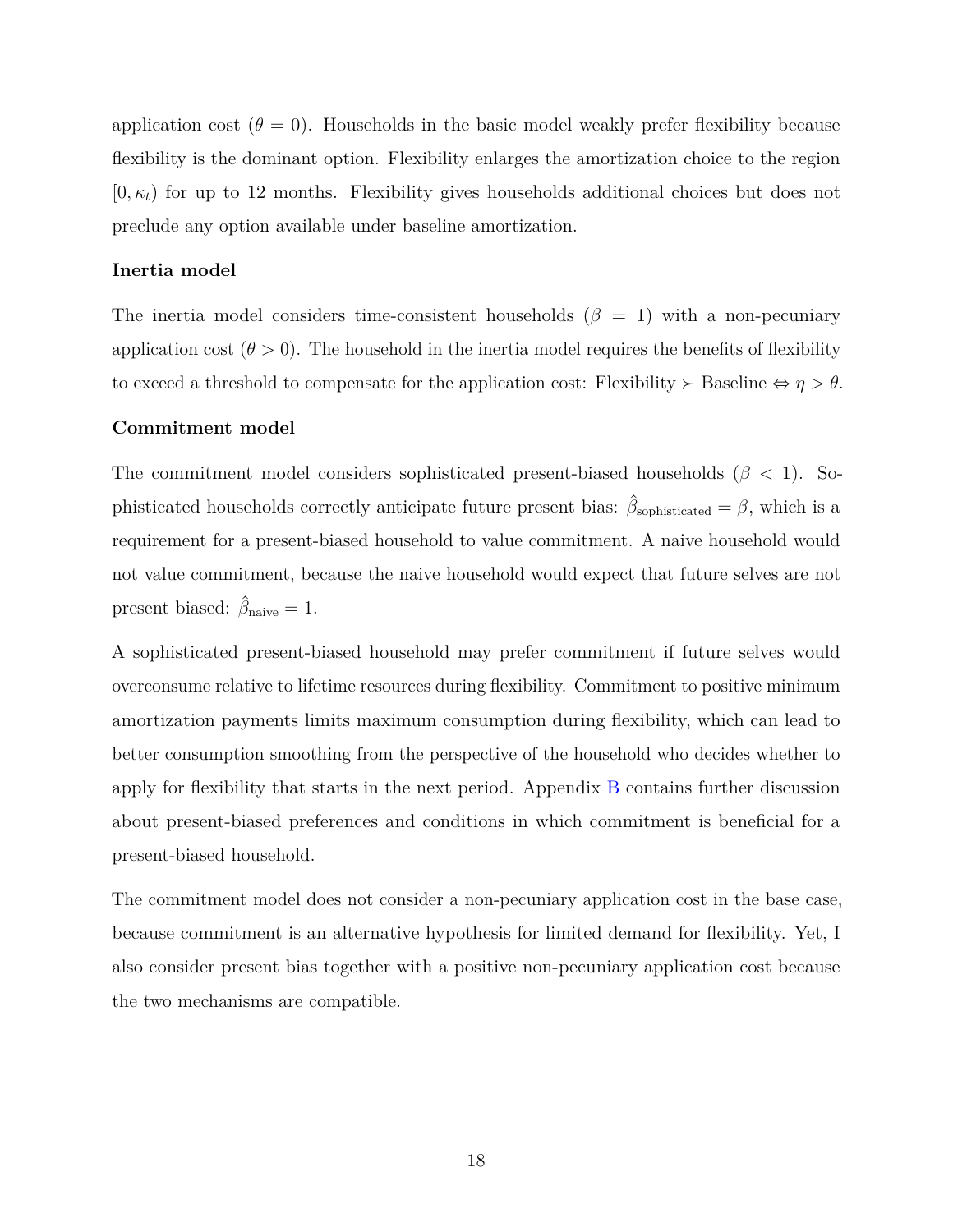application cost  $(\theta = 0)$ . Households in the basic model weakly prefer flexibility because flexibility is the dominant option. Flexibility enlarges the amortization choice to the region  $[0, \kappa_t]$  for up to 12 months. Flexibility gives households additional choices but does not preclude any option available under baseline amortization.

#### **Inertia model**

The inertia model considers time-consistent households  $(\beta = 1)$  with a non-pecuniary application cost  $(\theta > 0)$ . The household in the inertia model requires the benefits of flexibility to exceed a threshold to compensate for the application cost: Flexibility  $\succ$  Baseline  $\Leftrightarrow \eta > \theta$ .

#### **Commitment model**

The commitment model considers sophisticated present-biased households (*β <* 1). Sophisticated households correctly anticipate future present bias:  $\hat{\beta}_{\text{sophisticated}} = \beta$ , which is a requirement for a present-biased household to value commitment. A naive household would not value commitment, because the naive household would expect that future selves are not present biased:  $\hat{\beta}_{\text{naive}} = 1$ .

A sophisticated present-biased household may prefer commitment if future selves would overconsume relative to lifetime resources during flexibility. Commitment to positive minimum amortization payments limits maximum consumption during flexibility, which can lead to better consumption smoothing from the perspective of the household who decides whether to apply for flexibility that starts in the next period. Appendix [B](#page-56-0) contains further discussion about present-biased preferences and conditions in which commitment is beneficial for a present-biased household.

The commitment model does not consider a non-pecuniary application cost in the base case, because commitment is an alternative hypothesis for limited demand for flexibility. Yet, I also consider present bias together with a positive non-pecuniary application cost because the two mechanisms are compatible.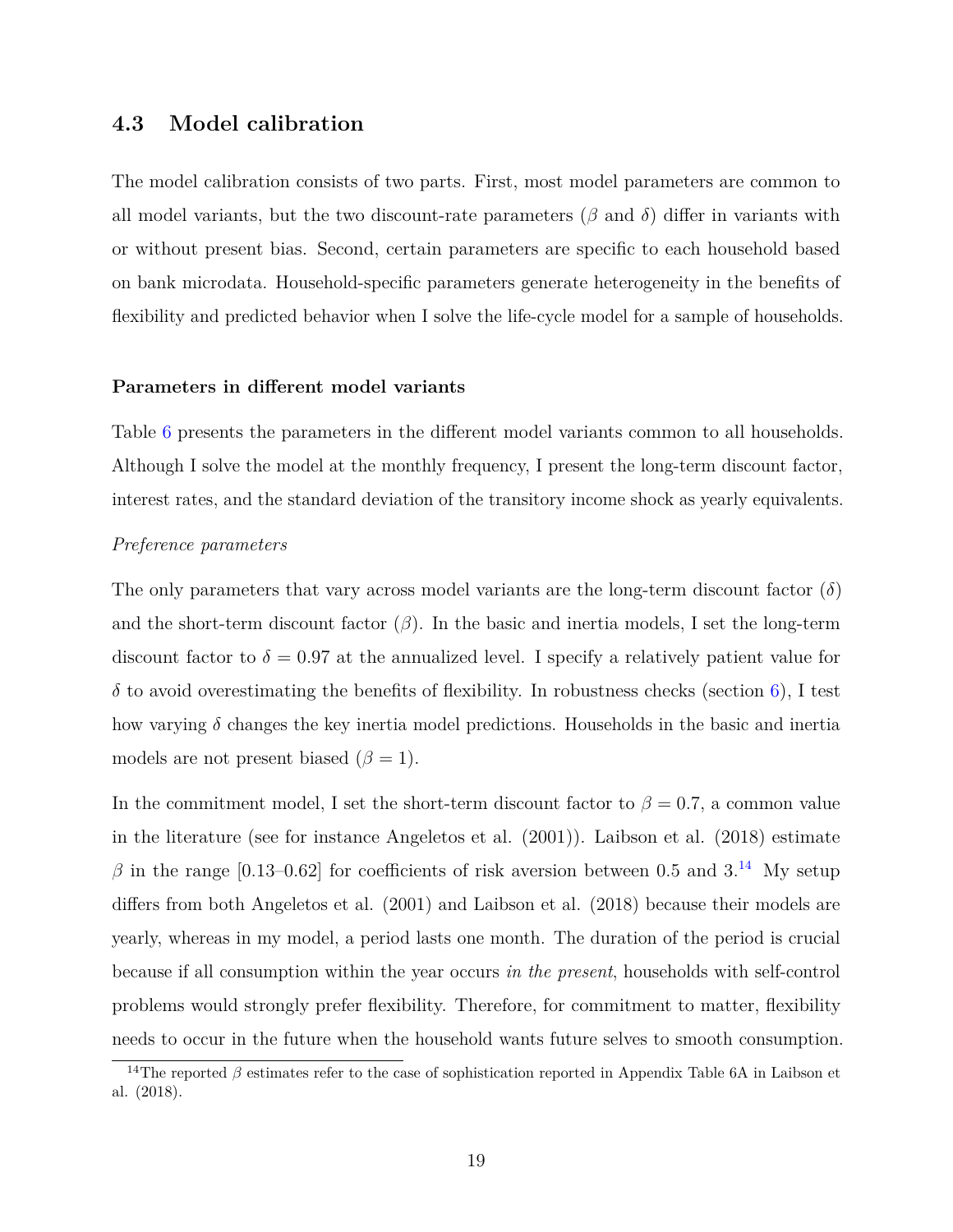### **4.3 Model calibration**

The model calibration consists of two parts. First, most model parameters are common to all model variants, but the two discount-rate parameters ( $\beta$  and  $\delta$ ) differ in variants with or without present bias. Second, certain parameters are specific to each household based on bank microdata. Household-specific parameters generate heterogeneity in the benefits of flexibility and predicted behavior when I solve the life-cycle model for a sample of households.

#### **Parameters in different model variants**

Table [6](#page-49-0) presents the parameters in the different model variants common to all households. Although I solve the model at the monthly frequency, I present the long-term discount factor, interest rates, and the standard deviation of the transitory income shock as yearly equivalents.

#### *Preference parameters*

The only parameters that vary across model variants are the long-term discount factor (*δ*) and the short-term discount factor  $(\beta)$ . In the basic and inertia models, I set the long-term discount factor to  $\delta = 0.97$  at the annualized level. I specify a relatively patient value for  $\delta$  to avoid overestimating the benefits of flexibility. In robustness checks (section [6\)](#page-28-0), I test how varying *δ* changes the key inertia model predictions. Households in the basic and inertia models are not present biased  $(\beta = 1)$ .

In the commitment model, I set the short-term discount factor to  $\beta = 0.7$ , a common value in the literature (see for instance Angeletos et al. (2001)). Laibson et al. (2018) estimate  $\beta$  in the range [0.13–0.62] for coefficients of risk aversion between 0.5 and 3.<sup>[14](#page-0-0)</sup> My setup differs from both Angeletos et al. (2001) and Laibson et al. (2018) because their models are yearly, whereas in my model, a period lasts one month. The duration of the period is crucial because if all consumption within the year occurs *in the present*, households with self-control problems would strongly prefer flexibility. Therefore, for commitment to matter, flexibility needs to occur in the future when the household wants future selves to smooth consumption.

<sup>&</sup>lt;sup>14</sup>The reported  $\beta$  estimates refer to the case of sophistication reported in Appendix Table 6A in Laibson et al. (2018).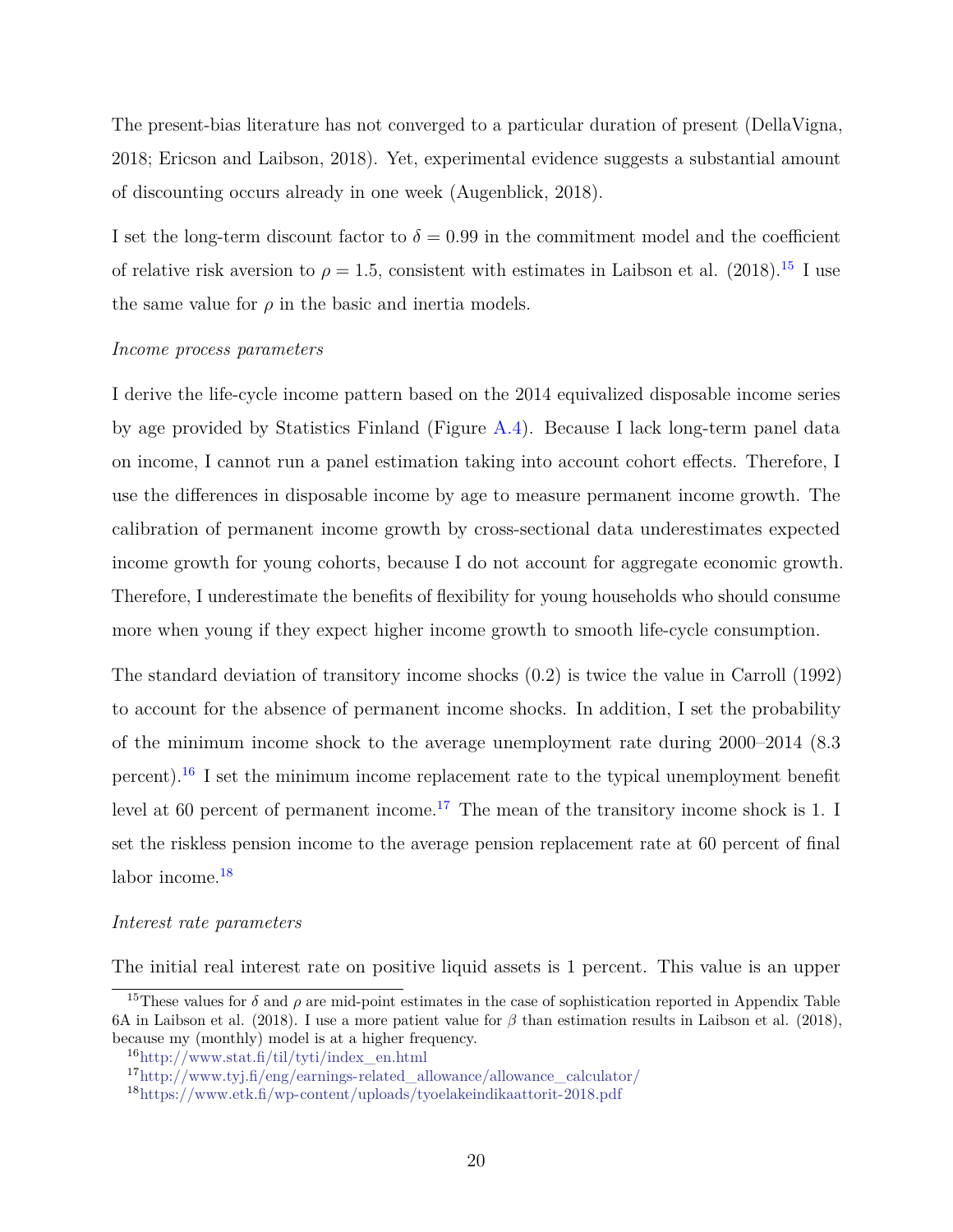The present-bias literature has not converged to a particular duration of present (DellaVigna, 2018; Ericson and Laibson, 2018). Yet, experimental evidence suggests a substantial amount of discounting occurs already in one week (Augenblick, 2018).

I set the long-term discount factor to  $\delta = 0.99$  in the commitment model and the coefficient of relative risk aversion to  $\rho = 1.5$ , consistent with estimates in Laibson et al. (2018).<sup>[15](#page-0-0)</sup> I use the same value for  $\rho$  in the basic and inertia models.

#### *Income process parameters*

I derive the life-cycle income pattern based on the 2014 equivalized disposable income series by age provided by Statistics Finland (Figure [A.4\)](#page-61-0). Because I lack long-term panel data on income, I cannot run a panel estimation taking into account cohort effects. Therefore, I use the differences in disposable income by age to measure permanent income growth. The calibration of permanent income growth by cross-sectional data underestimates expected income growth for young cohorts, because I do not account for aggregate economic growth. Therefore, I underestimate the benefits of flexibility for young households who should consume more when young if they expect higher income growth to smooth life-cycle consumption.

The standard deviation of transitory income shocks (0.2) is twice the value in Carroll (1992) to account for the absence of permanent income shocks. In addition, I set the probability of the minimum income shock to the average unemployment rate during 2000–2014 (8.3 percent).[16](#page-0-0) I set the minimum income replacement rate to the typical unemployment benefit level at 60 percent of permanent income.<sup>[17](#page-0-0)</sup> The mean of the transitory income shock is 1. I set the riskless pension income to the average pension replacement rate at 60 percent of final labor income.<sup>[18](#page-0-0)</sup>

#### *Interest rate parameters*

The initial real interest rate on positive liquid assets is 1 percent. This value is an upper

<sup>&</sup>lt;sup>15</sup>These values for  $\delta$  and  $\rho$  are mid-point estimates in the case of sophistication reported in Appendix Table 6A in Laibson et al. (2018). I use a more patient value for *β* than estimation results in Laibson et al. (2018), because my (monthly) model is at a higher frequency.

<sup>16</sup>[http://www.stat.fi/til/tyti/index\\_en.html](http://www.stat.fi/til/tyti/index_en.html)

<sup>17</sup>[http://www.tyj.fi/eng/earnings-related\\_allowance/allowance\\_calculator/](http://www.tyj.fi/eng/earnings-related_allowance/allowance_calculator/)

<sup>18</sup><https://www.etk.fi/wp-content/uploads/tyoelakeindikaattorit-2018.pdf>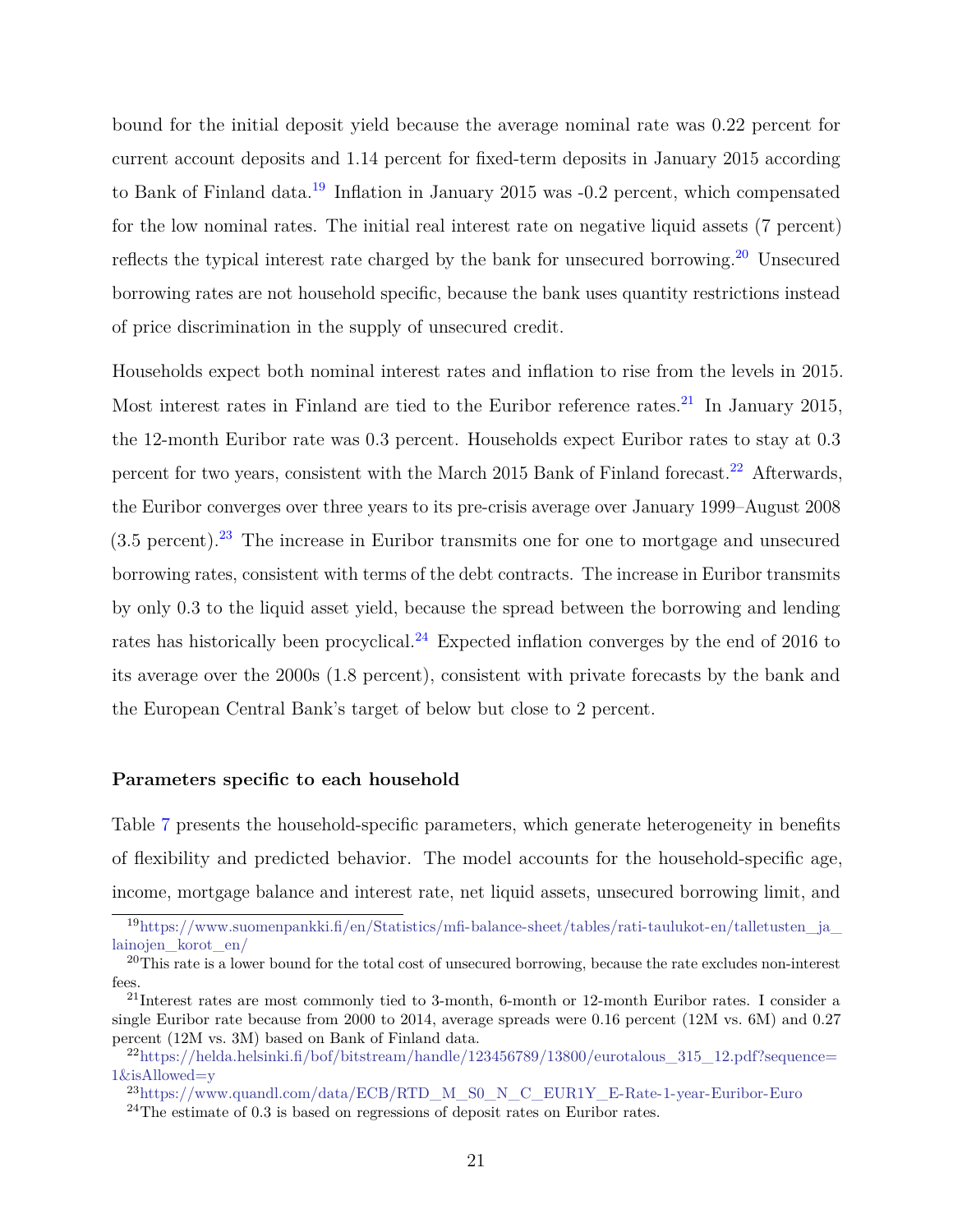bound for the initial deposit yield because the average nominal rate was 0.22 percent for current account deposits and 1.14 percent for fixed-term deposits in January 2015 according to Bank of Finland data.[19](#page-0-0) Inflation in January 2015 was -0.2 percent, which compensated for the low nominal rates. The initial real interest rate on negative liquid assets (7 percent) reflects the typical interest rate charged by the bank for unsecured borrowing.<sup>[20](#page-0-0)</sup> Unsecured borrowing rates are not household specific, because the bank uses quantity restrictions instead of price discrimination in the supply of unsecured credit.

Households expect both nominal interest rates and inflation to rise from the levels in 2015. Most interest rates in Finland are tied to the Euribor reference rates.<sup>[21](#page-0-0)</sup> In January 2015, the 12-month Euribor rate was 0.3 percent. Households expect Euribor rates to stay at 0.3 percent for two years, consistent with the March 2015 Bank of Finland forecast.<sup>[22](#page-0-0)</sup> Afterwards. the Euribor converges over three years to its pre-crisis average over January 1999–August 2008  $(3.5 \text{ percent})$ .<sup>[23](#page-0-0)</sup> The increase in Euribor transmits one for one to mortgage and unsecured borrowing rates, consistent with terms of the debt contracts. The increase in Euribor transmits by only 0.3 to the liquid asset yield, because the spread between the borrowing and lending rates has historically been procyclical.<sup>[24](#page-0-0)</sup> Expected inflation converges by the end of 2016 to its average over the 2000s (1.8 percent), consistent with private forecasts by the bank and the European Central Bank's target of below but close to 2 percent.

#### **Parameters specific to each household**

Table [7](#page-50-0) presents the household-specific parameters, which generate heterogeneity in benefits of flexibility and predicted behavior. The model accounts for the household-specific age, income, mortgage balance and interest rate, net liquid assets, unsecured borrowing limit, and

 $19$ [https://www.suomenpankki.fi/en/Statistics/mfi-balance-sheet/tables/rati-taulukot-en/talletusten\\_ja\\_](https://www.suomenpankki.fi/en/Statistics/mfi-balance-sheet/tables/rati-taulukot-en/talletusten_ja_lainojen_korot_en/) [lainojen\\_korot\\_en/](https://www.suomenpankki.fi/en/Statistics/mfi-balance-sheet/tables/rati-taulukot-en/talletusten_ja_lainojen_korot_en/)

<sup>&</sup>lt;sup>20</sup>This rate is a lower bound for the total cost of unsecured borrowing, because the rate excludes non-interest fees.

 $21$ Interest rates are most commonly tied to 3-month, 6-month or 12-month Euribor rates. I consider a single Euribor rate because from 2000 to 2014, average spreads were 0.16 percent (12M vs. 6M) and 0.27 percent (12M vs. 3M) based on Bank of Finland data.

 $^{22}$ [https://helda.helsinki.fi/bof/bitstream/handle/123456789/13800/eurotalous\\_315\\_12.pdf?sequence=](https://helda.helsinki.fi/bof/bitstream/handle/123456789/13800/eurotalous_315_12.pdf?sequence=1&isAllowed=y) [1&isAllowed=y](https://helda.helsinki.fi/bof/bitstream/handle/123456789/13800/eurotalous_315_12.pdf?sequence=1&isAllowed=y)

<sup>23</sup>[https://www.quandl.com/data/ECB/RTD\\_M\\_S0\\_N\\_C\\_EUR1Y\\_E-Rate-1-year-Euribor-Euro](https://www.quandl.com/data/ECB/RTD_M_S0_N_C_EUR1Y_E-Rate-1-year-Euribor-Euro)

 $24$ The estimate of 0.3 is based on regressions of deposit rates on Euribor rates.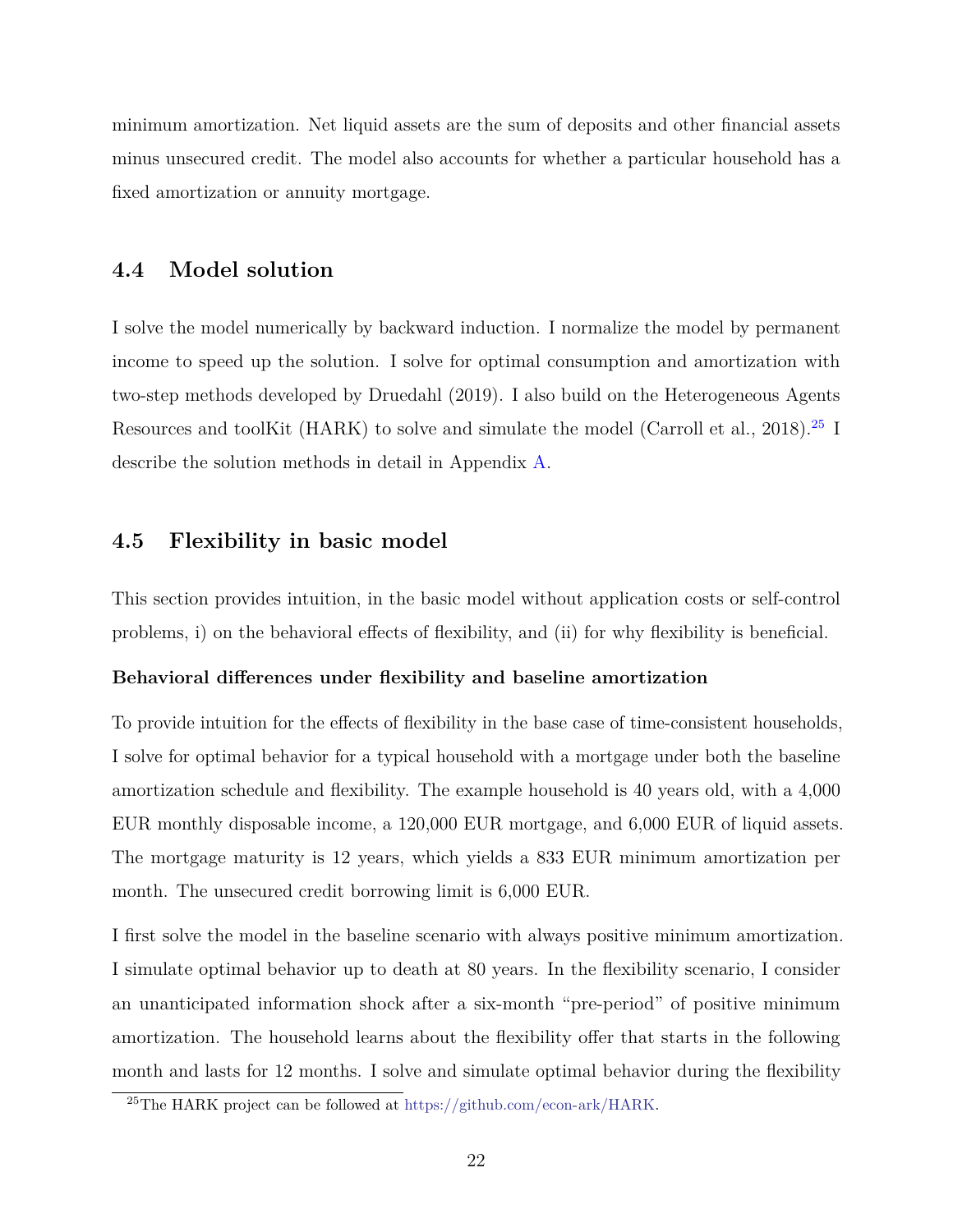minimum amortization. Net liquid assets are the sum of deposits and other financial assets minus unsecured credit. The model also accounts for whether a particular household has a fixed amortization or annuity mortgage.

### **4.4 Model solution**

I solve the model numerically by backward induction. I normalize the model by permanent income to speed up the solution. I solve for optimal consumption and amortization with two-step methods developed by Druedahl (2019). I also build on the Heterogeneous Agents Resources and toolKit (HARK) to solve and simulate the model (Carroll et al., 2018).<sup>[25](#page-0-0)</sup> I describe the solution methods in detail in Appendix [A.](#page-55-0)

### **4.5 Flexibility in basic model**

This section provides intuition, in the basic model without application costs or self-control problems, i) on the behavioral effects of flexibility, and (ii) for why flexibility is beneficial.

#### **Behavioral differences under flexibility and baseline amortization**

To provide intuition for the effects of flexibility in the base case of time-consistent households, I solve for optimal behavior for a typical household with a mortgage under both the baseline amortization schedule and flexibility. The example household is 40 years old, with a 4,000 EUR monthly disposable income, a 120,000 EUR mortgage, and 6,000 EUR of liquid assets. The mortgage maturity is 12 years, which yields a 833 EUR minimum amortization per month. The unsecured credit borrowing limit is 6,000 EUR.

I first solve the model in the baseline scenario with always positive minimum amortization. I simulate optimal behavior up to death at 80 years. In the flexibility scenario, I consider an unanticipated information shock after a six-month "pre-period" of positive minimum amortization. The household learns about the flexibility offer that starts in the following month and lasts for 12 months. I solve and simulate optimal behavior during the flexibility

<sup>25</sup>The HARK project can be followed at [https://github.com/econ-ark/HARK.](https://github.com/econ-ark/HARK)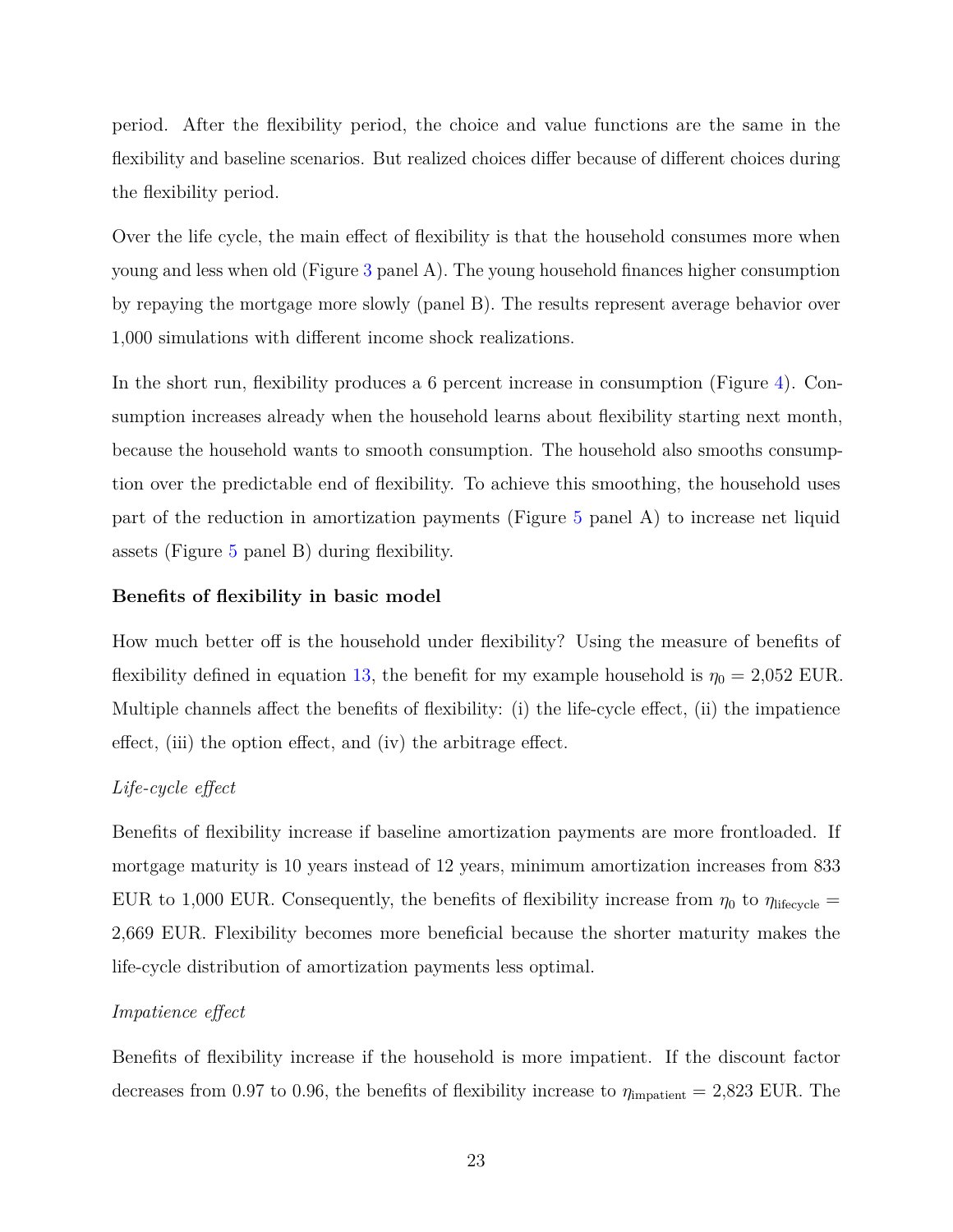period. After the flexibility period, the choice and value functions are the same in the flexibility and baseline scenarios. But realized choices differ because of different choices during the flexibility period.

Over the life cycle, the main effect of flexibility is that the household consumes more when young and less when old (Figure [3](#page-39-0) panel A). The young household finances higher consumption by repaying the mortgage more slowly (panel B). The results represent average behavior over 1,000 simulations with different income shock realizations.

In the short run, flexibility produces a 6 percent increase in consumption (Figure [4\)](#page-40-0). Consumption increases already when the household learns about flexibility starting next month, because the household wants to smooth consumption. The household also smooths consumption over the predictable end of flexibility. To achieve this smoothing, the household uses part of the reduction in amortization payments (Figure [5](#page-41-0) panel A) to increase net liquid assets (Figure [5](#page-41-0) panel B) during flexibility.

#### **Benefits of flexibility in basic model**

How much better off is the household under flexibility? Using the measure of benefits of flexibility defined in equation [13,](#page-16-0) the benefit for my example household is  $\eta_0 = 2{,}052$  EUR. Multiple channels affect the benefits of flexibility: (i) the life-cycle effect, (ii) the impatience effect, (iii) the option effect, and (iv) the arbitrage effect.

#### *Life-cycle effect*

Benefits of flexibility increase if baseline amortization payments are more frontloaded. If mortgage maturity is 10 years instead of 12 years, minimum amortization increases from 833 EUR to 1,000 EUR. Consequently, the benefits of flexibility increase from  $\eta_0$  to  $\eta_{\text{lifecycle}} =$ 2,669 EUR. Flexibility becomes more beneficial because the shorter maturity makes the life-cycle distribution of amortization payments less optimal.

#### *Impatience effect*

Benefits of flexibility increase if the household is more impatient. If the discount factor decreases from 0.97 to 0.96, the benefits of flexibility increase to  $\eta_{\text{impatient}} = 2,823 \text{ EUR}$ . The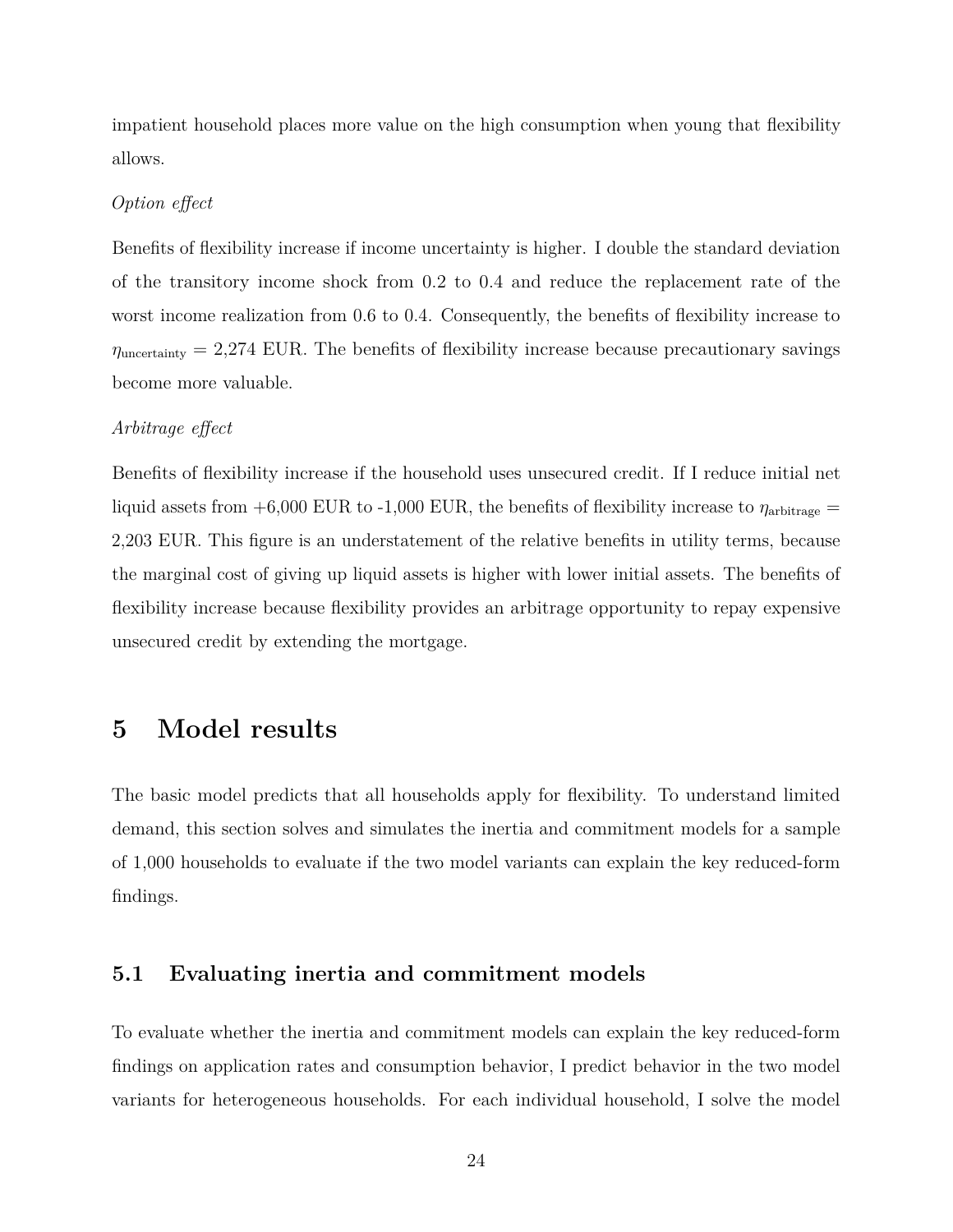impatient household places more value on the high consumption when young that flexibility allows.

#### *Option effect*

Benefits of flexibility increase if income uncertainty is higher. I double the standard deviation of the transitory income shock from 0.2 to 0.4 and reduce the replacement rate of the worst income realization from 0.6 to 0.4. Consequently, the benefits of flexibility increase to  $\eta_{\text{uncertainty}} = 2.274$  EUR. The benefits of flexibility increase because precautionary savings become more valuable.

#### *Arbitrage effect*

Benefits of flexibility increase if the household uses unsecured credit. If I reduce initial net liquid assets from  $+6,000$  EUR to  $-1,000$  EUR, the benefits of flexibility increase to  $\eta_{\text{arbitrage}} =$ 2,203 EUR. This figure is an understatement of the relative benefits in utility terms, because the marginal cost of giving up liquid assets is higher with lower initial assets. The benefits of flexibility increase because flexibility provides an arbitrage opportunity to repay expensive unsecured credit by extending the mortgage.

# <span id="page-23-0"></span>**5 Model results**

The basic model predicts that all households apply for flexibility. To understand limited demand, this section solves and simulates the inertia and commitment models for a sample of 1,000 households to evaluate if the two model variants can explain the key reduced-form findings.

# **5.1 Evaluating inertia and commitment models**

To evaluate whether the inertia and commitment models can explain the key reduced-form findings on application rates and consumption behavior, I predict behavior in the two model variants for heterogeneous households. For each individual household, I solve the model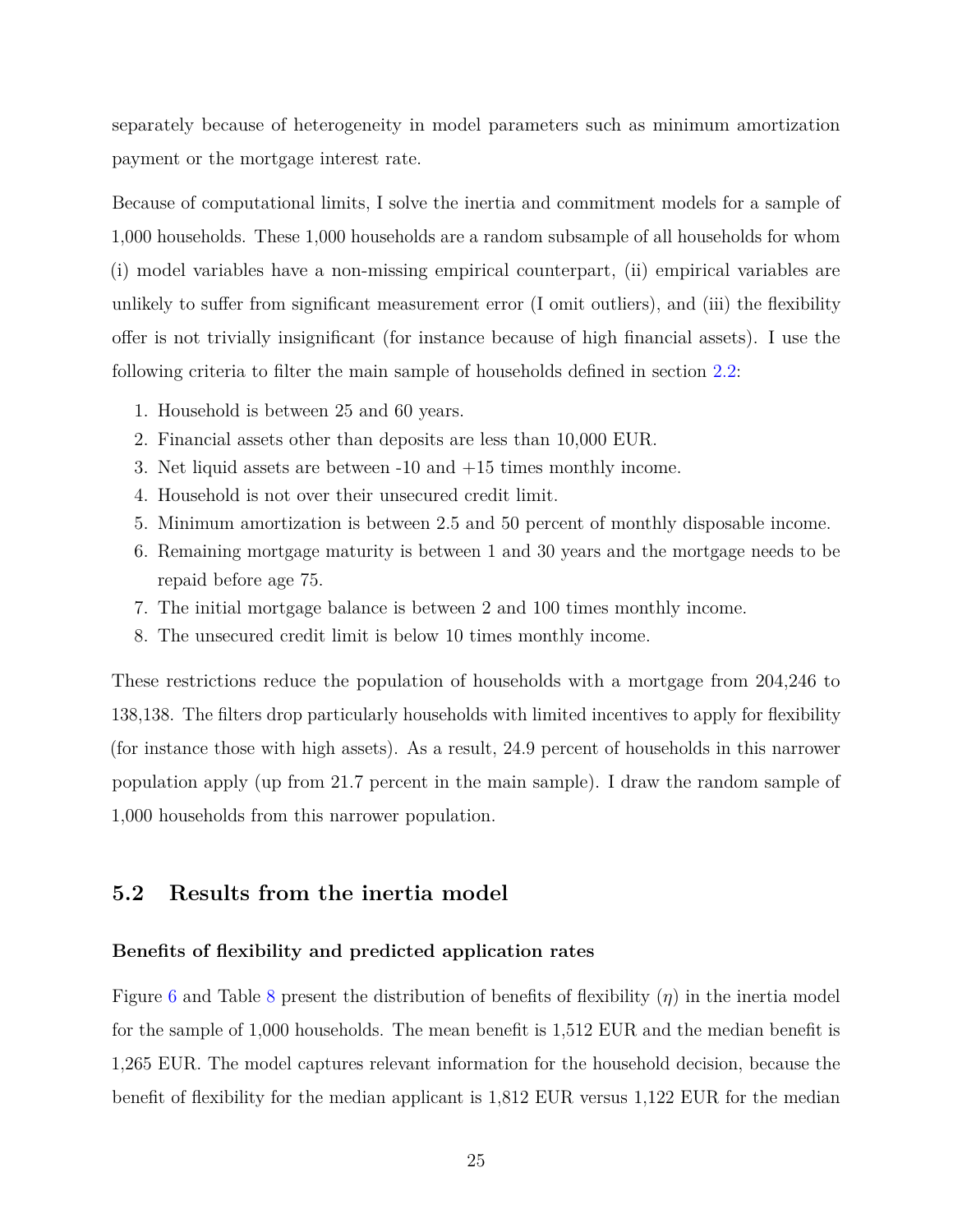separately because of heterogeneity in model parameters such as minimum amortization payment or the mortgage interest rate.

Because of computational limits, I solve the inertia and commitment models for a sample of 1,000 households. These 1,000 households are a random subsample of all households for whom (i) model variables have a non-missing empirical counterpart, (ii) empirical variables are unlikely to suffer from significant measurement error (I omit outliers), and (iii) the flexibility offer is not trivially insignificant (for instance because of high financial assets). I use the following criteria to filter the main sample of households defined in section [2.2:](#page-5-0)

- 1. Household is between 25 and 60 years.
- 2. Financial assets other than deposits are less than 10,000 EUR.
- 3. Net liquid assets are between -10 and +15 times monthly income.
- 4. Household is not over their unsecured credit limit.
- 5. Minimum amortization is between 2.5 and 50 percent of monthly disposable income.
- 6. Remaining mortgage maturity is between 1 and 30 years and the mortgage needs to be repaid before age 75.
- 7. The initial mortgage balance is between 2 and 100 times monthly income.
- 8. The unsecured credit limit is below 10 times monthly income.

These restrictions reduce the population of households with a mortgage from 204,246 to 138,138. The filters drop particularly households with limited incentives to apply for flexibility (for instance those with high assets). As a result, 24.9 percent of households in this narrower population apply (up from 21.7 percent in the main sample). I draw the random sample of 1,000 households from this narrower population.

### **5.2 Results from the inertia model**

#### **Benefits of flexibility and predicted application rates**

Figure [6](#page-42-0) and Table [8](#page-51-0) present the distribution of benefits of flexibility (*η*) in the inertia model for the sample of 1,000 households. The mean benefit is 1,512 EUR and the median benefit is 1,265 EUR. The model captures relevant information for the household decision, because the benefit of flexibility for the median applicant is 1,812 EUR versus 1,122 EUR for the median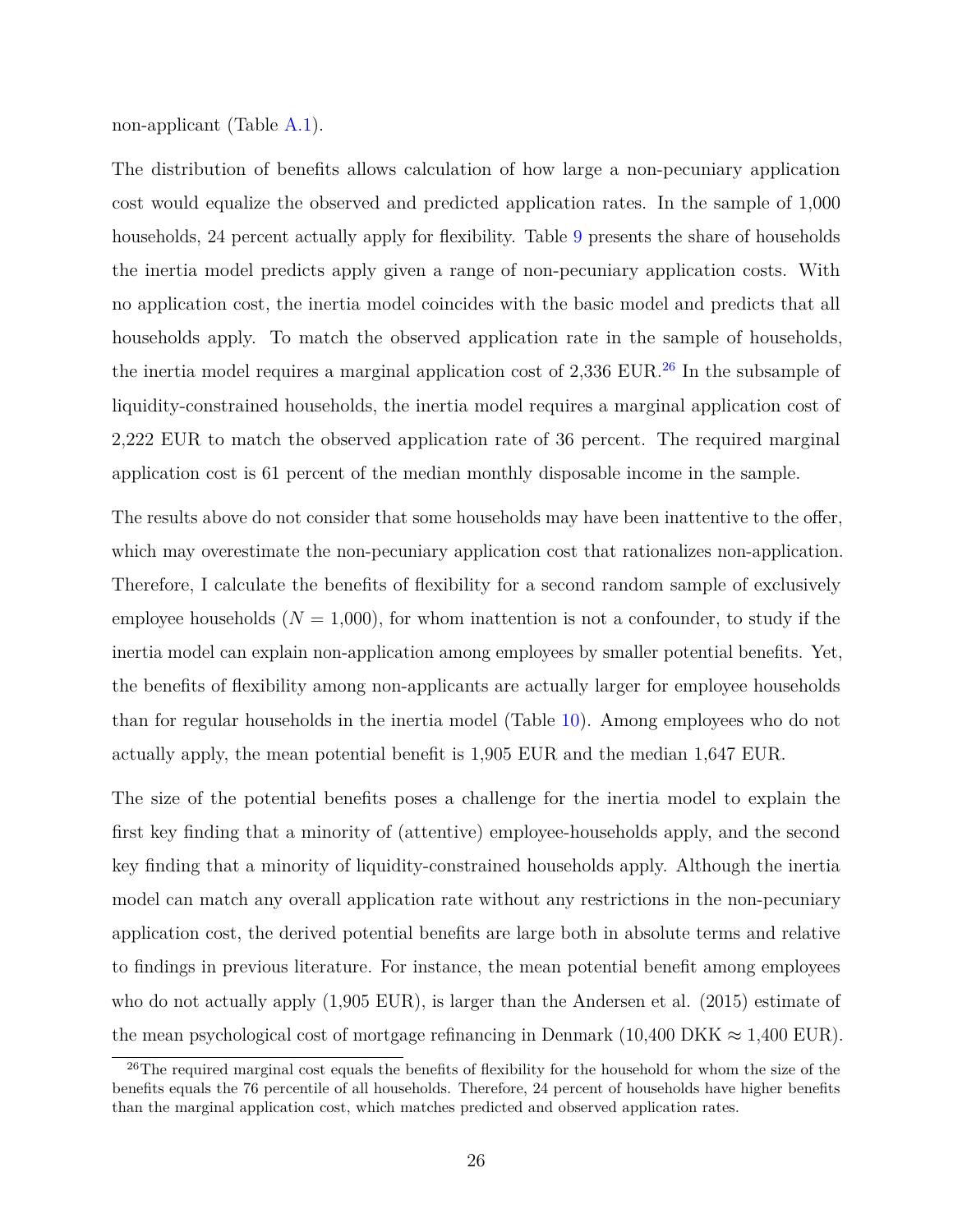non-applicant (Table [A.1\)](#page-62-0).

The distribution of benefits allows calculation of how large a non-pecuniary application cost would equalize the observed and predicted application rates. In the sample of 1,000 households, 24 percent actually apply for flexibility. Table [9](#page-52-0) presents the share of households the inertia model predicts apply given a range of non-pecuniary application costs. With no application cost, the inertia model coincides with the basic model and predicts that all households apply. To match the observed application rate in the sample of households, the inertia model requires a marginal application cost of  $2,336$  EUR.<sup>[26](#page-0-0)</sup> In the subsample of liquidity-constrained households, the inertia model requires a marginal application cost of 2,222 EUR to match the observed application rate of 36 percent. The required marginal application cost is 61 percent of the median monthly disposable income in the sample.

The results above do not consider that some households may have been inattentive to the offer, which may overestimate the non-pecuniary application cost that rationalizes non-application. Therefore, I calculate the benefits of flexibility for a second random sample of exclusively employee households  $(N = 1,000)$ , for whom inattention is not a confounder, to study if the inertia model can explain non-application among employees by smaller potential benefits. Yet, the benefits of flexibility among non-applicants are actually larger for employee households than for regular households in the inertia model (Table [10\)](#page-53-0). Among employees who do not actually apply, the mean potential benefit is 1,905 EUR and the median 1,647 EUR.

The size of the potential benefits poses a challenge for the inertia model to explain the first key finding that a minority of (attentive) employee-households apply, and the second key finding that a minority of liquidity-constrained households apply. Although the inertia model can match any overall application rate without any restrictions in the non-pecuniary application cost, the derived potential benefits are large both in absolute terms and relative to findings in previous literature. For instance, the mean potential benefit among employees who do not actually apply (1,905 EUR), is larger than the Andersen et al. (2015) estimate of the mean psychological cost of mortgage refinancing in Denmark (10,400 DKK  $\approx 1,400$  EUR).

<sup>&</sup>lt;sup>26</sup>The required marginal cost equals the benefits of flexibility for the household for whom the size of the benefits equals the 76 percentile of all households. Therefore, 24 percent of households have higher benefits than the marginal application cost, which matches predicted and observed application rates.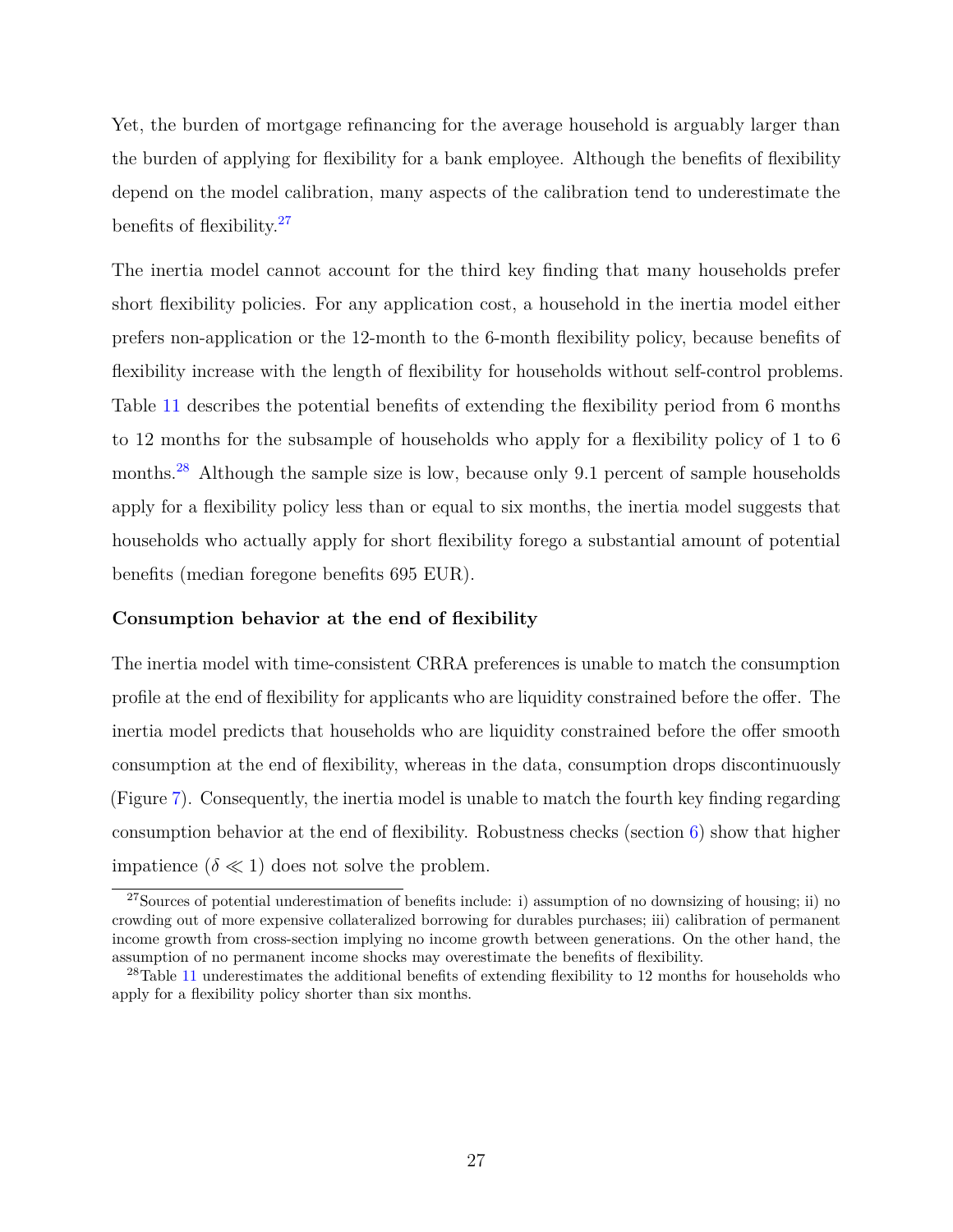Yet, the burden of mortgage refinancing for the average household is arguably larger than the burden of applying for flexibility for a bank employee. Although the benefits of flexibility depend on the model calibration, many aspects of the calibration tend to underestimate the benefits of flexibility.<sup>[27](#page-0-0)</sup>

The inertia model cannot account for the third key finding that many households prefer short flexibility policies. For any application cost, a household in the inertia model either prefers non-application or the 12-month to the 6-month flexibility policy, because benefits of flexibility increase with the length of flexibility for households without self-control problems. Table [11](#page-54-0) describes the potential benefits of extending the flexibility period from 6 months to 12 months for the subsample of households who apply for a flexibility policy of 1 to 6 months.<sup>[28](#page-0-0)</sup> Although the sample size is low, because only 9.1 percent of sample households apply for a flexibility policy less than or equal to six months, the inertia model suggests that households who actually apply for short flexibility forego a substantial amount of potential benefits (median foregone benefits 695 EUR).

#### **Consumption behavior at the end of flexibility**

The inertia model with time-consistent CRRA preferences is unable to match the consumption profile at the end of flexibility for applicants who are liquidity constrained before the offer. The inertia model predicts that households who are liquidity constrained before the offer smooth consumption at the end of flexibility, whereas in the data, consumption drops discontinuously (Figure [7\)](#page-43-0). Consequently, the inertia model is unable to match the fourth key finding regarding consumption behavior at the end of flexibility. Robustness checks (section  $6$ ) show that higher impatience  $(\delta \ll 1)$  does not solve the problem.

<sup>&</sup>lt;sup>27</sup>Sources of potential underestimation of benefits include: i) assumption of no downsizing of housing; ii) no crowding out of more expensive collateralized borrowing for durables purchases; iii) calibration of permanent income growth from cross-section implying no income growth between generations. On the other hand, the assumption of no permanent income shocks may overestimate the benefits of flexibility.

 $^{28}$ Table [11](#page-54-0) underestimates the additional benefits of extending flexibility to 12 months for households who apply for a flexibility policy shorter than six months.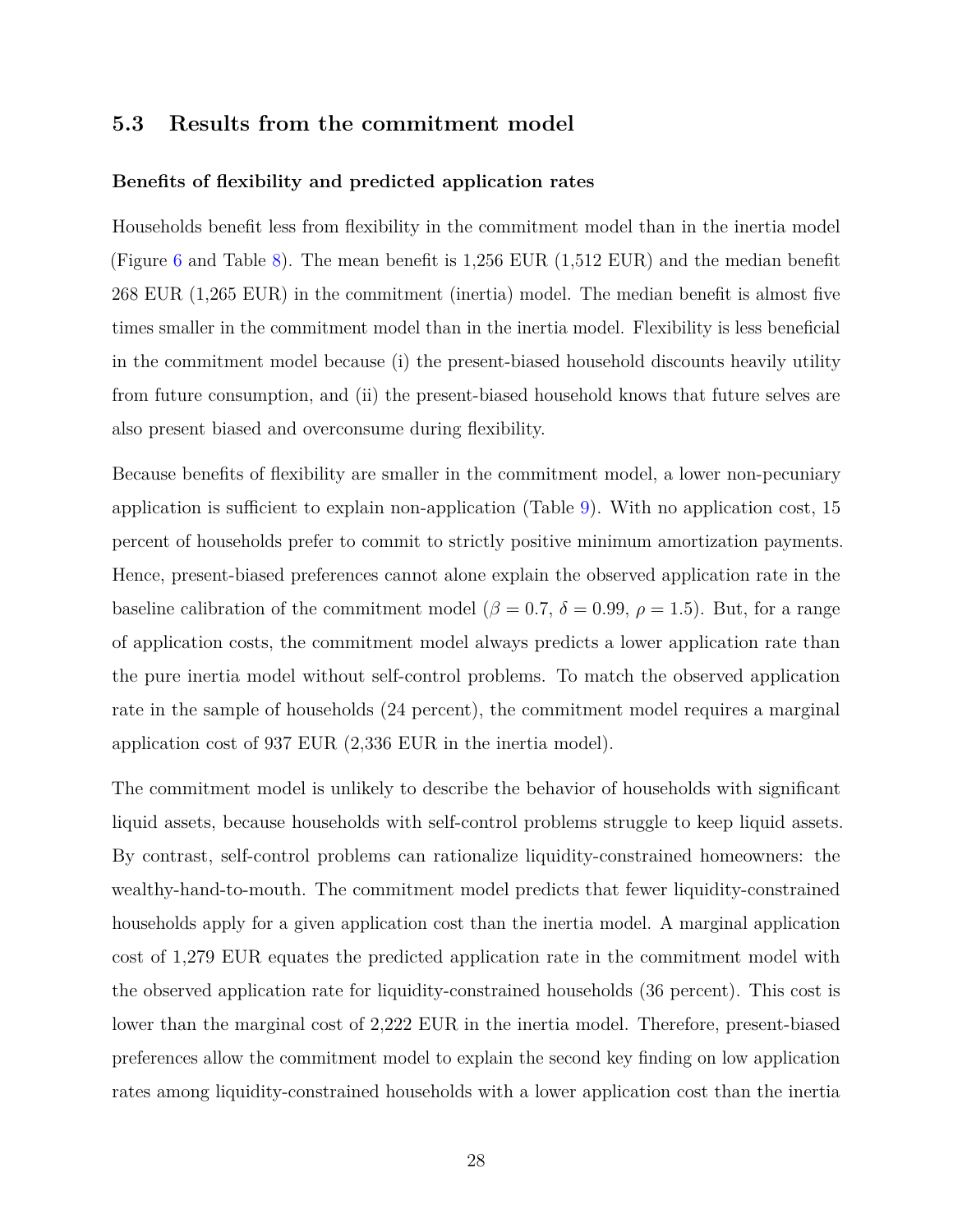# **5.3 Results from the commitment model**

#### **Benefits of flexibility and predicted application rates**

Households benefit less from flexibility in the commitment model than in the inertia model (Figure [6](#page-42-0) and Table [8\)](#page-51-0). The mean benefit is 1,256 EUR (1,512 EUR) and the median benefit 268 EUR (1,265 EUR) in the commitment (inertia) model. The median benefit is almost five times smaller in the commitment model than in the inertia model. Flexibility is less beneficial in the commitment model because (i) the present-biased household discounts heavily utility from future consumption, and (ii) the present-biased household knows that future selves are also present biased and overconsume during flexibility.

Because benefits of flexibility are smaller in the commitment model, a lower non-pecuniary application is sufficient to explain non-application (Table [9\)](#page-52-0). With no application cost, 15 percent of households prefer to commit to strictly positive minimum amortization payments. Hence, present-biased preferences cannot alone explain the observed application rate in the baseline calibration of the commitment model ( $\beta = 0.7$ ,  $\delta = 0.99$ ,  $\rho = 1.5$ ). But, for a range of application costs, the commitment model always predicts a lower application rate than the pure inertia model without self-control problems. To match the observed application rate in the sample of households (24 percent), the commitment model requires a marginal application cost of 937 EUR (2,336 EUR in the inertia model).

The commitment model is unlikely to describe the behavior of households with significant liquid assets, because households with self-control problems struggle to keep liquid assets. By contrast, self-control problems can rationalize liquidity-constrained homeowners: the wealthy-hand-to-mouth. The commitment model predicts that fewer liquidity-constrained households apply for a given application cost than the inertia model. A marginal application cost of 1,279 EUR equates the predicted application rate in the commitment model with the observed application rate for liquidity-constrained households (36 percent). This cost is lower than the marginal cost of 2,222 EUR in the inertia model. Therefore, present-biased preferences allow the commitment model to explain the second key finding on low application rates among liquidity-constrained households with a lower application cost than the inertia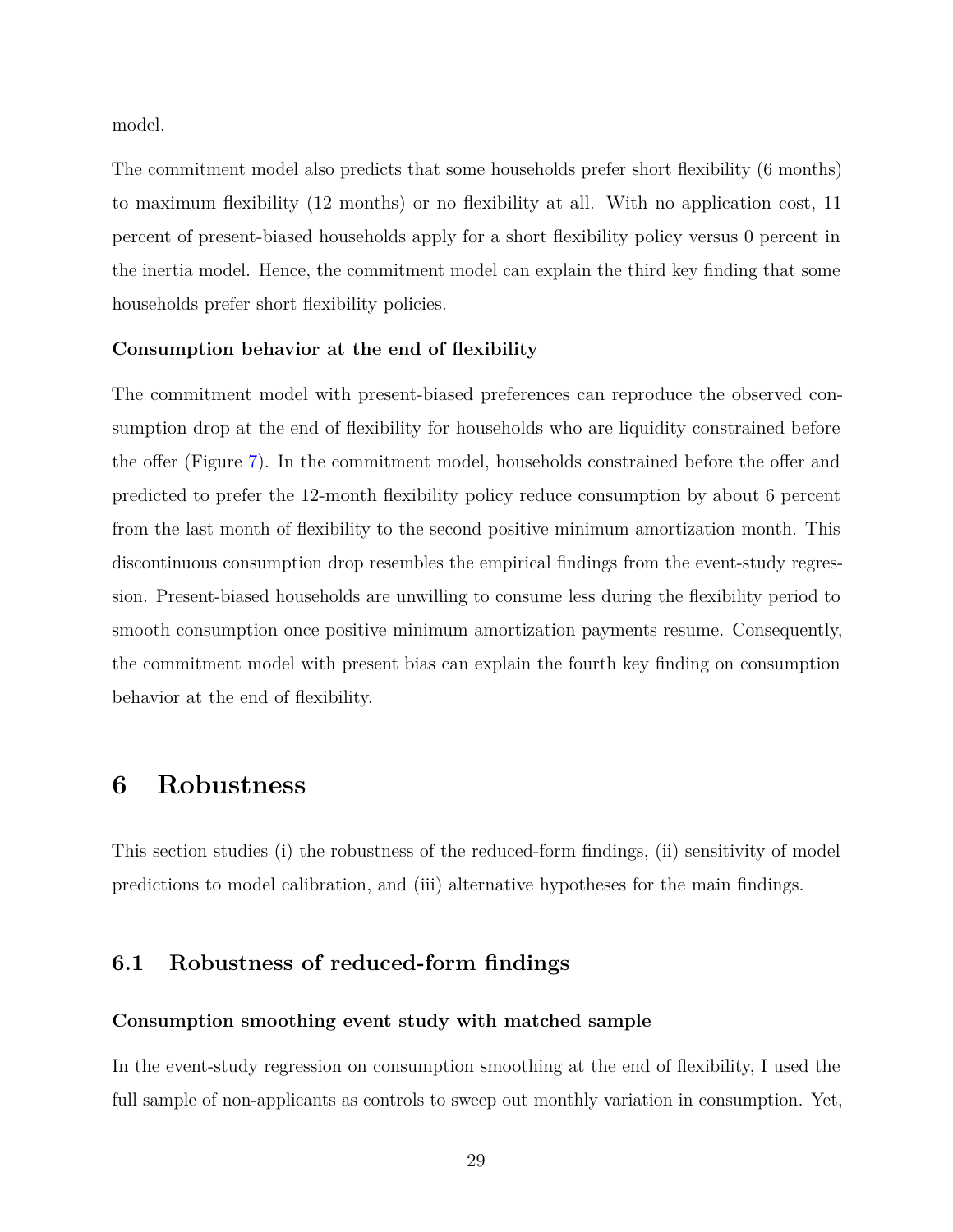model.

The commitment model also predicts that some households prefer short flexibility (6 months) to maximum flexibility (12 months) or no flexibility at all. With no application cost, 11 percent of present-biased households apply for a short flexibility policy versus 0 percent in the inertia model. Hence, the commitment model can explain the third key finding that some households prefer short flexibility policies.

#### **Consumption behavior at the end of flexibility**

The commitment model with present-biased preferences can reproduce the observed consumption drop at the end of flexibility for households who are liquidity constrained before the offer (Figure [7\)](#page-43-0). In the commitment model, households constrained before the offer and predicted to prefer the 12-month flexibility policy reduce consumption by about 6 percent from the last month of flexibility to the second positive minimum amortization month. This discontinuous consumption drop resembles the empirical findings from the event-study regression. Present-biased households are unwilling to consume less during the flexibility period to smooth consumption once positive minimum amortization payments resume. Consequently, the commitment model with present bias can explain the fourth key finding on consumption behavior at the end of flexibility.

# <span id="page-28-0"></span>**6 Robustness**

This section studies (i) the robustness of the reduced-form findings, (ii) sensitivity of model predictions to model calibration, and (iii) alternative hypotheses for the main findings.

# **6.1 Robustness of reduced-form findings**

#### **Consumption smoothing event study with matched sample**

In the event-study regression on consumption smoothing at the end of flexibility, I used the full sample of non-applicants as controls to sweep out monthly variation in consumption. Yet,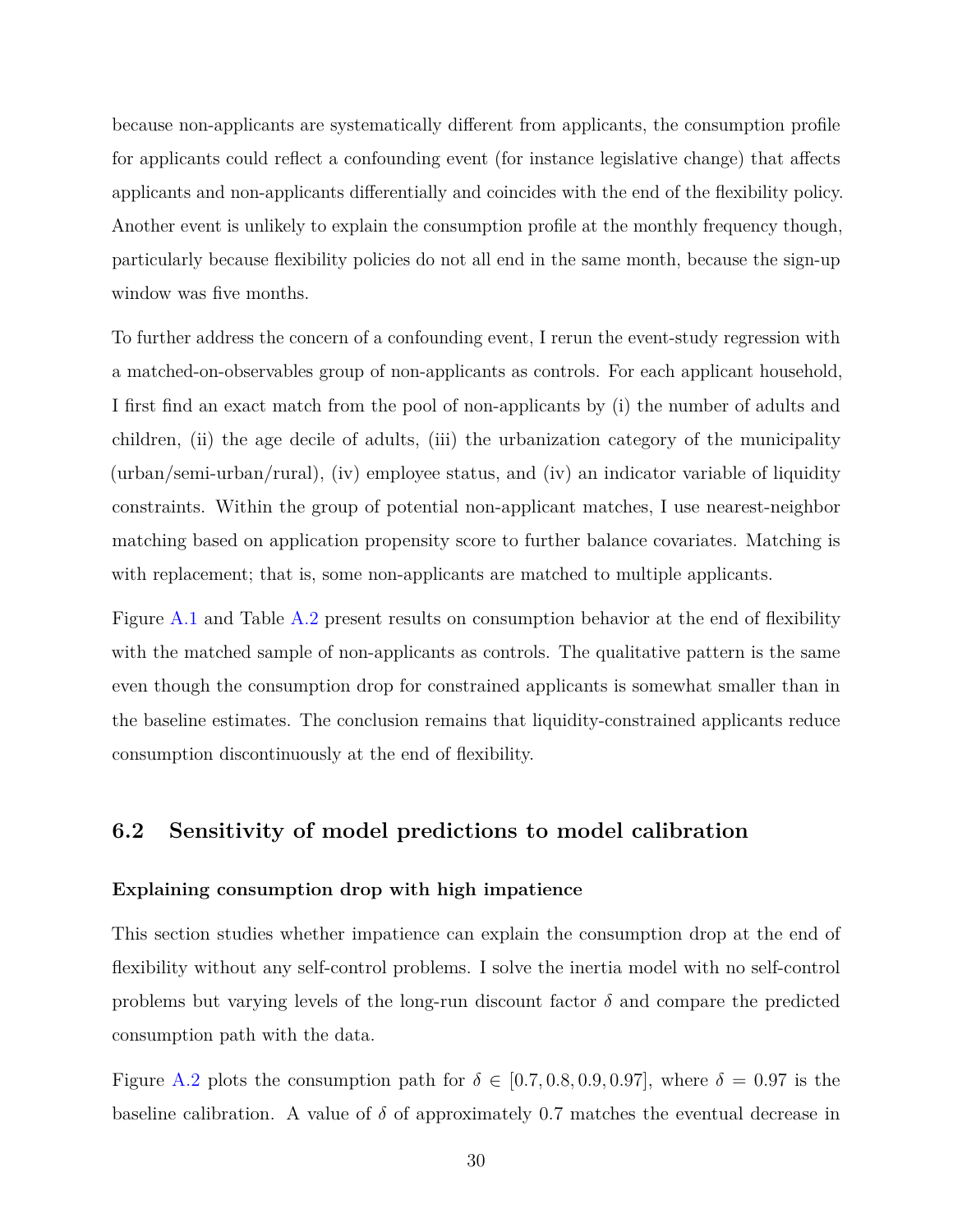because non-applicants are systematically different from applicants, the consumption profile for applicants could reflect a confounding event (for instance legislative change) that affects applicants and non-applicants differentially and coincides with the end of the flexibility policy. Another event is unlikely to explain the consumption profile at the monthly frequency though, particularly because flexibility policies do not all end in the same month, because the sign-up window was five months.

To further address the concern of a confounding event, I rerun the event-study regression with a matched-on-observables group of non-applicants as controls. For each applicant household, I first find an exact match from the pool of non-applicants by (i) the number of adults and children, (ii) the age decile of adults, (iii) the urbanization category of the municipality (urban/semi-urban/rural), (iv) employee status, and (iv) an indicator variable of liquidity constraints. Within the group of potential non-applicant matches, I use nearest-neighbor matching based on application propensity score to further balance covariates. Matching is with replacement; that is, some non-applicants are matched to multiple applicants.

Figure [A.1](#page-58-0) and Table [A.2](#page-63-0) present results on consumption behavior at the end of flexibility with the matched sample of non-applicants as controls. The qualitative pattern is the same even though the consumption drop for constrained applicants is somewhat smaller than in the baseline estimates. The conclusion remains that liquidity-constrained applicants reduce consumption discontinuously at the end of flexibility.

# **6.2 Sensitivity of model predictions to model calibration**

#### **Explaining consumption drop with high impatience**

This section studies whether impatience can explain the consumption drop at the end of flexibility without any self-control problems. I solve the inertia model with no self-control problems but varying levels of the long-run discount factor  $\delta$  and compare the predicted consumption path with the data.

Figure [A.2](#page-59-0) plots the consumption path for  $\delta \in [0.7, 0.8, 0.9, 0.97]$ , where  $\delta = 0.97$  is the baseline calibration. A value of  $\delta$  of approximately 0.7 matches the eventual decrease in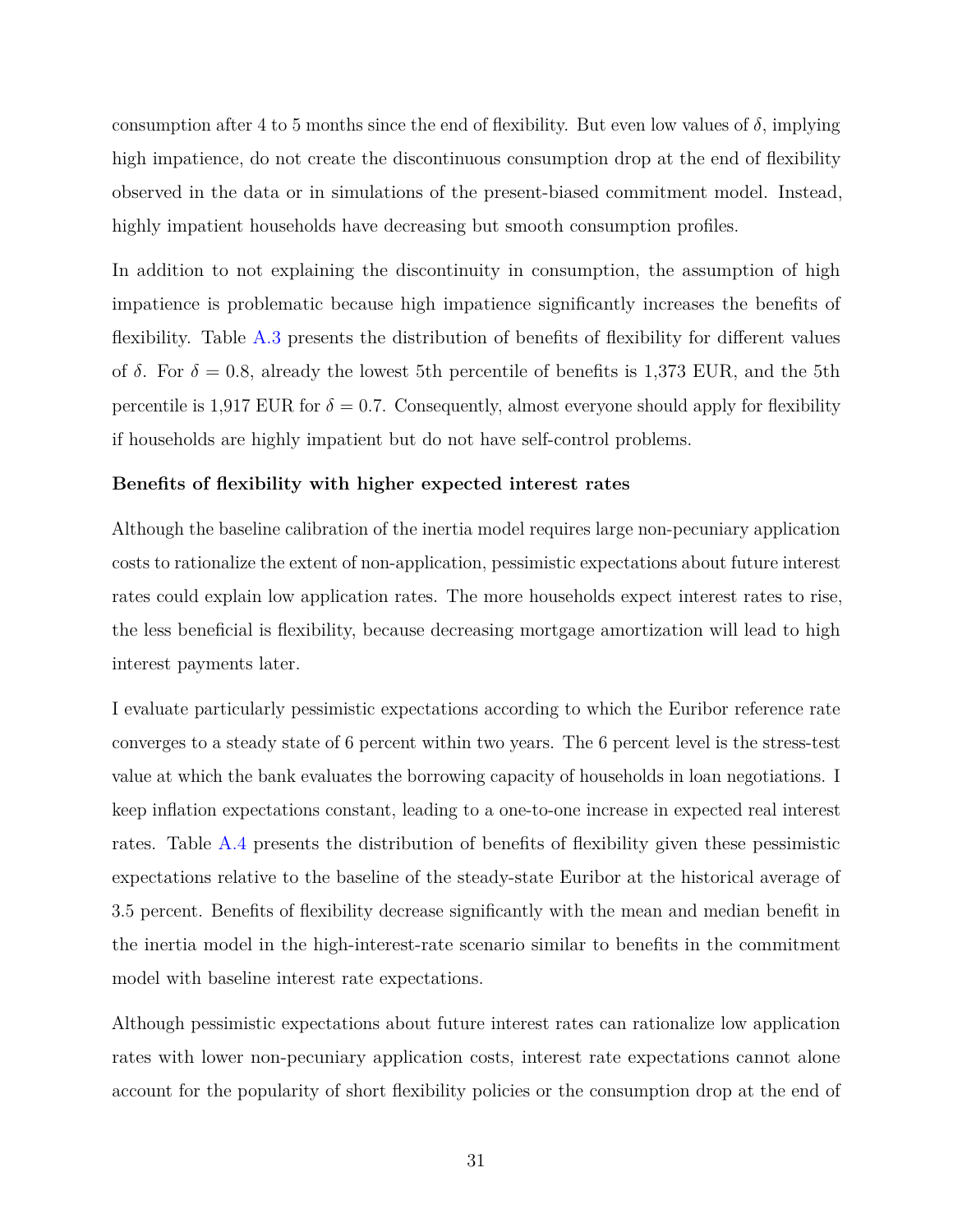consumption after 4 to 5 months since the end of flexibility. But even low values of  $\delta$ , implying high impatience, do not create the discontinuous consumption drop at the end of flexibility observed in the data or in simulations of the present-biased commitment model. Instead, highly impatient households have decreasing but smooth consumption profiles.

In addition to not explaining the discontinuity in consumption, the assumption of high impatience is problematic because high impatience significantly increases the benefits of flexibility. Table [A.3](#page-64-0) presents the distribution of benefits of flexibility for different values of  $\delta$ . For  $\delta = 0.8$ , already the lowest 5th percentile of benefits is 1,373 EUR, and the 5th percentile is 1,917 EUR for  $\delta = 0.7$ . Consequently, almost everyone should apply for flexibility if households are highly impatient but do not have self-control problems.

#### **Benefits of flexibility with higher expected interest rates**

Although the baseline calibration of the inertia model requires large non-pecuniary application costs to rationalize the extent of non-application, pessimistic expectations about future interest rates could explain low application rates. The more households expect interest rates to rise, the less beneficial is flexibility, because decreasing mortgage amortization will lead to high interest payments later.

I evaluate particularly pessimistic expectations according to which the Euribor reference rate converges to a steady state of 6 percent within two years. The 6 percent level is the stress-test value at which the bank evaluates the borrowing capacity of households in loan negotiations. I keep inflation expectations constant, leading to a one-to-one increase in expected real interest rates. Table [A.4](#page-65-0) presents the distribution of benefits of flexibility given these pessimistic expectations relative to the baseline of the steady-state Euribor at the historical average of 3.5 percent. Benefits of flexibility decrease significantly with the mean and median benefit in the inertia model in the high-interest-rate scenario similar to benefits in the commitment model with baseline interest rate expectations.

Although pessimistic expectations about future interest rates can rationalize low application rates with lower non-pecuniary application costs, interest rate expectations cannot alone account for the popularity of short flexibility policies or the consumption drop at the end of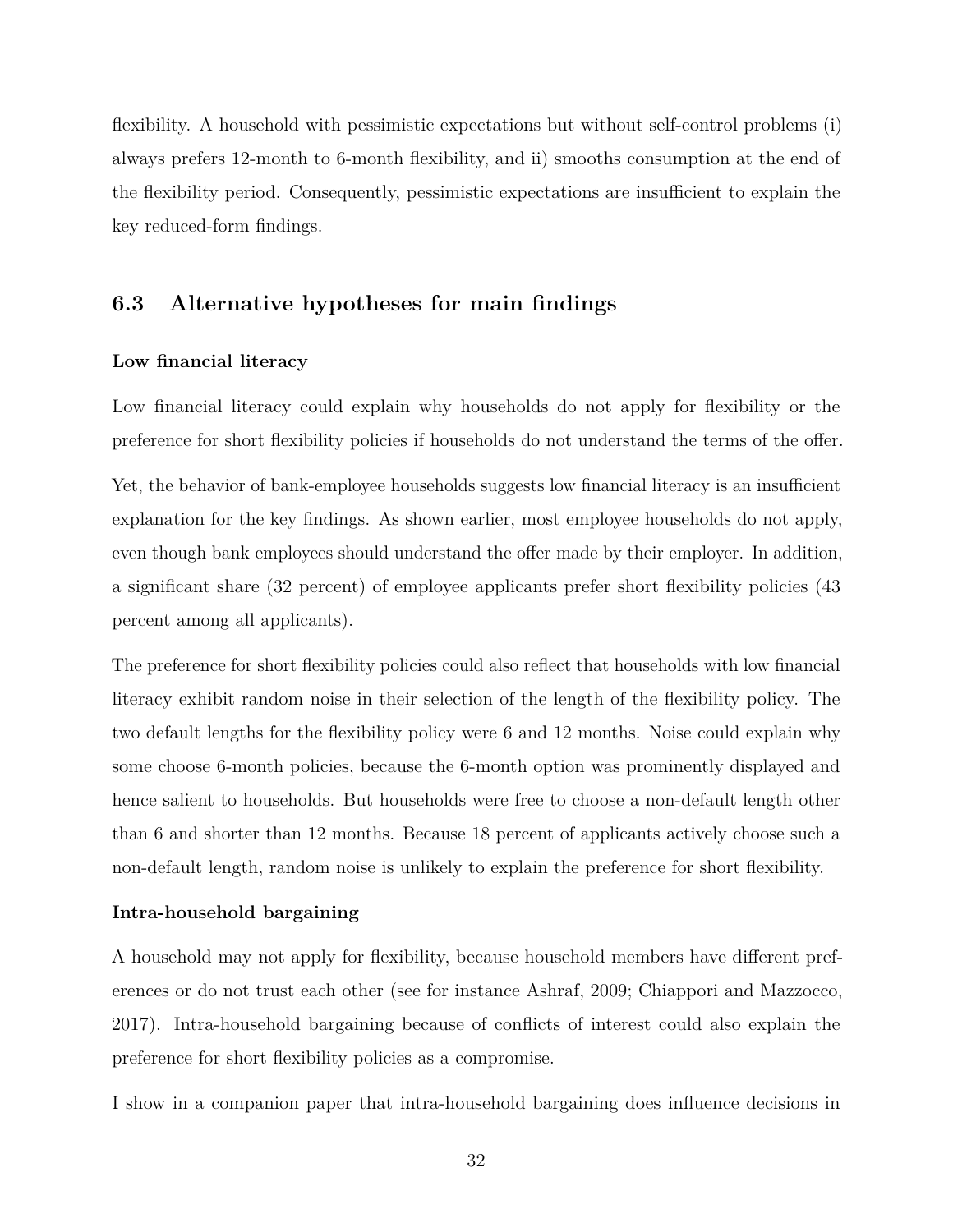flexibility. A household with pessimistic expectations but without self-control problems (i) always prefers 12-month to 6-month flexibility, and ii) smooths consumption at the end of the flexibility period. Consequently, pessimistic expectations are insufficient to explain the key reduced-form findings.

# **6.3 Alternative hypotheses for main findings**

#### **Low financial literacy**

Low financial literacy could explain why households do not apply for flexibility or the preference for short flexibility policies if households do not understand the terms of the offer.

Yet, the behavior of bank-employee households suggests low financial literacy is an insufficient explanation for the key findings. As shown earlier, most employee households do not apply, even though bank employees should understand the offer made by their employer. In addition, a significant share (32 percent) of employee applicants prefer short flexibility policies (43 percent among all applicants).

The preference for short flexibility policies could also reflect that households with low financial literacy exhibit random noise in their selection of the length of the flexibility policy. The two default lengths for the flexibility policy were 6 and 12 months. Noise could explain why some choose 6-month policies, because the 6-month option was prominently displayed and hence salient to households. But households were free to choose a non-default length other than 6 and shorter than 12 months. Because 18 percent of applicants actively choose such a non-default length, random noise is unlikely to explain the preference for short flexibility.

#### **Intra-household bargaining**

A household may not apply for flexibility, because household members have different preferences or do not trust each other (see for instance Ashraf, 2009; Chiappori and Mazzocco, 2017). Intra-household bargaining because of conflicts of interest could also explain the preference for short flexibility policies as a compromise.

I show in a companion paper that intra-household bargaining does influence decisions in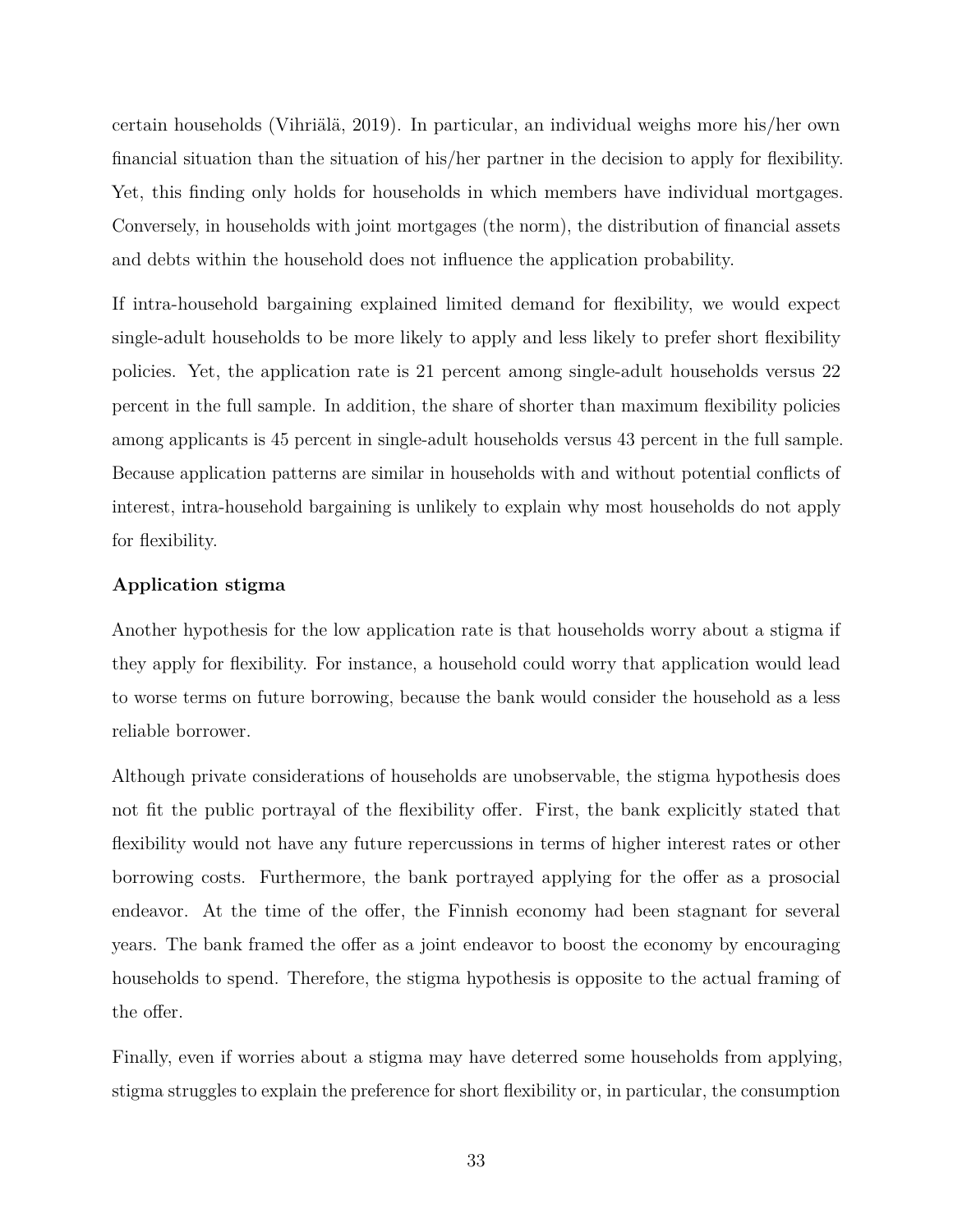certain households (Vihriälä, 2019). In particular, an individual weighs more his/her own financial situation than the situation of his/her partner in the decision to apply for flexibility. Yet, this finding only holds for households in which members have individual mortgages. Conversely, in households with joint mortgages (the norm), the distribution of financial assets and debts within the household does not influence the application probability.

If intra-household bargaining explained limited demand for flexibility, we would expect single-adult households to be more likely to apply and less likely to prefer short flexibility policies. Yet, the application rate is 21 percent among single-adult households versus 22 percent in the full sample. In addition, the share of shorter than maximum flexibility policies among applicants is 45 percent in single-adult households versus 43 percent in the full sample. Because application patterns are similar in households with and without potential conflicts of interest, intra-household bargaining is unlikely to explain why most households do not apply for flexibility.

#### **Application stigma**

Another hypothesis for the low application rate is that households worry about a stigma if they apply for flexibility. For instance, a household could worry that application would lead to worse terms on future borrowing, because the bank would consider the household as a less reliable borrower.

Although private considerations of households are unobservable, the stigma hypothesis does not fit the public portrayal of the flexibility offer. First, the bank explicitly stated that flexibility would not have any future repercussions in terms of higher interest rates or other borrowing costs. Furthermore, the bank portrayed applying for the offer as a prosocial endeavor. At the time of the offer, the Finnish economy had been stagnant for several years. The bank framed the offer as a joint endeavor to boost the economy by encouraging households to spend. Therefore, the stigma hypothesis is opposite to the actual framing of the offer.

Finally, even if worries about a stigma may have deterred some households from applying, stigma struggles to explain the preference for short flexibility or, in particular, the consumption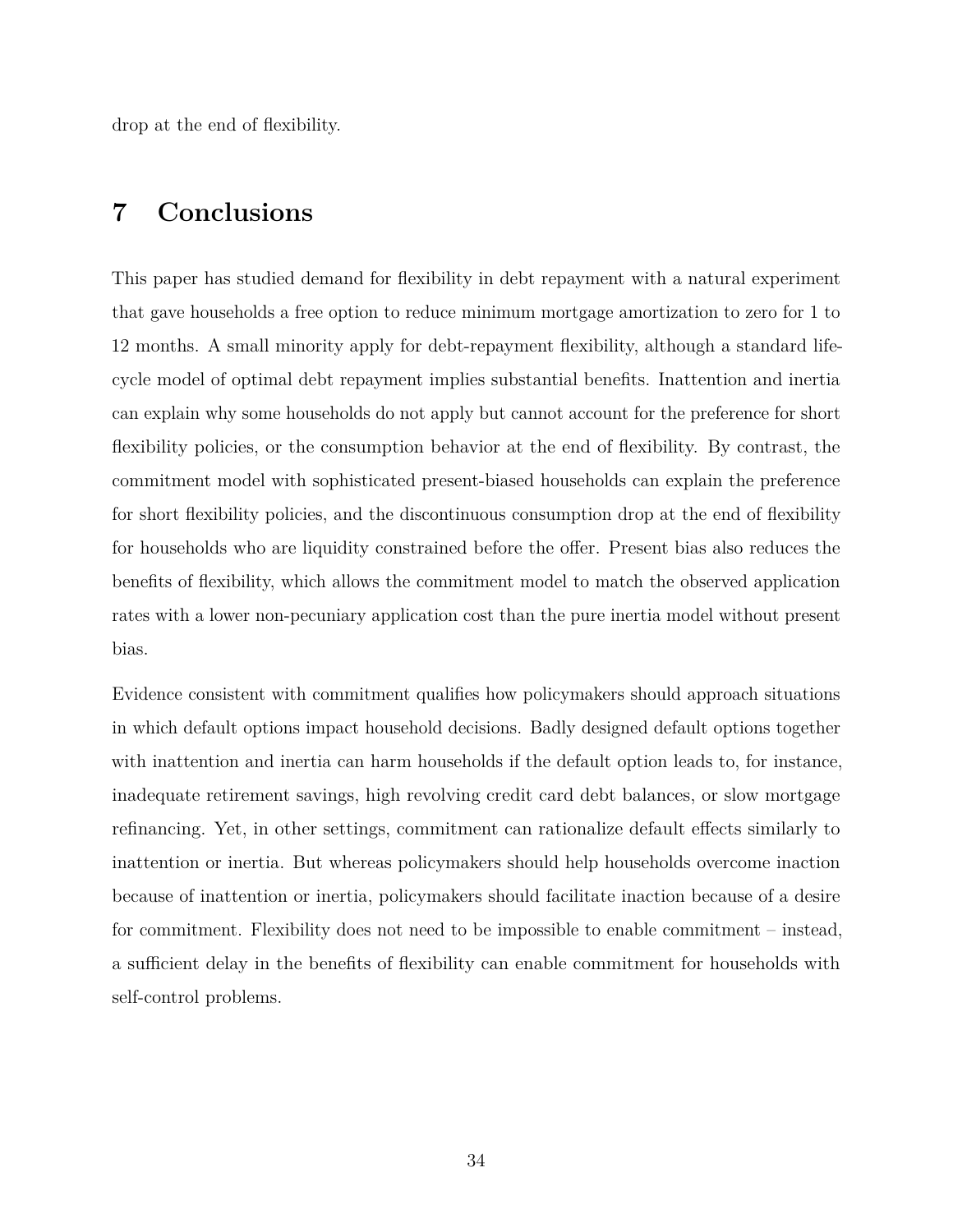drop at the end of flexibility.

# <span id="page-33-0"></span>**7 Conclusions**

This paper has studied demand for flexibility in debt repayment with a natural experiment that gave households a free option to reduce minimum mortgage amortization to zero for 1 to 12 months. A small minority apply for debt-repayment flexibility, although a standard lifecycle model of optimal debt repayment implies substantial benefits. Inattention and inertia can explain why some households do not apply but cannot account for the preference for short flexibility policies, or the consumption behavior at the end of flexibility. By contrast, the commitment model with sophisticated present-biased households can explain the preference for short flexibility policies, and the discontinuous consumption drop at the end of flexibility for households who are liquidity constrained before the offer. Present bias also reduces the benefits of flexibility, which allows the commitment model to match the observed application rates with a lower non-pecuniary application cost than the pure inertia model without present bias.

Evidence consistent with commitment qualifies how policymakers should approach situations in which default options impact household decisions. Badly designed default options together with inattention and inertia can harm households if the default option leads to, for instance, inadequate retirement savings, high revolving credit card debt balances, or slow mortgage refinancing. Yet, in other settings, commitment can rationalize default effects similarly to inattention or inertia. But whereas policymakers should help households overcome inaction because of inattention or inertia, policymakers should facilitate inaction because of a desire for commitment. Flexibility does not need to be impossible to enable commitment – instead, a sufficient delay in the benefits of flexibility can enable commitment for households with self-control problems.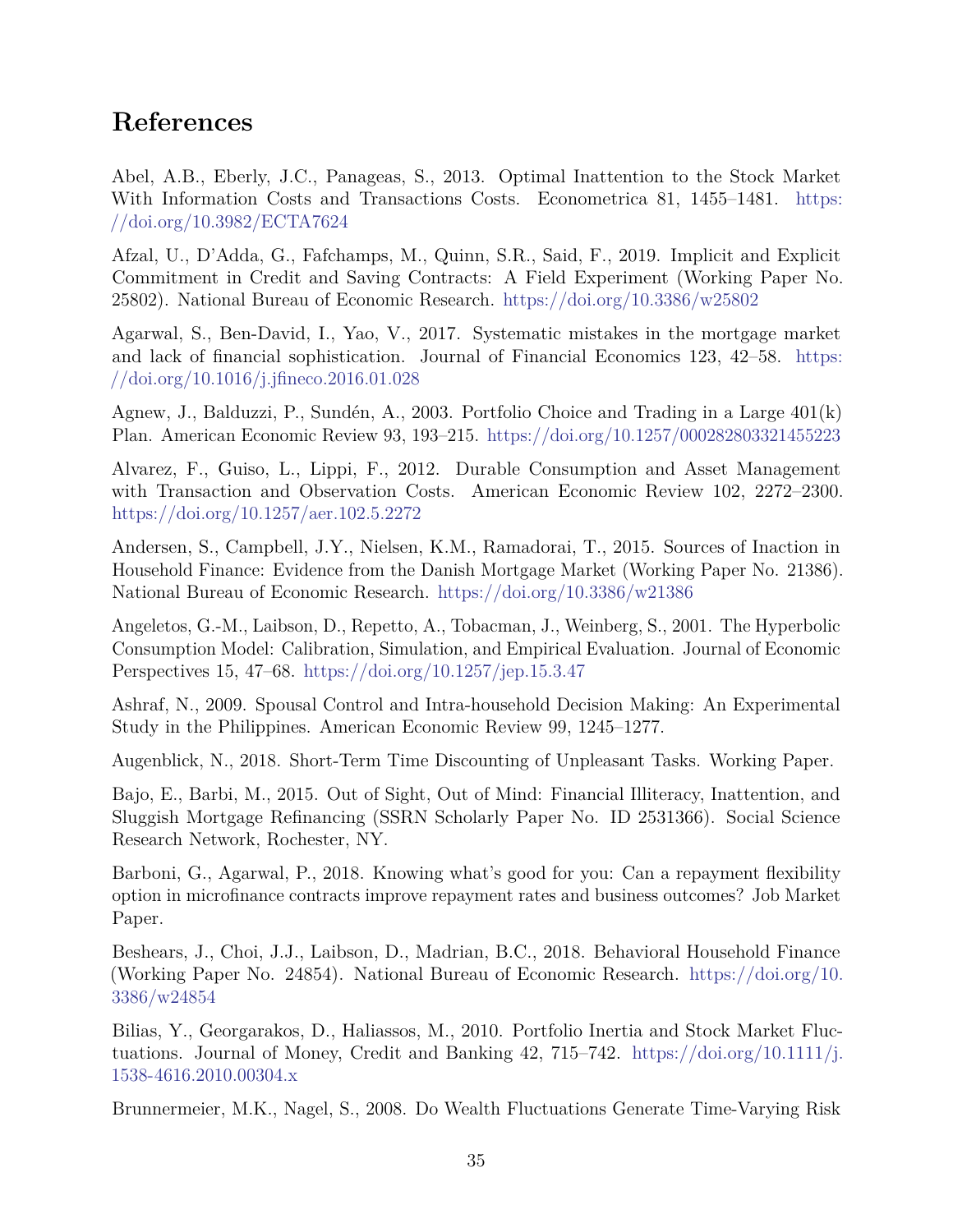# **References**

Abel, A.B., Eberly, J.C., Panageas, S., 2013. Optimal Inattention to the Stock Market With Information Costs and Transactions Costs. Econometrica 81, 1455–1481. [https:](https://doi.org/10.3982/ECTA7624) [//doi.org/10.3982/ECTA7624](https://doi.org/10.3982/ECTA7624)

Afzal, U., D'Adda, G., Fafchamps, M., Quinn, S.R., Said, F., 2019. Implicit and Explicit Commitment in Credit and Saving Contracts: A Field Experiment (Working Paper No. 25802). National Bureau of Economic Research. <https://doi.org/10.3386/w25802>

Agarwal, S., Ben-David, I., Yao, V., 2017. Systematic mistakes in the mortgage market and lack of financial sophistication. Journal of Financial Economics 123, 42–58. [https:](https://doi.org/10.1016/j.jfineco.2016.01.028) [//doi.org/10.1016/j.jfineco.2016.01.028](https://doi.org/10.1016/j.jfineco.2016.01.028)

Agnew, J., Balduzzi, P., Sundén, A., 2003. Portfolio Choice and Trading in a Large 401(k) Plan. American Economic Review 93, 193–215. <https://doi.org/10.1257/000282803321455223>

Alvarez, F., Guiso, L., Lippi, F., 2012. Durable Consumption and Asset Management with Transaction and Observation Costs. American Economic Review 102, 2272–2300. <https://doi.org/10.1257/aer.102.5.2272>

Andersen, S., Campbell, J.Y., Nielsen, K.M., Ramadorai, T., 2015. Sources of Inaction in Household Finance: Evidence from the Danish Mortgage Market (Working Paper No. 21386). National Bureau of Economic Research. <https://doi.org/10.3386/w21386>

Angeletos, G.-M., Laibson, D., Repetto, A., Tobacman, J., Weinberg, S., 2001. The Hyperbolic Consumption Model: Calibration, Simulation, and Empirical Evaluation. Journal of Economic Perspectives 15, 47–68. <https://doi.org/10.1257/jep.15.3.47>

Ashraf, N., 2009. Spousal Control and Intra-household Decision Making: An Experimental Study in the Philippines. American Economic Review 99, 1245–1277.

Augenblick, N., 2018. Short-Term Time Discounting of Unpleasant Tasks. Working Paper.

Bajo, E., Barbi, M., 2015. Out of Sight, Out of Mind: Financial Illiteracy, Inattention, and Sluggish Mortgage Refinancing (SSRN Scholarly Paper No. ID 2531366). Social Science Research Network, Rochester, NY.

Barboni, G., Agarwal, P., 2018. Knowing what's good for you: Can a repayment flexibility option in microfinance contracts improve repayment rates and business outcomes? Job Market Paper.

Beshears, J., Choi, J.J., Laibson, D., Madrian, B.C., 2018. Behavioral Household Finance (Working Paper No. 24854). National Bureau of Economic Research. [https://doi.org/10.](https://doi.org/10.3386/w24854) [3386/w24854](https://doi.org/10.3386/w24854)

Bilias, Y., Georgarakos, D., Haliassos, M., 2010. Portfolio Inertia and Stock Market Fluctuations. Journal of Money, Credit and Banking  $42$ ,  $715-742$ . [https://doi.org/10.1111/j.](https://doi.org/10.1111/j.1538-4616.2010.00304.x) [1538-4616.2010.00304.x](https://doi.org/10.1111/j.1538-4616.2010.00304.x)

Brunnermeier, M.K., Nagel, S., 2008. Do Wealth Fluctuations Generate Time-Varying Risk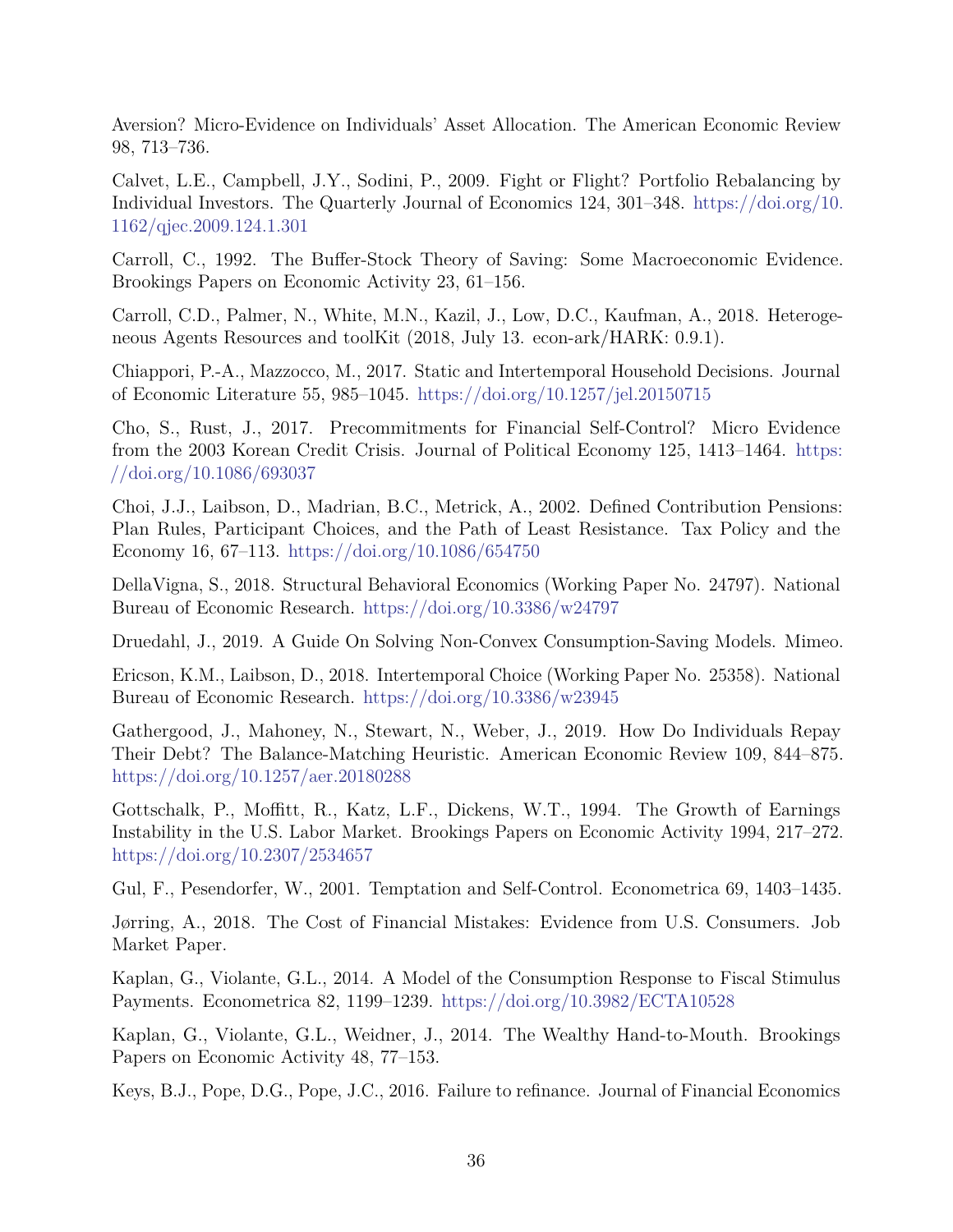Aversion? Micro-Evidence on Individuals' Asset Allocation. The American Economic Review 98, 713–736.

Calvet, L.E., Campbell, J.Y., Sodini, P., 2009. Fight or Flight? Portfolio Rebalancing by Individual Investors. The Quarterly Journal of Economics 124, 301–348. [https://doi.org/10.](https://doi.org/10.1162/qjec.2009.124.1.301) [1162/qjec.2009.124.1.301](https://doi.org/10.1162/qjec.2009.124.1.301)

Carroll, C., 1992. The Buffer-Stock Theory of Saving: Some Macroeconomic Evidence. Brookings Papers on Economic Activity 23, 61–156.

Carroll, C.D., Palmer, N., White, M.N., Kazil, J., Low, D.C., Kaufman, A., 2018. Heterogeneous Agents Resources and toolKit (2018, July 13. econ-ark/HARK: 0.9.1).

Chiappori, P.-A., Mazzocco, M., 2017. Static and Intertemporal Household Decisions. Journal of Economic Literature 55, 985–1045. <https://doi.org/10.1257/jel.20150715>

Cho, S., Rust, J., 2017. Precommitments for Financial Self-Control? Micro Evidence from the 2003 Korean Credit Crisis. Journal of Political Economy 125, 1413–1464. [https:](https://doi.org/10.1086/693037) [//doi.org/10.1086/693037](https://doi.org/10.1086/693037)

Choi, J.J., Laibson, D., Madrian, B.C., Metrick, A., 2002. Defined Contribution Pensions: Plan Rules, Participant Choices, and the Path of Least Resistance. Tax Policy and the Economy 16, 67–113. <https://doi.org/10.1086/654750>

DellaVigna, S., 2018. Structural Behavioral Economics (Working Paper No. 24797). National Bureau of Economic Research. <https://doi.org/10.3386/w24797>

Druedahl, J., 2019. A Guide On Solving Non-Convex Consumption-Saving Models. Mimeo.

Ericson, K.M., Laibson, D., 2018. Intertemporal Choice (Working Paper No. 25358). National Bureau of Economic Research. <https://doi.org/10.3386/w23945>

Gathergood, J., Mahoney, N., Stewart, N., Weber, J., 2019. How Do Individuals Repay Their Debt? The Balance-Matching Heuristic. American Economic Review 109, 844–875. <https://doi.org/10.1257/aer.20180288>

Gottschalk, P., Moffitt, R., Katz, L.F., Dickens, W.T., 1994. The Growth of Earnings Instability in the U.S. Labor Market. Brookings Papers on Economic Activity 1994, 217–272. <https://doi.org/10.2307/2534657>

Gul, F., Pesendorfer, W., 2001. Temptation and Self-Control. Econometrica 69, 1403–1435.

Jørring, A., 2018. The Cost of Financial Mistakes: Evidence from U.S. Consumers. Job Market Paper.

Kaplan, G., Violante, G.L., 2014. A Model of the Consumption Response to Fiscal Stimulus Payments. Econometrica 82, 1199–1239. <https://doi.org/10.3982/ECTA10528>

Kaplan, G., Violante, G.L., Weidner, J., 2014. The Wealthy Hand-to-Mouth. Brookings Papers on Economic Activity 48, 77–153.

Keys, B.J., Pope, D.G., Pope, J.C., 2016. Failure to refinance. Journal of Financial Economics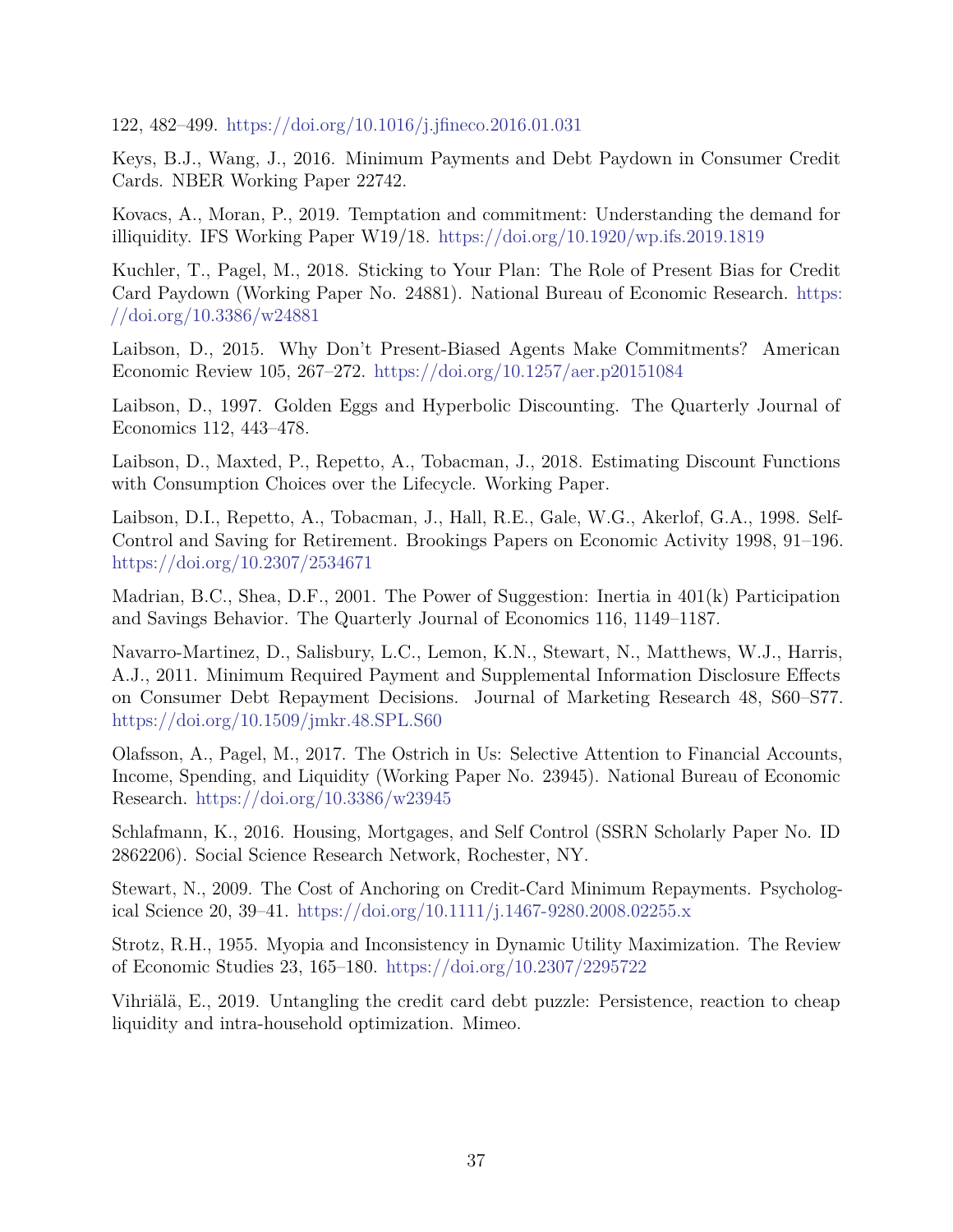122, 482–499. <https://doi.org/10.1016/j.jfineco.2016.01.031>

Keys, B.J., Wang, J., 2016. Minimum Payments and Debt Paydown in Consumer Credit Cards. NBER Working Paper 22742.

Kovacs, A., Moran, P., 2019. Temptation and commitment: Understanding the demand for illiquidity. IFS Working Paper W19/18. <https://doi.org/10.1920/wp.ifs.2019.1819>

Kuchler, T., Pagel, M., 2018. Sticking to Your Plan: The Role of Present Bias for Credit Card Paydown (Working Paper No. 24881). National Bureau of Economic Research. [https:](https://doi.org/10.3386/w24881) [//doi.org/10.3386/w24881](https://doi.org/10.3386/w24881)

Laibson, D., 2015. Why Don't Present-Biased Agents Make Commitments? American Economic Review 105, 267–272. <https://doi.org/10.1257/aer.p20151084>

Laibson, D., 1997. Golden Eggs and Hyperbolic Discounting. The Quarterly Journal of Economics 112, 443–478.

Laibson, D., Maxted, P., Repetto, A., Tobacman, J., 2018. Estimating Discount Functions with Consumption Choices over the Lifecycle. Working Paper.

Laibson, D.I., Repetto, A., Tobacman, J., Hall, R.E., Gale, W.G., Akerlof, G.A., 1998. Self-Control and Saving for Retirement. Brookings Papers on Economic Activity 1998, 91–196. <https://doi.org/10.2307/2534671>

Madrian, B.C., Shea, D.F., 2001. The Power of Suggestion: Inertia in 401(k) Participation and Savings Behavior. The Quarterly Journal of Economics 116, 1149–1187.

Navarro-Martinez, D., Salisbury, L.C., Lemon, K.N., Stewart, N., Matthews, W.J., Harris, A.J., 2011. Minimum Required Payment and Supplemental Information Disclosure Effects on Consumer Debt Repayment Decisions. Journal of Marketing Research 48, S60–S77. <https://doi.org/10.1509/jmkr.48.SPL.S60>

Olafsson, A., Pagel, M., 2017. The Ostrich in Us: Selective Attention to Financial Accounts, Income, Spending, and Liquidity (Working Paper No. 23945). National Bureau of Economic Research. <https://doi.org/10.3386/w23945>

Schlafmann, K., 2016. Housing, Mortgages, and Self Control (SSRN Scholarly Paper No. ID 2862206). Social Science Research Network, Rochester, NY.

Stewart, N., 2009. The Cost of Anchoring on Credit-Card Minimum Repayments. Psychological Science 20, 39–41. <https://doi.org/10.1111/j.1467-9280.2008.02255.x>

Strotz, R.H., 1955. Myopia and Inconsistency in Dynamic Utility Maximization. The Review of Economic Studies 23, 165–180. <https://doi.org/10.2307/2295722>

Vihriälä, E., 2019. Untangling the credit card debt puzzle: Persistence, reaction to cheap liquidity and intra-household optimization. Mimeo.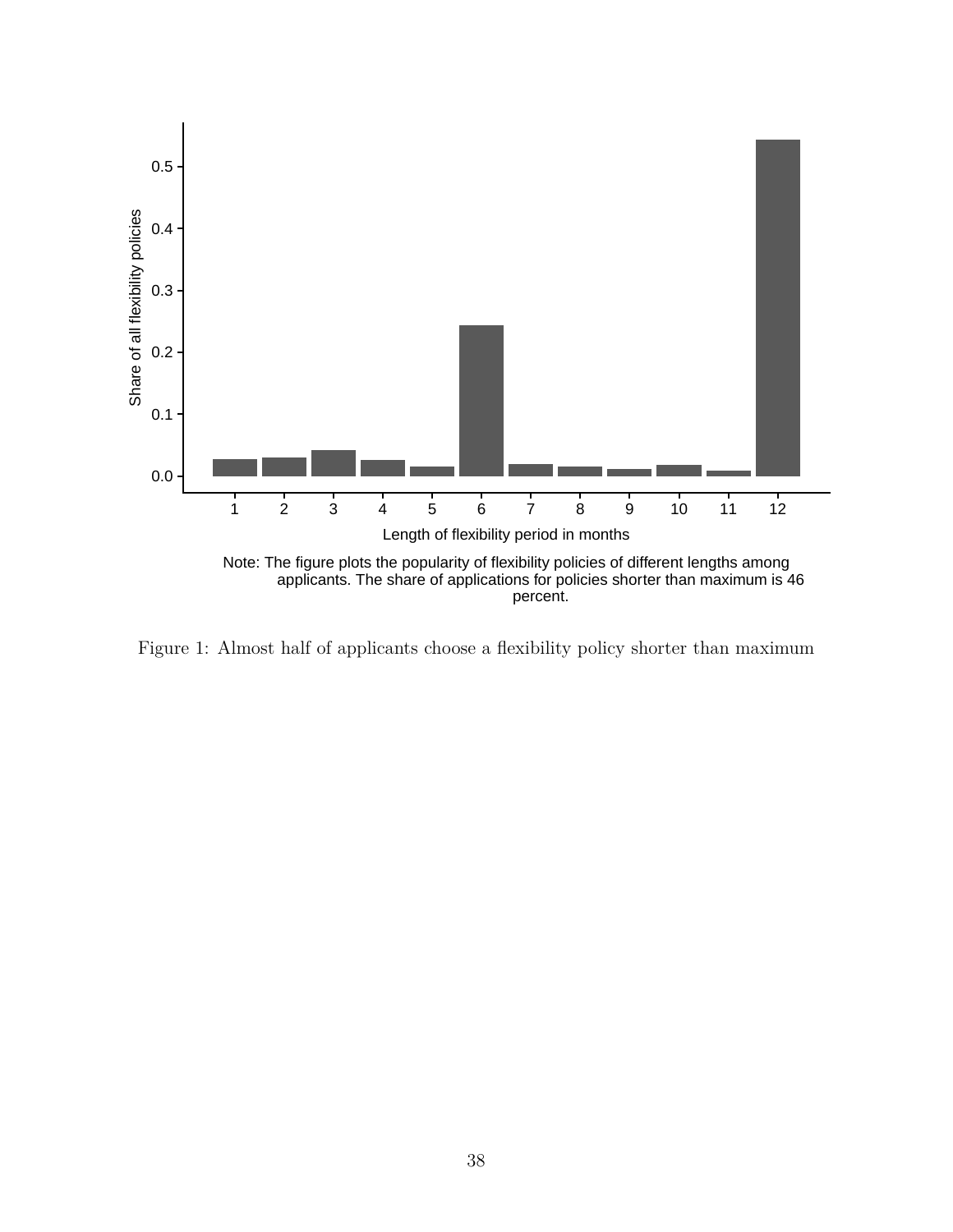

<span id="page-37-0"></span>Figure 1: Almost half of applicants choose a flexibility policy shorter than maximum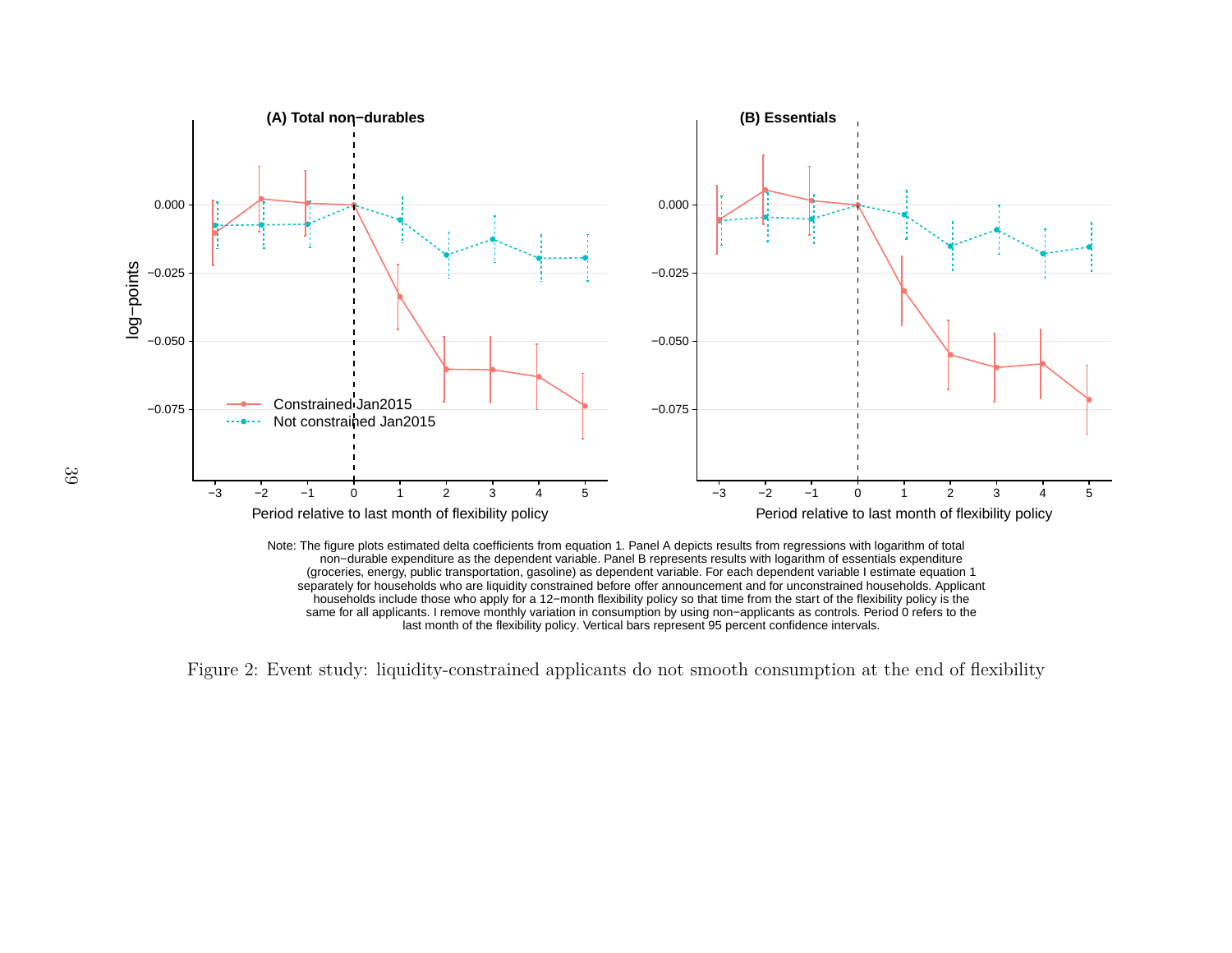



<span id="page-38-1"></span><span id="page-38-0"></span>Figure 2: Event study: liquidity-constrained applicants do not smooth consumption at the end of flexibility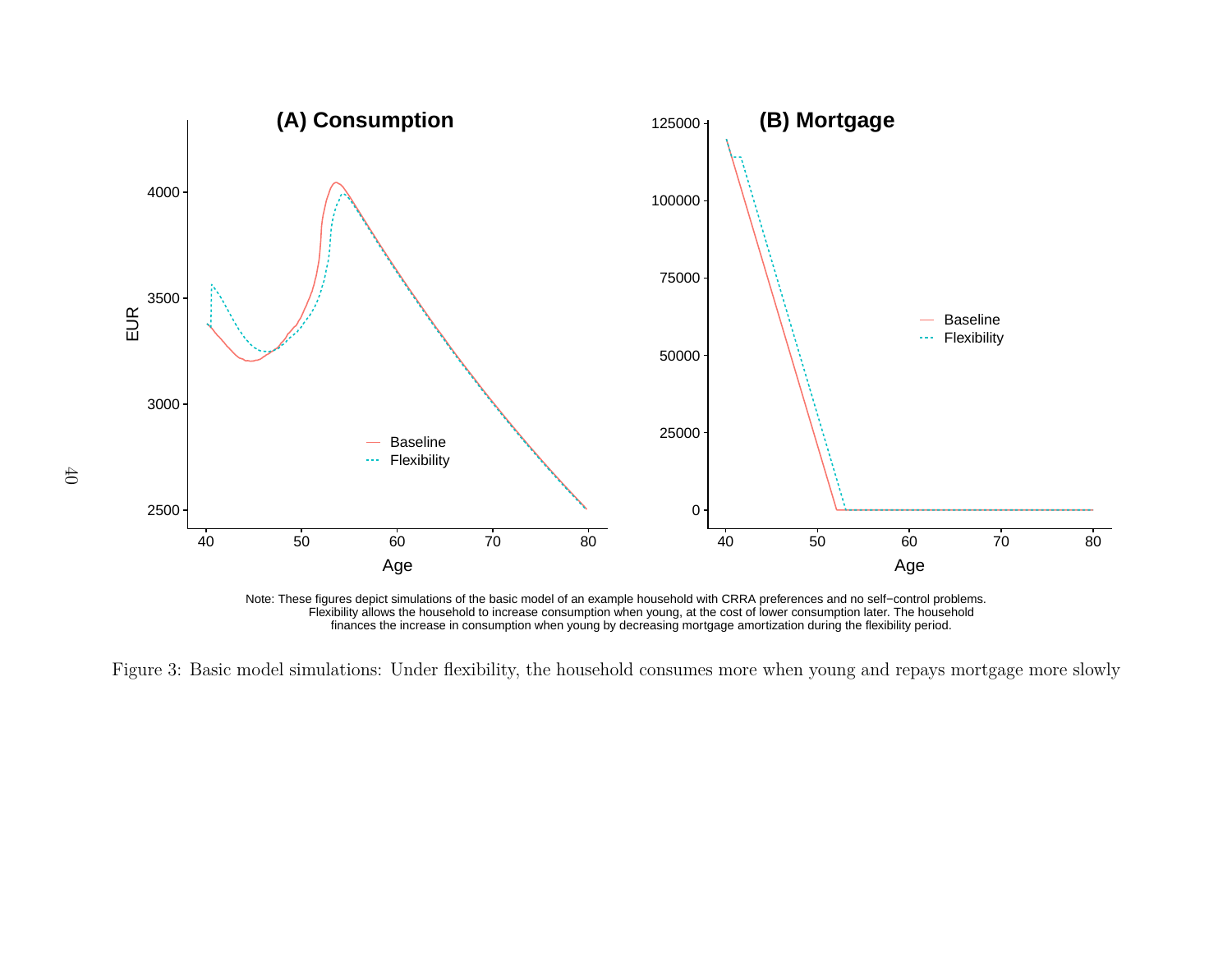

Note: These figures depict simulations of the basic model of an example household with CRRA preferences and no self−control problems. Flexibility allows the household to increase consumption when young, at the cost of lower consumption later. The household finances the increase in consumption when young by decreasing mortgage amortization during the flexibility period.

<span id="page-39-0"></span>Figure 3: Basic model simulations: Under flexibility, the household consumes more when young and repays mortgage more slowly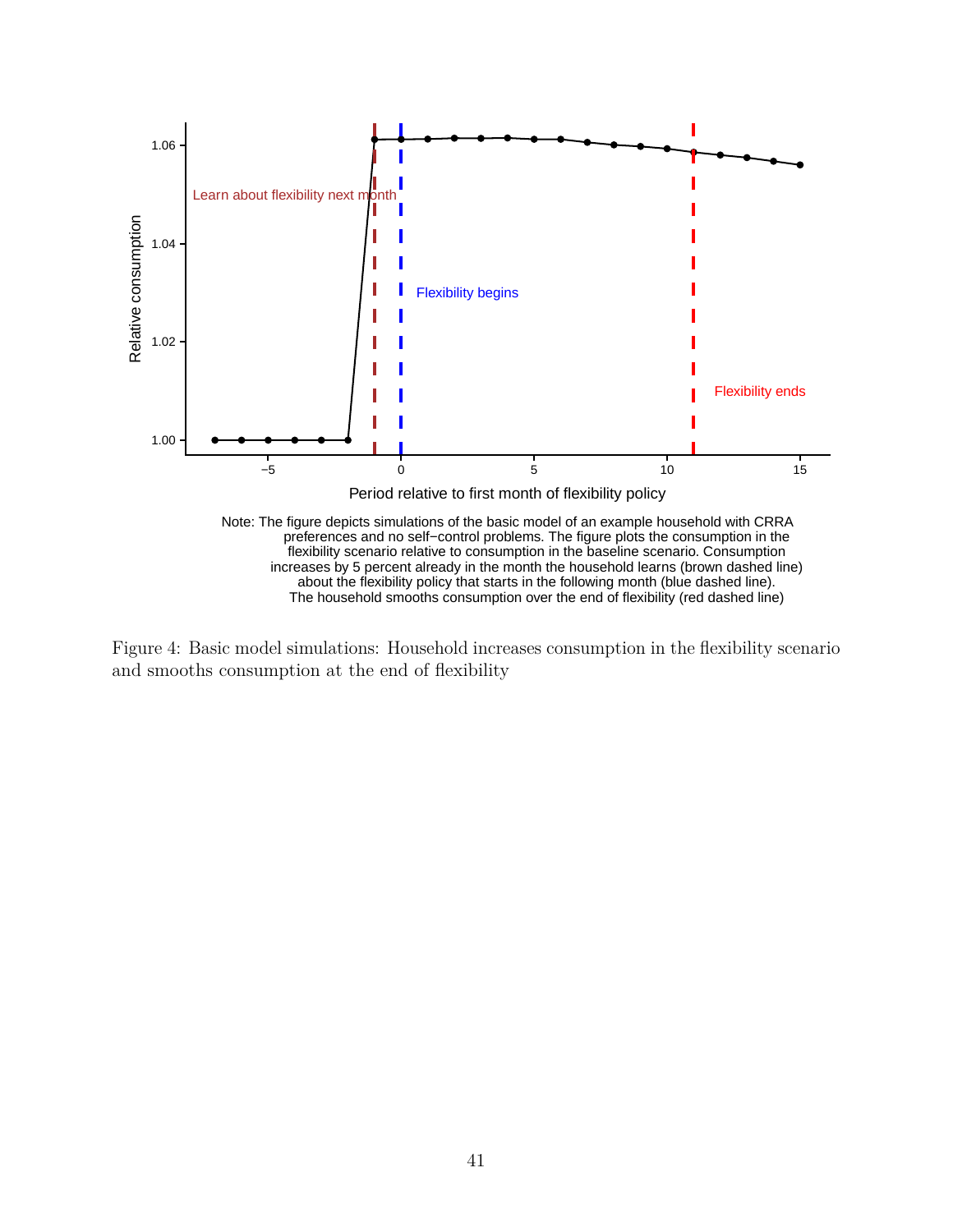

The household smooths consumption over the end of flexibility (red dashed line)

<span id="page-40-0"></span>Figure 4: Basic model simulations: Household increases consumption in the flexibility scenario and smooths consumption at the end of flexibility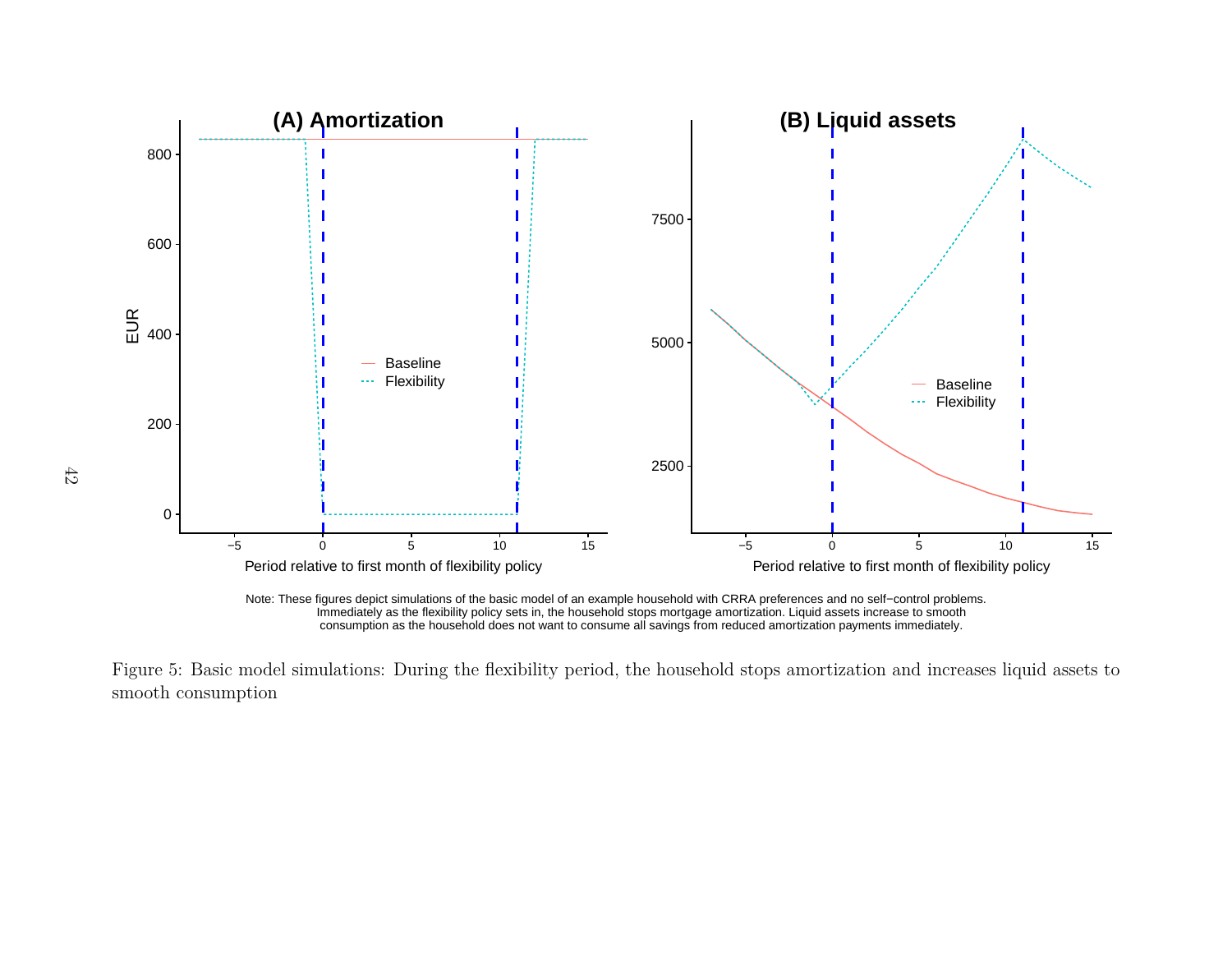

<span id="page-41-0"></span>

Figure 5: Basic model simulations: During the flexibility period, the household stops amortization and increases liquid assets tosmooth consumption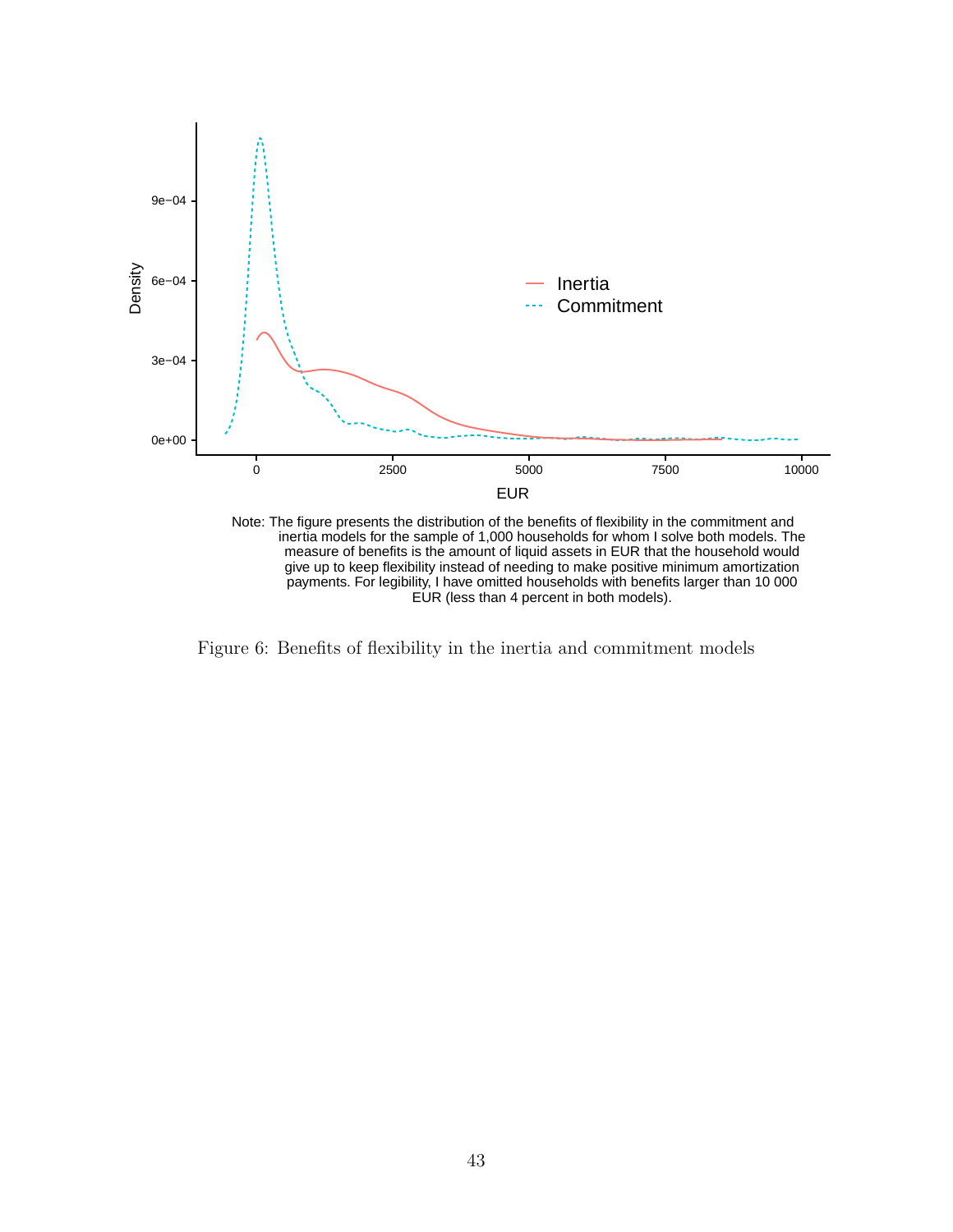

Note: The figure presents the distribution of the benefits of flexibility in the commitment and inertia models for the sample of 1,000 households for whom I solve both models. The measure of benefits is the amount of liquid assets in EUR that the household would give up to keep flexibility instead of needing to make positive minimum amortization payments. For legibility, I have omitted households with benefits larger than 10 000 EUR (less than 4 percent in both models).

<span id="page-42-0"></span>Figure 6: Benefits of flexibility in the inertia and commitment models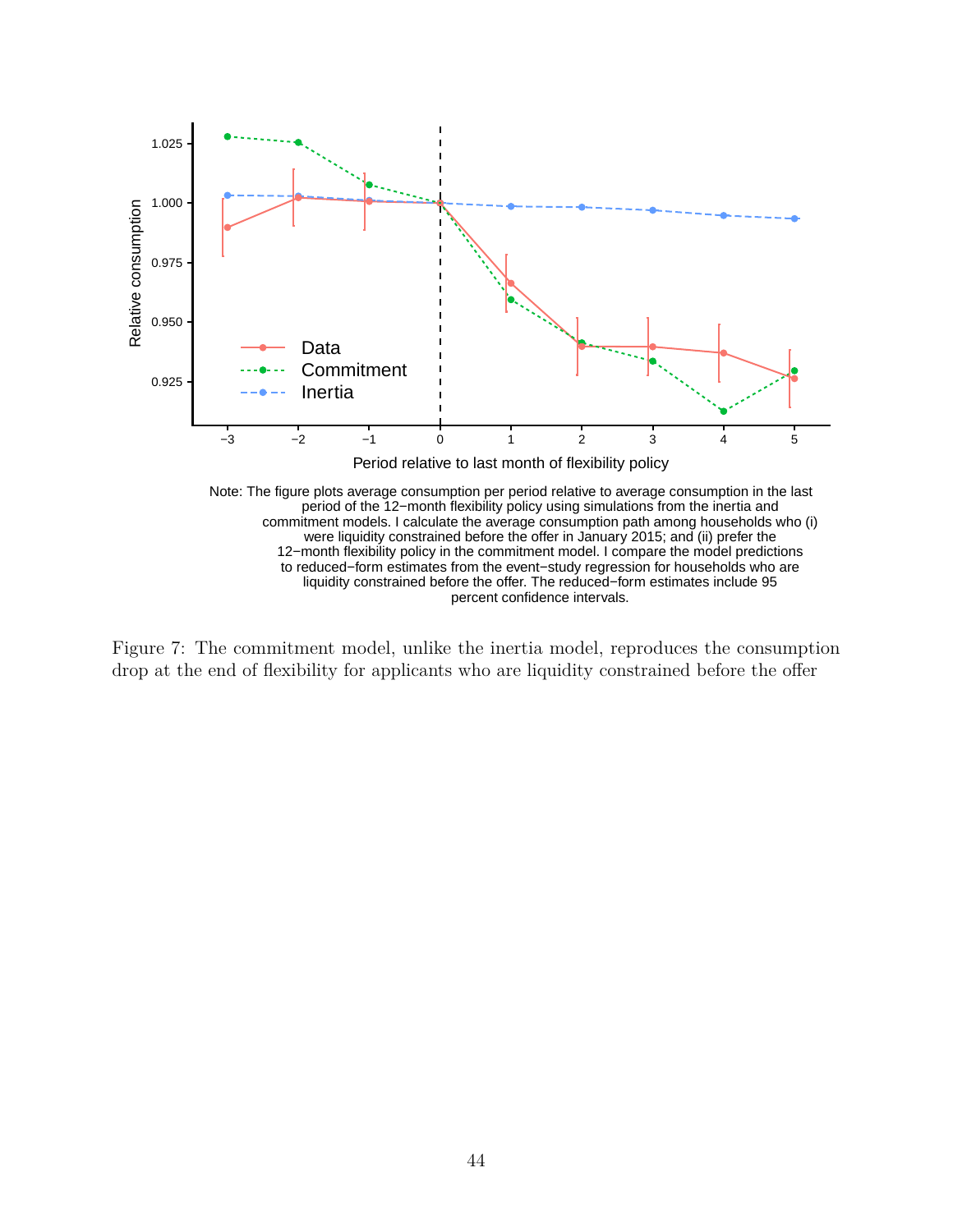

<span id="page-43-0"></span>Figure 7: The commitment model, unlike the inertia model, reproduces the consumption drop at the end of flexibility for applicants who are liquidity constrained before the offer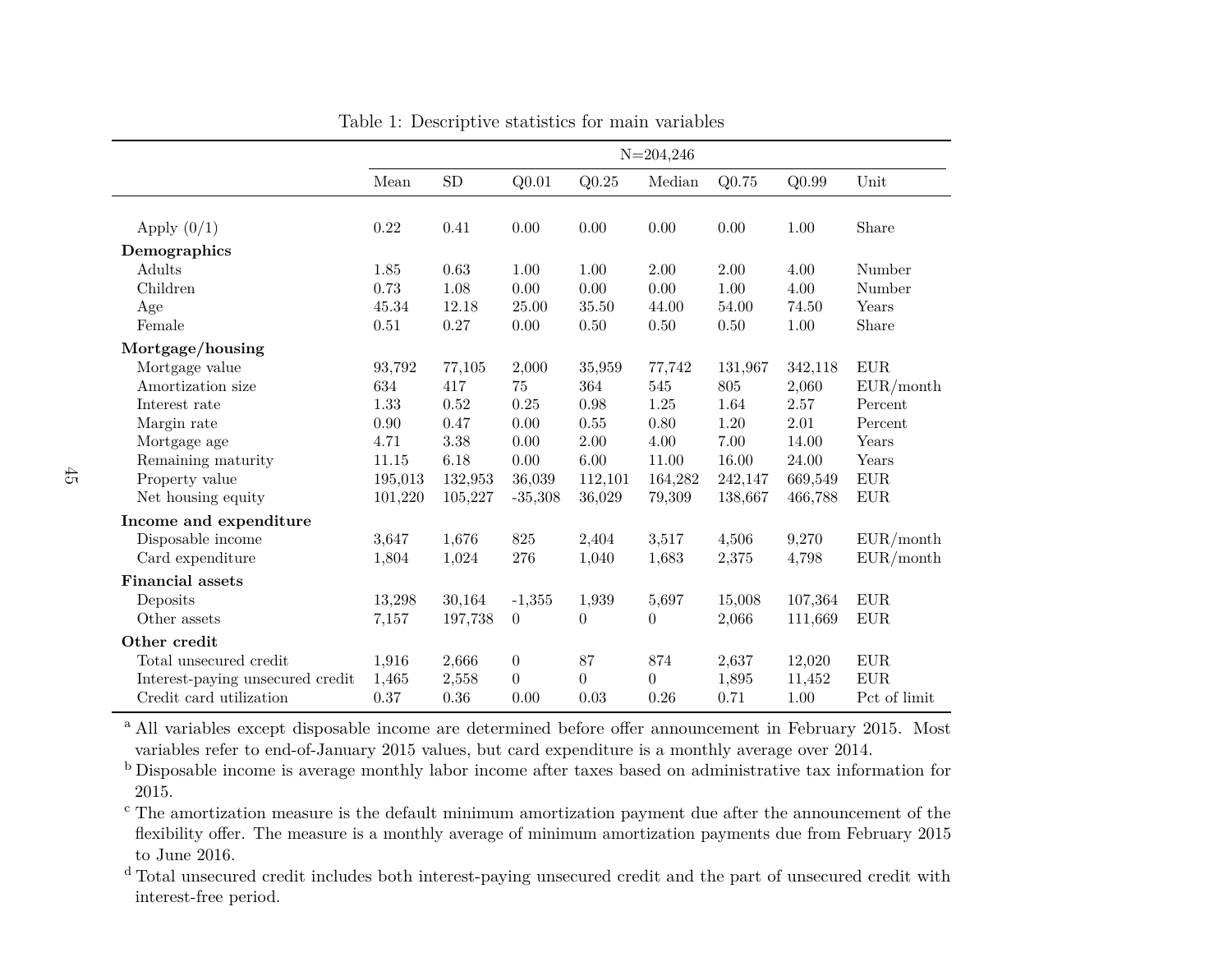|                                  |         |            |                   |                  | $N = 204,246$    |          |         |              |
|----------------------------------|---------|------------|-------------------|------------------|------------------|----------|---------|--------------|
|                                  | Mean    | ${\rm SD}$ | Q <sub>0.01</sub> | Q0.25            | Median           | $Q$ 0.75 | Q0.99   | Unit         |
|                                  |         |            |                   |                  |                  |          |         |              |
| Apply $(0/1)$                    | 0.22    | 0.41       | 0.00              | 0.00             | 0.00             | 0.00     | 1.00    | Share        |
| Demographics                     |         |            |                   |                  |                  |          |         |              |
| Adults                           | 1.85    | 0.63       | 1.00              | 1.00             | $2.00\,$         | 2.00     | 4.00    | Number       |
| Children                         | 0.73    | 1.08       | 0.00              | 0.00             | 0.00             | 1.00     | 4.00    | Number       |
| Age                              | 45.34   | 12.18      | 25.00             | 35.50            | 44.00            | 54.00    | 74.50   | Years        |
| Female                           | 0.51    | 0.27       | 0.00              | 0.50             | 0.50             | 0.50     | 1.00    | Share        |
| Mortgage/housing                 |         |            |                   |                  |                  |          |         |              |
| Mortgage value                   | 93,792  | 77,105     | 2,000             | 35,959           | 77,742           | 131,967  | 342,118 | ${\rm EUR}$  |
| Amortization size                | 634     | 417        | 75                | 364              | 545              | 805      | 2,060   | EUR/month    |
| Interest rate                    | 1.33    | 0.52       | 0.25              | 0.98             | 1.25             | 1.64     | 2.57    | Percent      |
| Margin rate                      | 0.90    | 0.47       | 0.00              | 0.55             | 0.80             | 1.20     | 2.01    | Percent      |
| Mortgage age                     | 4.71    | 3.38       | 0.00              | 2.00             | 4.00             | 7.00     | 14.00   | Years        |
| Remaining maturity               | 11.15   | 6.18       | 0.00              | $6.00\,$         | 11.00            | 16.00    | 24.00   | Years        |
| Property value                   | 195,013 | 132,953    | 36,039            | 112,101          | 164,282          | 242,147  | 669,549 | ${\rm EUR}$  |
| Net housing equity               | 101,220 | 105,227    | $-35,308$         | 36,029           | 79,309           | 138,667  | 466,788 | ${\rm EUR}$  |
| Income and expenditure           |         |            |                   |                  |                  |          |         |              |
| Disposable income                | 3,647   | 1,676      | 825               | 2,404            | 3,517            | 4,506    | 9,270   | EUR/month    |
| Card expenditure                 | 1,804   | 1,024      | 276               | 1,040            | 1,683            | 2,375    | 4,798   | EUR/month    |
| <b>Financial assets</b>          |         |            |                   |                  |                  |          |         |              |
| Deposits                         | 13,298  | 30,164     | $-1,355$          | 1,939            | 5,697            | 15,008   | 107,364 | ${\rm EUR}$  |
| Other assets                     | 7,157   | 197,738    | $\overline{0}$    | $\boldsymbol{0}$ | $\boldsymbol{0}$ | 2,066    | 111,669 | $EUR$        |
| Other credit                     |         |            |                   |                  |                  |          |         |              |
| Total unsecured credit           | 1,916   | 2,666      | $\boldsymbol{0}$  | 87               | 874              | 2,637    | 12,020  | ${\rm EUR}$  |
| Interest-paying unsecured credit | 1,465   | 2,558      | $\boldsymbol{0}$  | $\boldsymbol{0}$ | $\overline{0}$   | 1,895    | 11,452  | ${\rm EUR}$  |
| Credit card utilization          | 0.37    | 0.36       | 0.00              | 0.03             | 0.26             | 0.71     | 1.00    | Pct of limit |

Table 1: Descriptive statistics for main variables

<sup>a</sup> All variables except disposable income are determined before offer announcement in February 2015. Most variables refer to end-of-January 2015 values, but card expenditure is <sup>a</sup> monthly average over 2014.

 b Disposable income is average monthly labor income after taxes based on administrative tax information for2015.

 c The amortization measure is the default minimum amortization payment due after the announcement of the flexibility offer. The measure is <sup>a</sup> monthly average of minimum amortization payments due from February 2015to June 2016.

<span id="page-44-0"></span><sup>d</sup> Total unsecured credit includes both interest-paying unsecured credit and the part of unsecured credit with interest-free period.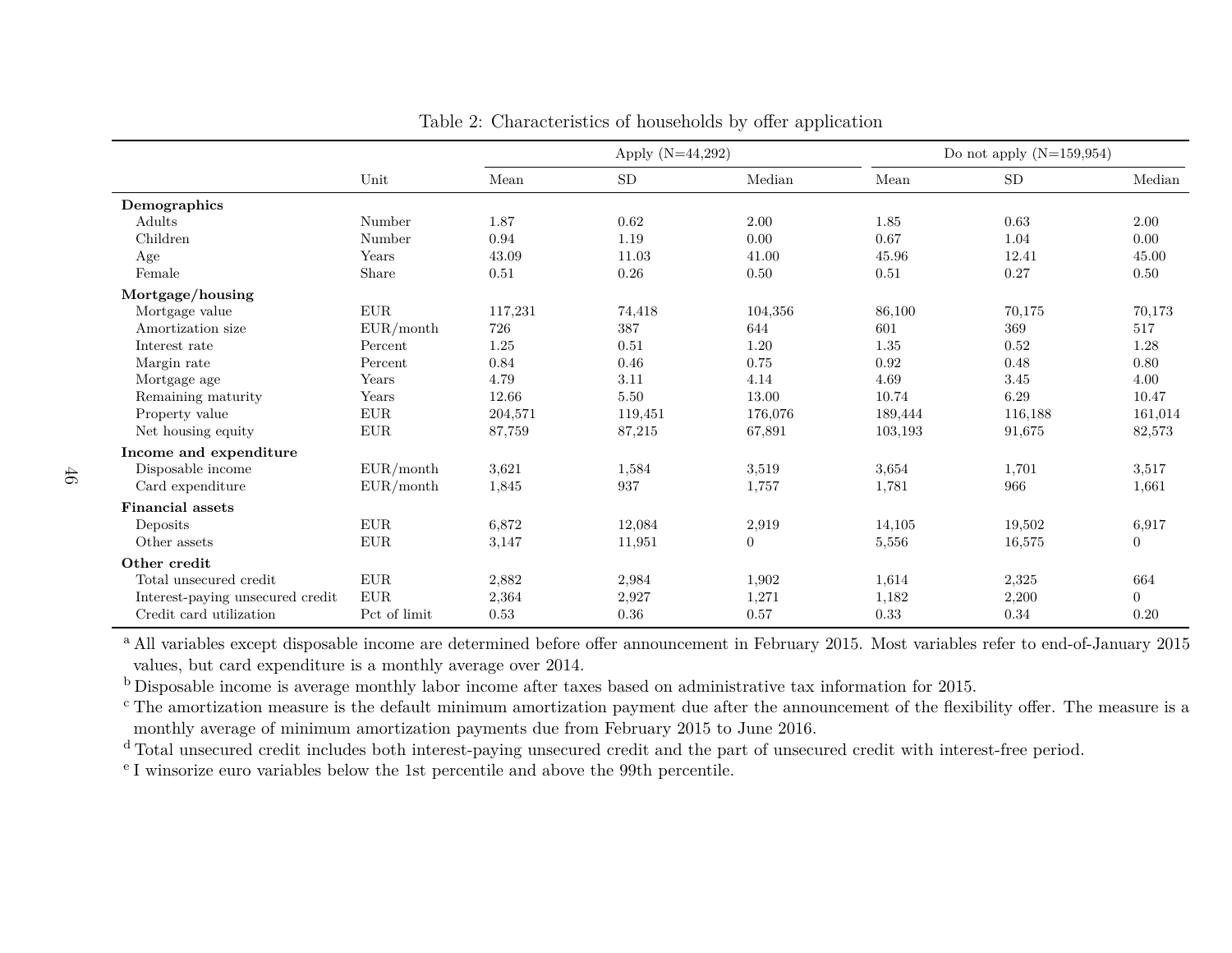|                                  |              | Apply $(N=44,292)$ |          |                | Do not apply $(N=159,954)$ |         |                |  |
|----------------------------------|--------------|--------------------|----------|----------------|----------------------------|---------|----------------|--|
|                                  | Unit         | Mean               | SD       | Median         | Mean                       | SD      | Median         |  |
| Demographics                     |              |                    |          |                |                            |         |                |  |
| Adults                           | Number       | 1.87               | 0.62     | 2.00           | 1.85                       | 0.63    | 2.00           |  |
| Children                         | Number       | 0.94               | 1.19     | 0.00           | 0.67                       | 1.04    | 0.00           |  |
| Age                              | Years        | 43.09              | 11.03    | 41.00          | 45.96                      | 12.41   | 45.00          |  |
| Female                           | Share        | 0.51               | 0.26     | 0.50           | 0.51                       | 0.27    | 0.50           |  |
| Mortgage/housing                 |              |                    |          |                |                            |         |                |  |
| Mortgage value                   | <b>EUR</b>   | 117,231            | 74,418   | 104,356        | 86,100                     | 70,175  | 70,173         |  |
| Amortization size                | EUR/month    | 726                | 387      | 644            | 601                        | 369     | 517            |  |
| Interest rate                    | Percent      | 1.25               | 0.51     | 1.20           | 1.35                       | 0.52    | 1.28           |  |
| Margin rate                      | Percent      | 0.84               | 0.46     | 0.75           | 0.92                       | 0.48    | 0.80           |  |
| Mortgage age                     | Years        | 4.79               | $3.11\,$ | 4.14           | 4.69                       | 3.45    | 4.00           |  |
| Remaining maturity               | Years        | 12.66              | 5.50     | 13.00          | 10.74                      | 6.29    | 10.47          |  |
| Property value                   | ${\rm EUR}$  | 204,571            | 119,451  | 176,076        | 189,444                    | 116,188 | 161,014        |  |
| Net housing equity               | ${\rm EUR}$  | 87,759             | 87,215   | 67,891         | 103,193                    | 91,675  | 82,573         |  |
| Income and expenditure           |              |                    |          |                |                            |         |                |  |
| Disposable income                | EUR/month    | 3,621              | 1,584    | 3,519          | 3,654                      | 1,701   | 3,517          |  |
| Card expenditure                 | EUR/month    | 1,845              | 937      | 1,757          | 1,781                      | 966     | 1,661          |  |
| <b>Financial assets</b>          |              |                    |          |                |                            |         |                |  |
| Deposits                         | EUR.         | 6,872              | 12,084   | 2,919          | 14,105                     | 19,502  | 6,917          |  |
| Other assets                     | ${\rm EUR}$  | 3,147              | 11,951   | $\overline{0}$ | 5,556                      | 16,575  | $\overline{0}$ |  |
| Other credit                     |              |                    |          |                |                            |         |                |  |
| Total unsecured credit           | ${\rm EUR}$  | 2,882              | 2,984    | 1,902          | 1,614                      | 2,325   | 664            |  |
| Interest-paying unsecured credit | ${\rm EUR}$  | 2,364              | 2,927    | 1,271          | 1,182                      | 2,200   | $\overline{0}$ |  |
| Credit card utilization          | Pct of limit | $0.53\,$           | $0.36\,$ | 0.57           | 0.33                       | 0.34    | 0.20           |  |

Table 2: Characteristics of households by offer application

<sup>a</sup> All variables except disposable income are determined before offer announcement in February 2015. Most variables refer to end-of-January 2015 values, but card expenditure is <sup>a</sup> monthly average over 2014.

<sup>b</sup> Disposable income is average monthly labor income after taxes based on administrative tax information for 2015.

<sup>c</sup> The amortization measure is the default minimum amortization payment due after the announcement of the flexibility offer. The measure is a monthly average of minimum amortization payments due from February 2015 to June 2016.

<sup>d</sup> Total unsecured credit includes both interest-paying unsecured credit and the part of unsecured credit with interest-free period.

<span id="page-45-0"></span>e I winsorize euro variables below the 1st percentile and above the 99th percentile.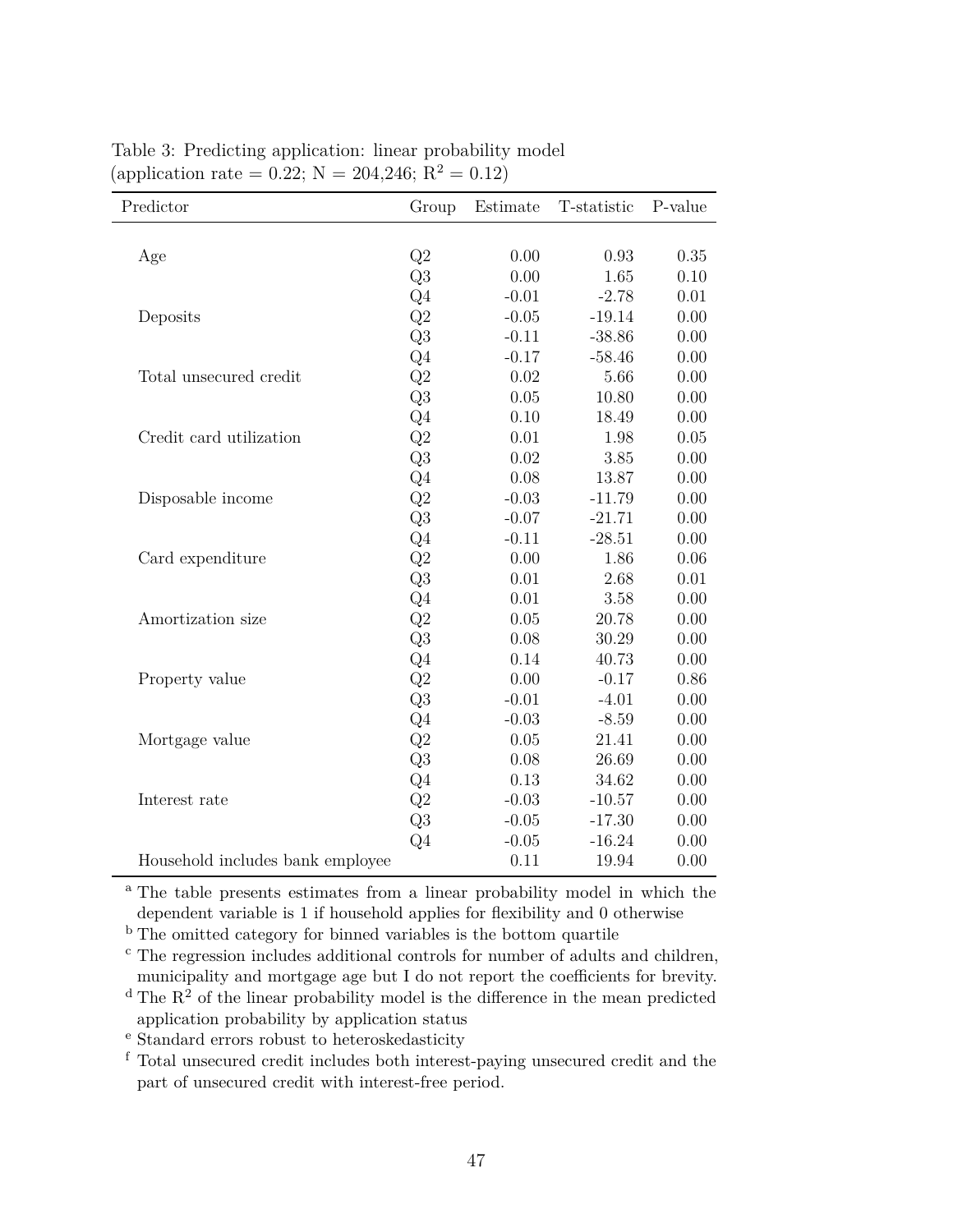| Predictor                        | Group          | Estimate | T-statistic | P-value |
|----------------------------------|----------------|----------|-------------|---------|
|                                  |                |          |             |         |
| Age                              | Q2             | 0.00     | 0.93        | 0.35    |
|                                  | Q3             | 0.00     | 1.65        | 0.10    |
|                                  | Q <sub>4</sub> | $-0.01$  | $-2.78$     | 0.01    |
| Deposits                         | $\mathrm{Q}2$  | $-0.05$  | $-19.14$    | 0.00    |
|                                  | $\mathrm{Q}3$  | $-0.11$  | $-38.86$    | 0.00    |
|                                  | Q <sub>4</sub> | $-0.17$  | $-58.46$    | 0.00    |
| Total unsecured credit           | $\mathrm{Q}2$  | 0.02     | 5.66        | 0.00    |
|                                  | $\mathrm{Q}3$  | 0.05     | 10.80       | 0.00    |
|                                  | Q <sub>4</sub> | 0.10     | 18.49       | 0.00    |
| Credit card utilization          | Q2             | $0.01\,$ | 1.98        | 0.05    |
|                                  | $\mathrm{Q}3$  | 0.02     | 3.85        | 0.00    |
|                                  | Q <sub>4</sub> | 0.08     | 13.87       | 0.00    |
| Disposable income                | $\mathrm{Q}2$  | $-0.03$  | $-11.79$    | 0.00    |
|                                  | Q <sub>3</sub> | $-0.07$  | $-21.71$    | 0.00    |
|                                  | Q <sub>4</sub> | $-0.11$  | $-28.51$    | 0.00    |
| Card expenditure                 | Q2             | 0.00     | 1.86        | 0.06    |
|                                  | Q3             | 0.01     | 2.68        | 0.01    |
|                                  | $\mathrm{Q}4$  | 0.01     | 3.58        | 0.00    |
| Amortization size                | $\mathrm{Q}2$  | 0.05     | 20.78       | 0.00    |
|                                  | $\mathrm{Q}3$  | 0.08     | 30.29       | 0.00    |
|                                  | Q <sub>4</sub> | 0.14     | 40.73       | 0.00    |
| Property value                   | $\mathrm{Q}2$  | 0.00     | $-0.17$     | 0.86    |
|                                  | Q3             | $-0.01$  | $-4.01$     | 0.00    |
|                                  | Q <sub>4</sub> | $-0.03$  | $-8.59$     | 0.00    |
| Mortgage value                   | Q2             | 0.05     | 21.41       | 0.00    |
|                                  | Q <sub>3</sub> | 0.08     | 26.69       | 0.00    |
|                                  | Q4             | 0.13     | 34.62       | 0.00    |
| Interest rate                    | $\mathrm{Q}2$  | $-0.03$  | $-10.57$    | 0.00    |
|                                  | $\mathrm{Q}3$  | $-0.05$  | $-17.30$    | 0.00    |
|                                  | Q <sub>4</sub> | $-0.05$  | $-16.24$    | 0.00    |
| Household includes bank employee |                | 0.11     | 19.94       | 0.00    |

<span id="page-46-0"></span>Table 3: Predicting application: linear probability model (application rate = 0.22;  $N = 204,246; R^2 = 0.12$ )

<sup>a</sup> The table presents estimates from a linear probability model in which the dependent variable is 1 if household applies for flexibility and 0 otherwise

<sup>b</sup> The omitted category for binned variables is the bottom quartile

<sup>c</sup> The regression includes additional controls for number of adults and children, municipality and mortgage age but I do not report the coefficients for brevity.

 $d$  The  $R^2$  of the linear probability model is the difference in the mean predicted application probability by application status

<sup>e</sup> Standard errors robust to heteroskedasticity

<sup>f</sup> Total unsecured credit includes both interest-paying unsecured credit and the part of unsecured credit with interest-free period.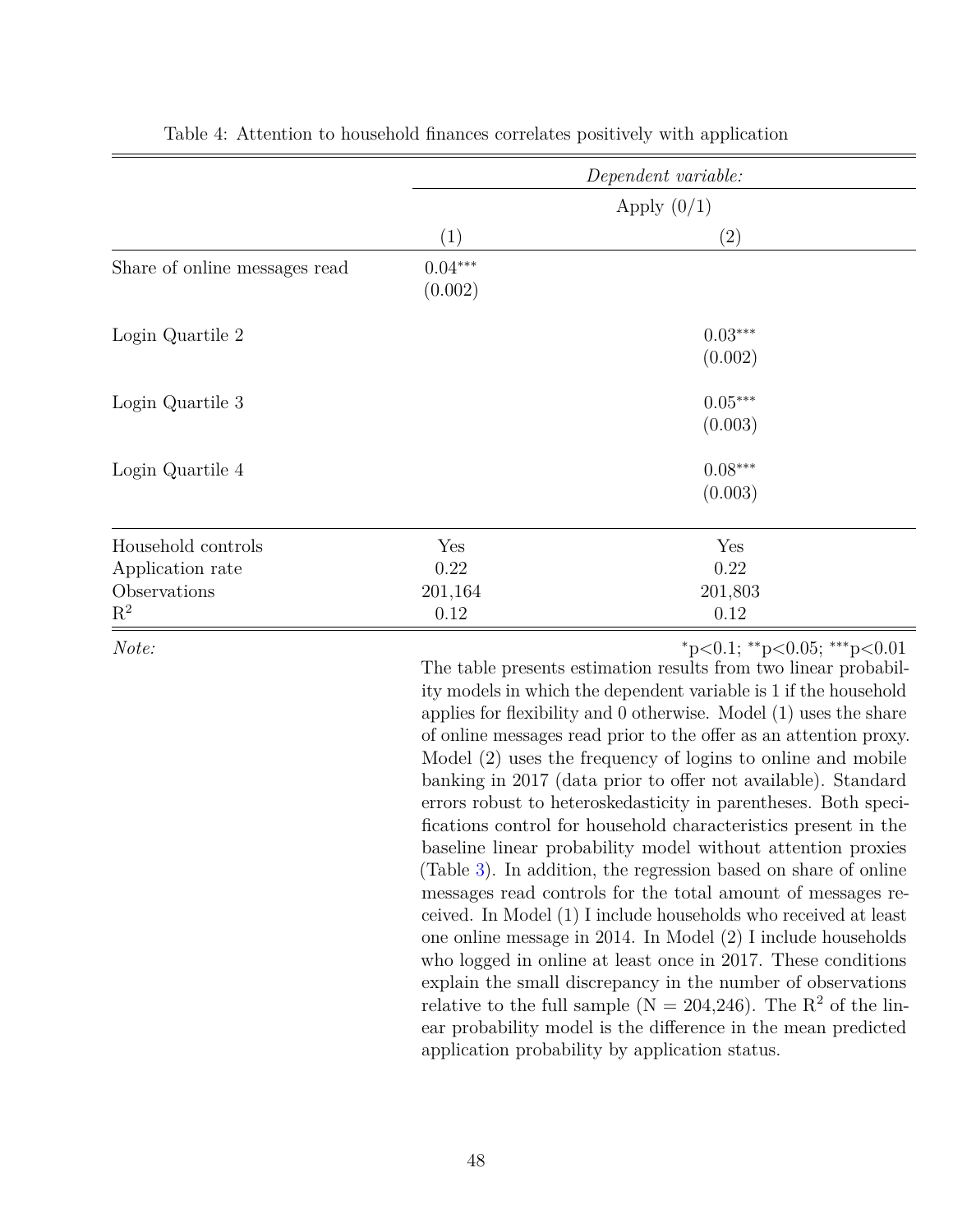<span id="page-47-0"></span>

|                                        |                      | Dependent variable:  |  |
|----------------------------------------|----------------------|----------------------|--|
|                                        |                      | Apply $(0/1)$        |  |
|                                        | (1)                  | (2)                  |  |
| Share of online messages read          | $0.04***$<br>(0.002) |                      |  |
| Login Quartile 2                       |                      | $0.03***$<br>(0.002) |  |
| Login Quartile 3                       |                      | $0.05***$<br>(0.003) |  |
| Login Quartile 4                       |                      | $0.08***$<br>(0.003) |  |
| Household controls<br>Application rate | Yes<br>0.22          | Yes<br>0.22          |  |
| Observations<br>$\mathbf{R}^2$         | 201,164<br>0.12      | 201,803<br>0.12      |  |

Table 4: Attention to household finances correlates positively with application

*Note:* <sup>∗</sup>p*<*0.1; ∗∗p*<*0.05; ∗∗∗p*<*0.01

The table presents estimation results from two linear probability models in which the dependent variable is 1 if the household applies for flexibility and 0 otherwise. Model (1) uses the share of online messages read prior to the offer as an attention proxy. Model (2) uses the frequency of logins to online and mobile banking in 2017 (data prior to offer not available). Standard errors robust to heteroskedasticity in parentheses. Both specifications control for household characteristics present in the baseline linear probability model without attention proxies (Table [3\)](#page-46-0). In addition, the regression based on share of online messages read controls for the total amount of messages received. In Model (1) I include households who received at least one online message in 2014. In Model (2) I include households who logged in online at least once in 2017. These conditions explain the small discrepancy in the number of observations relative to the full sample ( $N = 204,246$ ). The  $R<sup>2</sup>$  of the linear probability model is the difference in the mean predicted application probability by application status.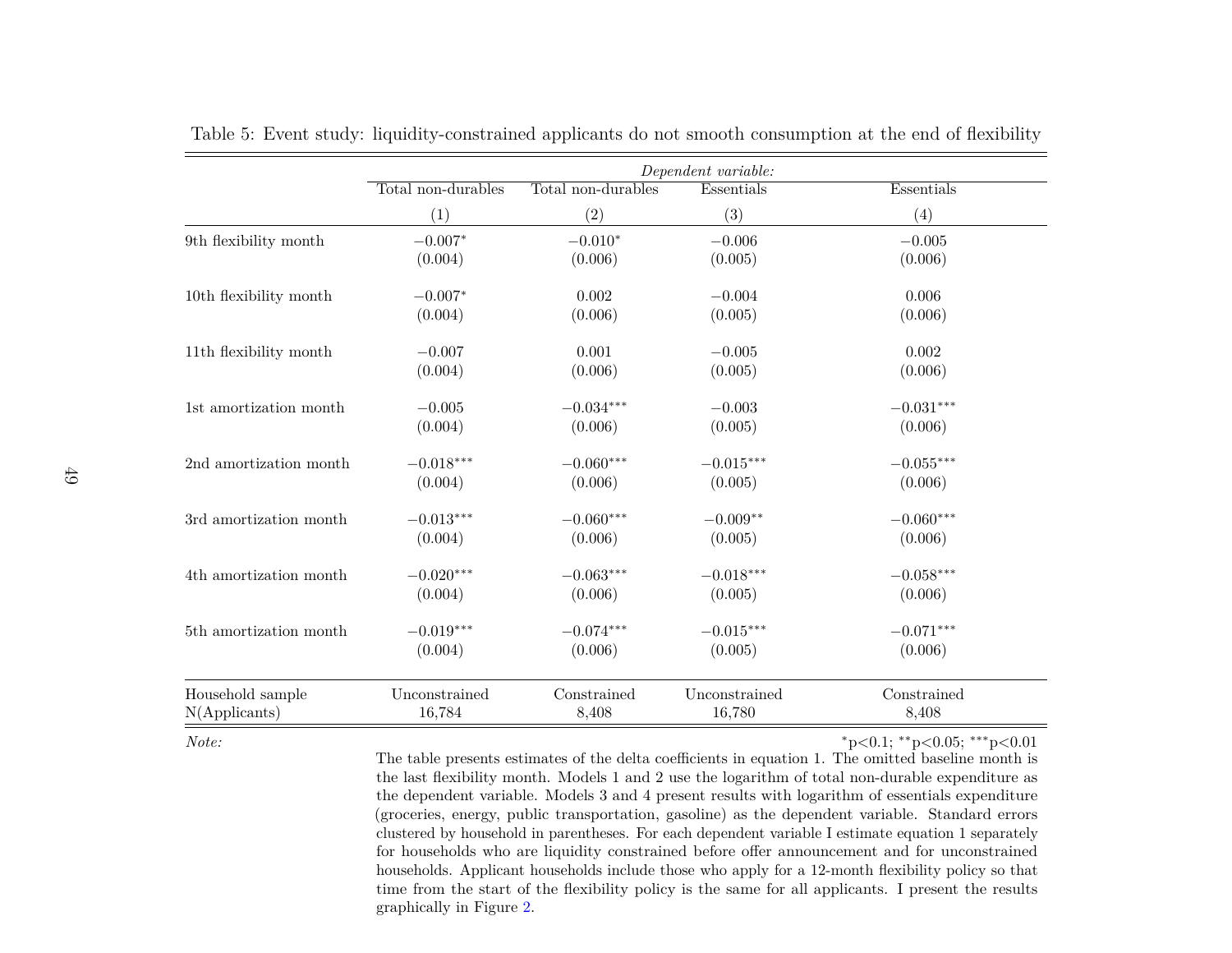|                        |                    |                    | Dependent variable: |             |
|------------------------|--------------------|--------------------|---------------------|-------------|
|                        | Total non-durables | Total non-durables | Essentials          | Essentials  |
|                        | (1)                | (2)                | (3)                 | (4)         |
| 9th flexibility month  | $-0.007*$          | $-0.010*$          | $-0.006$            | $-0.005$    |
|                        | (0.004)            | (0.006)            | (0.005)             | (0.006)     |
| 10th flexibility month | $-0.007*$          | 0.002              | $-0.004$            | 0.006       |
|                        | (0.004)            | (0.006)            | (0.005)             | (0.006)     |
| 11th flexibility month | $-0.007$           | 0.001              | $-0.005$            | 0.002       |
|                        | (0.004)            | (0.006)            | (0.005)             | (0.006)     |
| 1st amortization month | $-0.005$           | $-0.034***$        | $-0.003$            | $-0.031***$ |
|                        | (0.004)            | (0.006)            | (0.005)             | (0.006)     |
| 2nd amortization month | $-0.018***$        | $-0.060***$        | $-0.015***$         | $-0.055***$ |
|                        | (0.004)            | (0.006)            | (0.005)             | (0.006)     |
| 3rd amortization month | $-0.013***$        | $-0.060***$        | $-0.009**$          | $-0.060***$ |
|                        | (0.004)            | (0.006)            | (0.005)             | (0.006)     |
| 4th amortization month | $-0.020***$        | $-0.063***$        | $-0.018***$         | $-0.058***$ |
|                        | (0.004)            | (0.006)            | (0.005)             | (0.006)     |
| 5th amortization month | $-0.019***$        | $-0.074***$        | $-0.015***$         | $-0.071***$ |
|                        | (0.004)            | (0.006)            | (0.005)             | (0.006)     |
| Household sample       | Unconstrained      | Constrained        | Unconstrained       | Constrained |
| $N$ (Applicants)       | 16,784             | 8,408              | 16,780              | 8,408       |

Table 5: Event study: liquidity-constrained applicants do not smooth consumption at the end of flexibility

<span id="page-48-0"></span>*Note:*

<sup>∗</sup>p*<*0.1; ∗∗ p*<*0.05; ∗∗∗ p*<*0.01

 The table presents estimates of the delta coefficients in equation 1. The omitted baseline month is the last flexibility month. Models 1 and 2 use the logarithm of total non-durable expenditure as the dependent variable. Models 3 and 4 present results with logarithm of essentials expenditure (groceries, energy, public transportation, gasoline) as the dependent variable. Standard errors clustered by household in parentheses. For each dependent variable I estimate equation 1 separately for households who are liquidity constrained before offer announcement and for unconstrained households. Applicant households include those who apply for <sup>a</sup> 12-month flexibility policy so that time from the start of the flexibility policy is the same for all applicants. I present the resultsgraphically in Figure [2.](#page-38-1)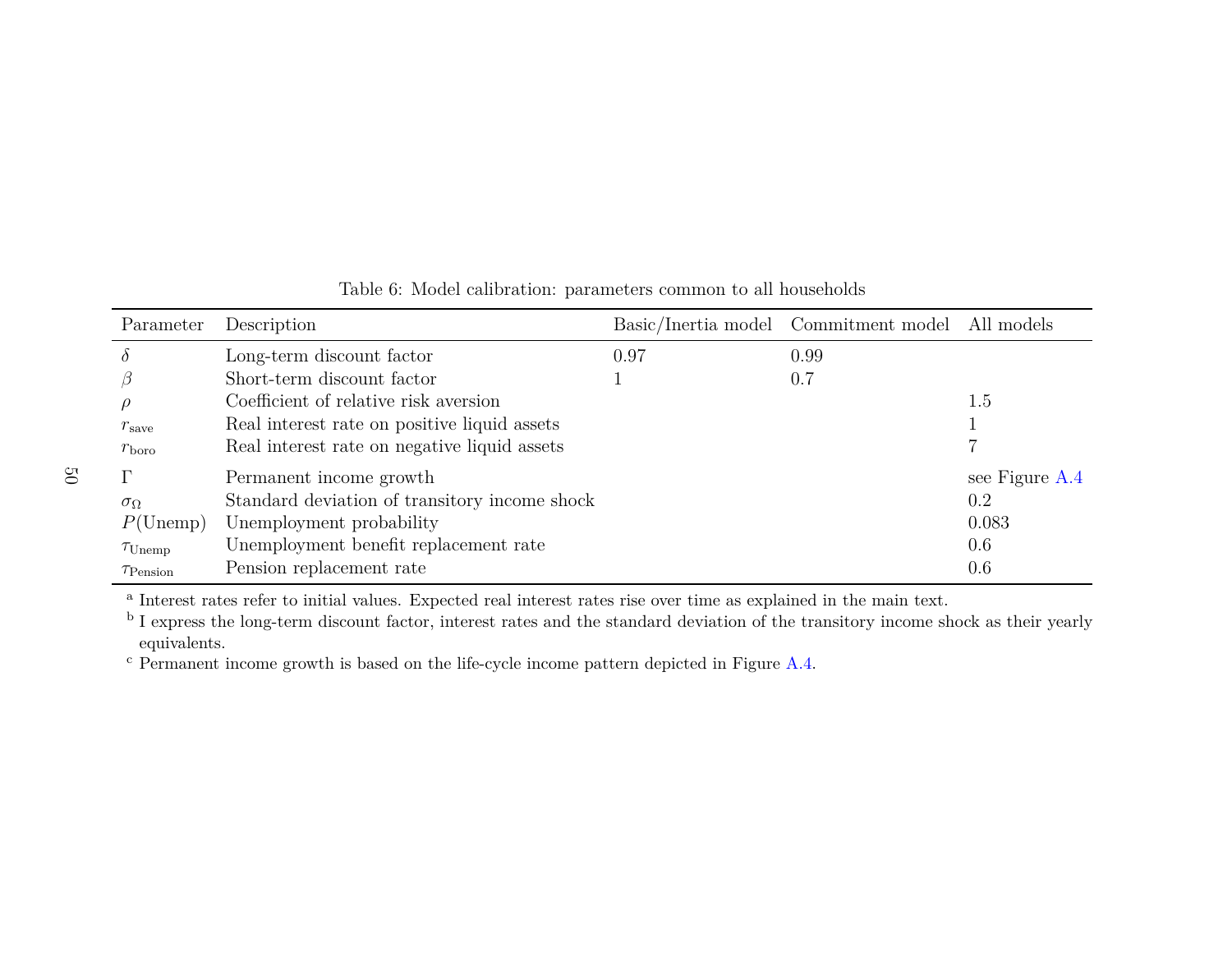| Parameter               | Description                                   |      | Basic/Inertia model Commitment model All models |                |
|-------------------------|-----------------------------------------------|------|-------------------------------------------------|----------------|
| $\theta$                | Long-term discount factor                     | 0.97 | 0.99                                            |                |
|                         | Short-term discount factor                    |      | 0.7                                             |                |
|                         | Coefficient of relative risk aversion         |      |                                                 | 1.5            |
| $r_{\rm save}$          | Real interest rate on positive liquid assets  |      |                                                 |                |
| $r_{\rm boro}$          | Real interest rate on negative liquid assets  |      |                                                 |                |
|                         | Permanent income growth                       |      |                                                 | see Figure A.4 |
| $\sigma_{\Omega}$       | Standard deviation of transitory income shock |      |                                                 | 0.2            |
| $P(\text{Unemp})$       | Unemployment probability                      |      |                                                 | 0.083          |
| $\tau_{\text{Unemp}}$   | Unemployment benefit replacement rate         |      |                                                 | 0.6            |
| $\tau_{\text{Pension}}$ | Pension replacement rate                      |      |                                                 | 0.6            |

# Table 6: Model calibration: parameters common to all households

a Interest rates refer to initial values. Expected real interest rates rise over time as explained in the main text.

<sup>b</sup> I express the long-term discount factor, interest rates and the standard deviation of the transitory income shock as their yearly equivalents.

<span id="page-49-0"></span> $\rm ^c$  Permanent income growth is based on the life-cycle income pattern depicted in Figure [A.4.](#page-61-1)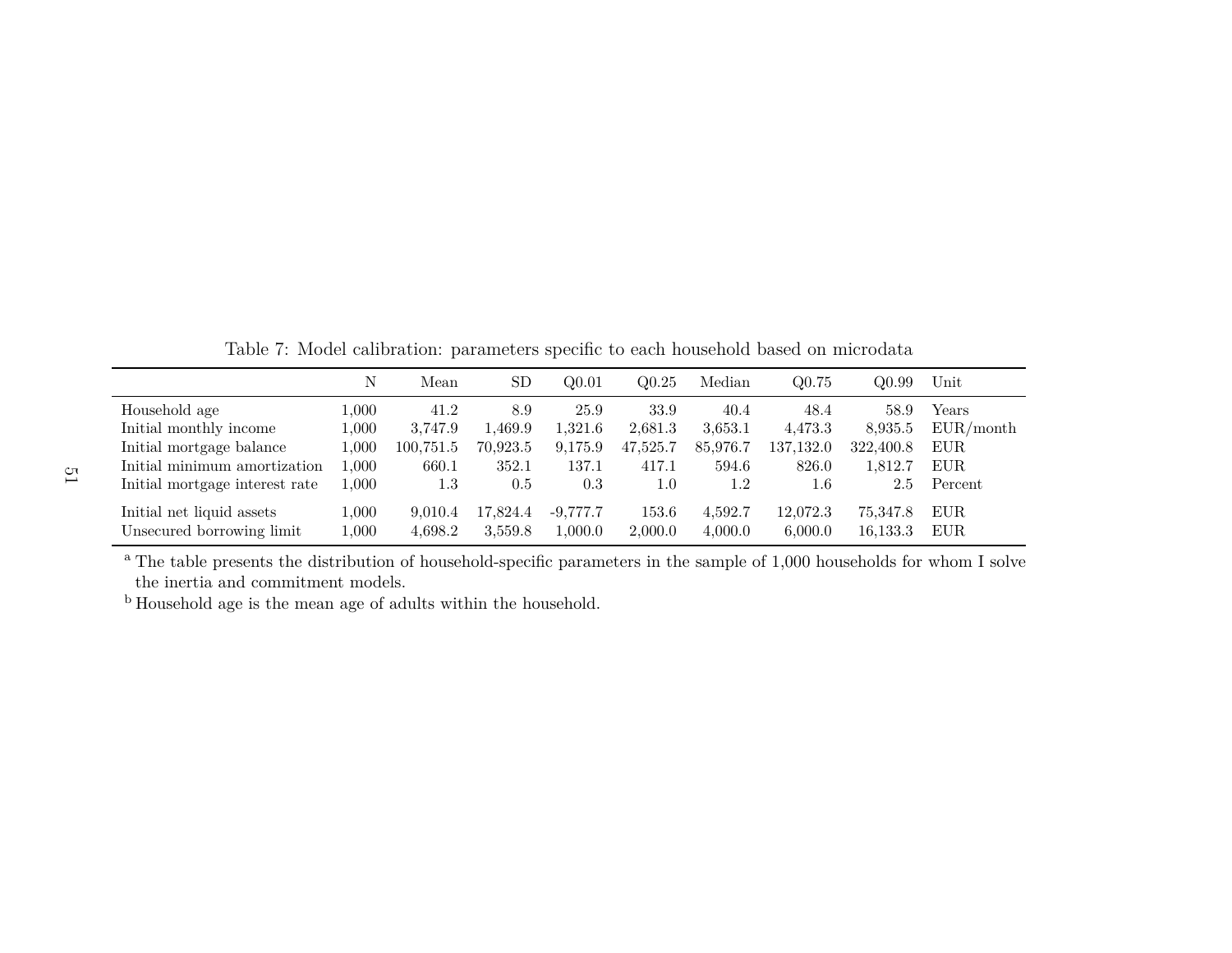Table 7: Model calibration: parameters specific to each household based on microdata

|                                | Ν         | Mean      | <b>SD</b> | Q <sub>0.01</sub> | Q <sub>0.25</sub> | Median   | Q0.75     | Q0.99     | Unit       |
|--------------------------------|-----------|-----------|-----------|-------------------|-------------------|----------|-----------|-----------|------------|
| Household age                  | $1.000\,$ | 41.2      | 8.9       | 25.9              | 33.9              | 40.4     | 48.4      | 58.9      | Years      |
| Initial monthly income         | 1.000     | 3.747.9   | 1,469.9   | 1.321.6           | 2,681.3           | 3,653.1  | 4.473.3   | 8,935.5   | EUR/month  |
| Initial mortgage balance       | 1,000     | 100,751.5 | 70,923.5  | 9,175.9           | 47,525.7          | 85,976.7 | 137,132.0 | 322,400.8 | <b>EUR</b> |
| Initial minimum amortization   | 1.000     | 660.1     | 352.1     | 137.1             | 417.1             | 594.6    | 826.0     | 1,812.7   | EUR.       |
| Initial mortgage interest rate | 1.000     | 1.3       | 0.5       | 0.3               | 1.0               | 1.2      | $1.6\,$   | 2.5       | Percent    |
| Initial net liquid assets      | 1,000     | 9.010.4   | 17.824.4  | $-9,777.7$        | 153.6             | 4,592.7  | 12,072.3  | 75.347.8  | EUR.       |
| Unsecured borrowing limit      | 1,000     | 4,698.2   | 3,559.8   | 0.000,            | 2,000.0           | 4,000.0  | 6,000.0   | 16,133.3  | EUR.       |

<sup>a</sup> The table presents the distribution of household-specific parameters in the sample of 1,000 households for whom I solve the inertia and commitment models.

<span id="page-50-0"></span><sup>b</sup> Household age is the mean age of adults within the household.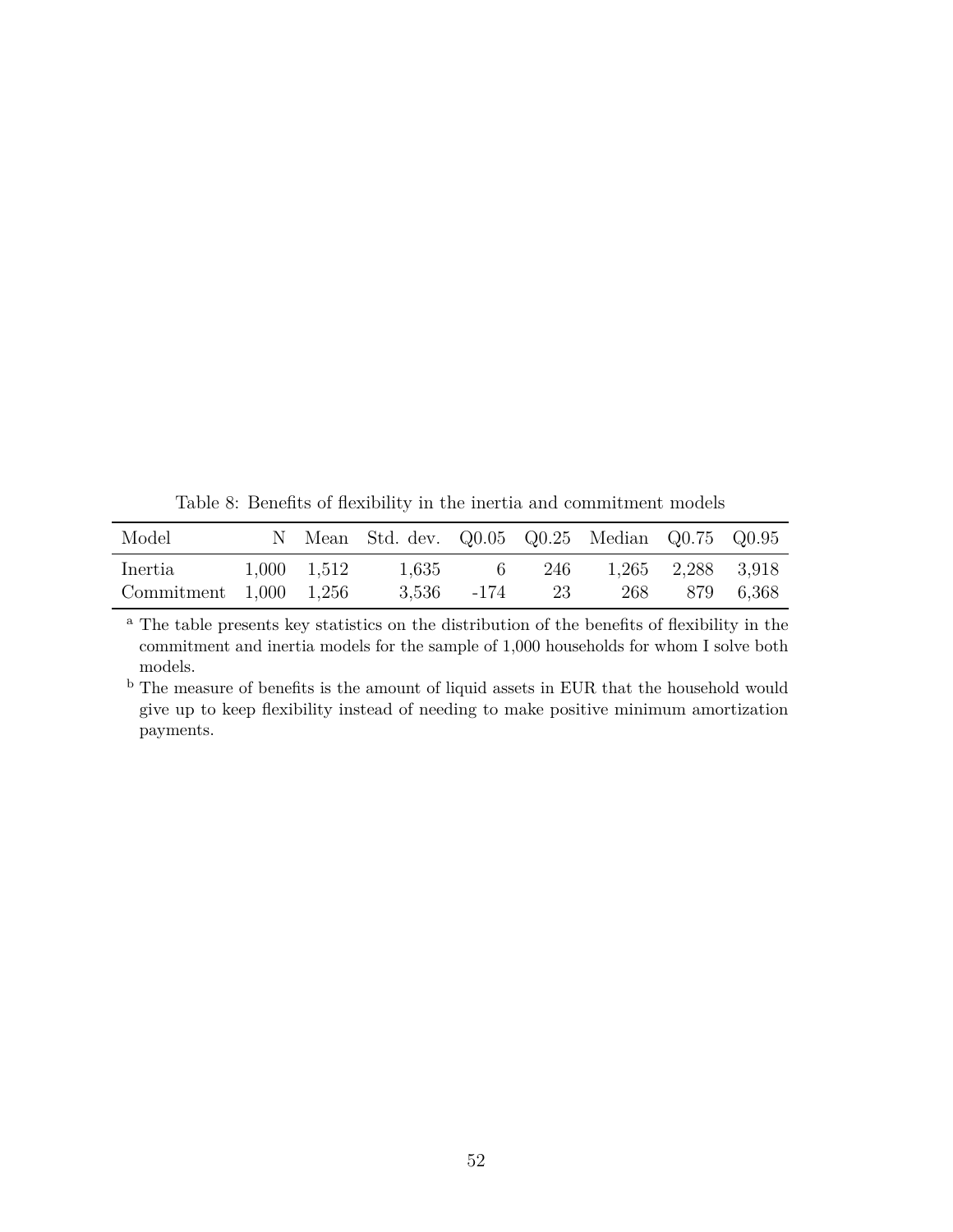Table 8: Benefits of flexibility in the inertia and commitment models

<span id="page-51-0"></span>

| Model                                 |                     | N Mean Std. dev. Q0.05 Q0.25 Median Q0.75 Q0.95 |                     |                               |               |  |
|---------------------------------------|---------------------|-------------------------------------------------|---------------------|-------------------------------|---------------|--|
| Inertia<br>Commitment $1,000$ $1,256$ | $1,000 \quad 1,512$ |                                                 | $3,536$ $-174$ $23$ | 1,635 6 246 1,265 2,288 3,918 | 268 879 6,368 |  |

<sup>a</sup> The table presents key statistics on the distribution of the benefits of flexibility in the commitment and inertia models for the sample of 1,000 households for whom I solve both models.

 $^{\rm b}$  The measure of benefits is the amount of liquid assets in EUR that the household would give up to keep flexibility instead of needing to make positive minimum amortization payments.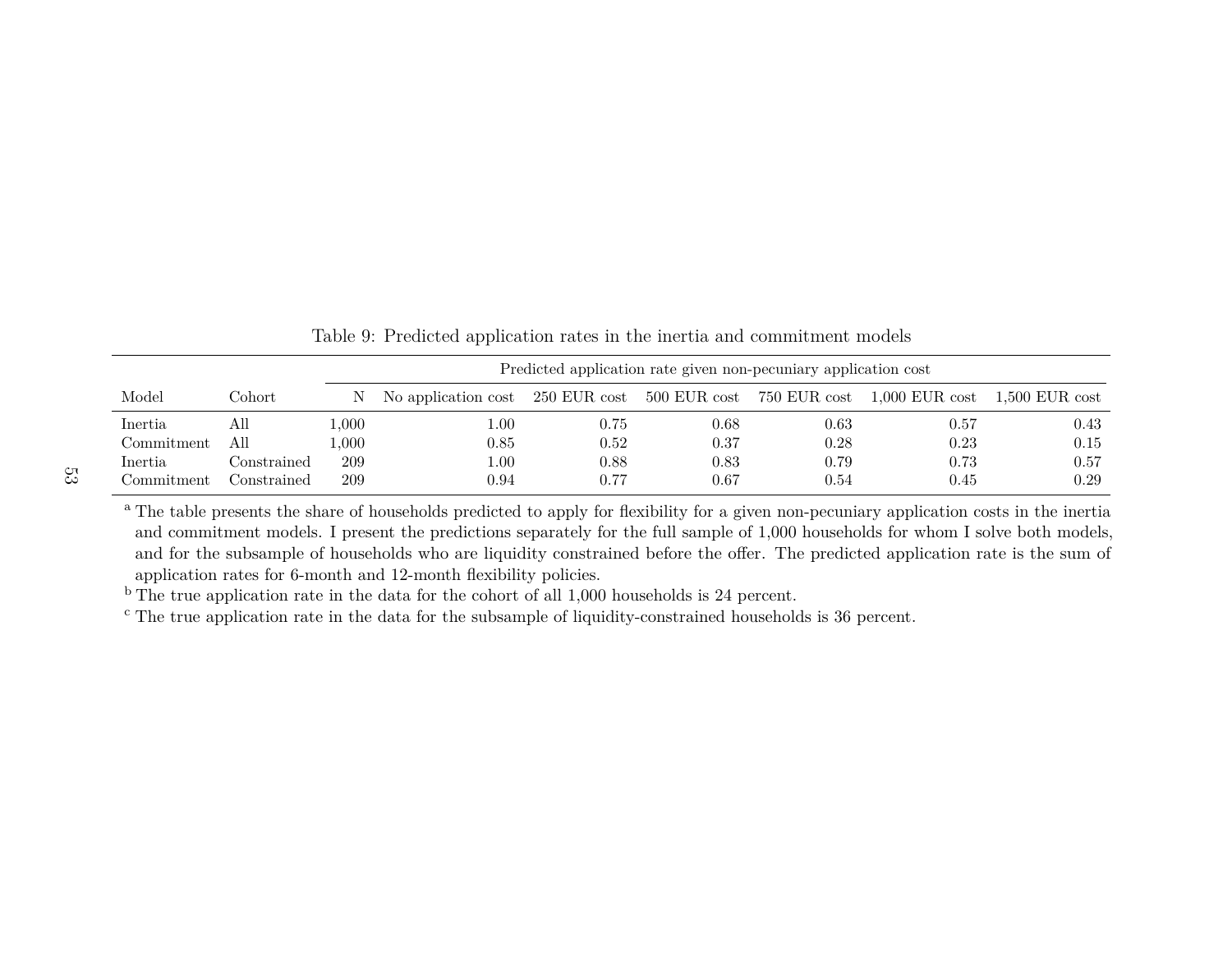|                |             |       | Predicted application rate given non-pecuniary application cost           |          |      |            |            |                  |  |  |  |  |
|----------------|-------------|-------|---------------------------------------------------------------------------|----------|------|------------|------------|------------------|--|--|--|--|
| Model          | Cohort      | N.    | No application cost 250 EUR cost 500 EUR cost 750 EUR cost 1,000 EUR cost |          |      |            |            | $1,500$ EUR cost |  |  |  |  |
| Inertia        | All         | .000. | 00.1                                                                      | 0.75     | 0.68 | $\rm 0.63$ | $\rm 0.57$ | 0.43             |  |  |  |  |
| Commitment     | All         | .000. | 0.85                                                                      | $0.52\,$ | 0.37 | 0.28       | 0.23       | 0.15             |  |  |  |  |
| <i>Inertia</i> | Constrained | 209   | 00.1                                                                      | 0.88     | 0.83 | 0.79       | 0.73       | 0.57             |  |  |  |  |
| Commitment     | Constrained | 209   | 0.94                                                                      | 0.77     | 0.67 | 0.54       | $0.45\,$   | 0.29             |  |  |  |  |

<span id="page-52-0"></span>Table 9: Predicted application rates in the inertia and commitment models

<sup>a</sup> The table presents the share of households predicted to apply for flexibility for a given non-pecuniary application costs in the inertia and commitment models. I present the predictions separately for the full sample of 1,000 households for whom I solve both models, and for the subsample of households who are liquidity constrained before the offer. The predicted application rate is the sum ofapplication rates for 6-month and 12-month flexibility policies.

 $b$  The true application rate in the data for the cohort of all 1,000 households is 24 percent.

<sup>c</sup> The true application rate in the data for the subsample of liquidity-constrained households is 36 percent.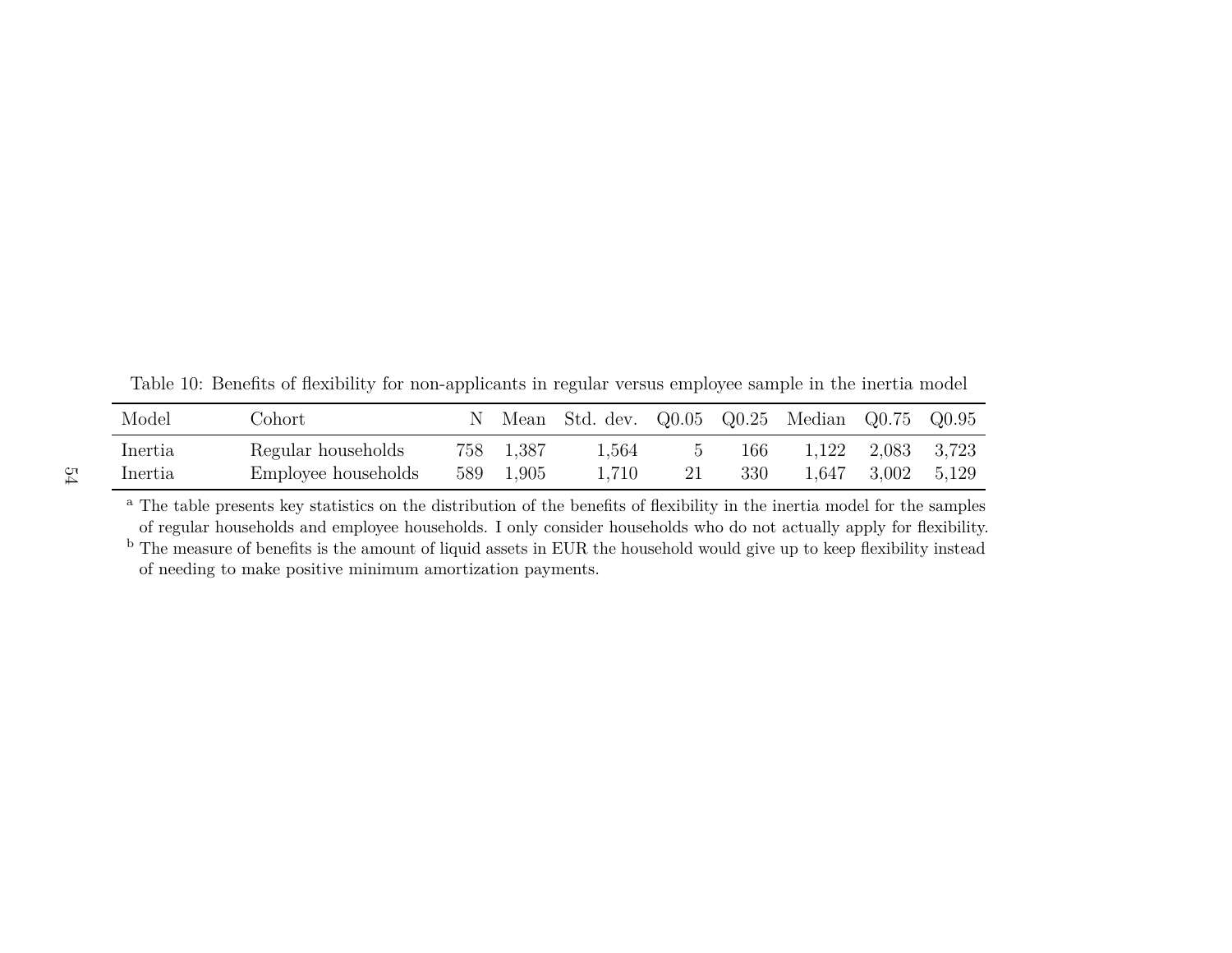<span id="page-53-0"></span>

| Model              | Johort                                    |                        | Mean Std. dev. Q0.05 Q0.25 Median Q0.75 Q0.95 |    |            |       |                   |             |
|--------------------|-------------------------------------------|------------------------|-----------------------------------------------|----|------------|-------|-------------------|-------------|
| Inertia<br>Inertia | Regular households<br>Employee households | 758 1.387<br>589 1,905 | 1,564<br>1,710                                | 21 | 166<br>330 | 1,647 | 1,122 2,083 3,723 | 3,002 5,129 |

Table 10: Benefits of flexibility for non-applicants in regular versus employee sample in the inertia model

<sup>a</sup> The table presents key statistics on the distribution of the benefits of flexibility in the inertia model for the samples of regular households and employee households. I only consider households who do not actually apply for flexibility.<sup>b</sup> The measure of benefits is the amount of liquid assets in EUR the household would give up to keep flexibility instead

of needing to make positive minimum amortization payments.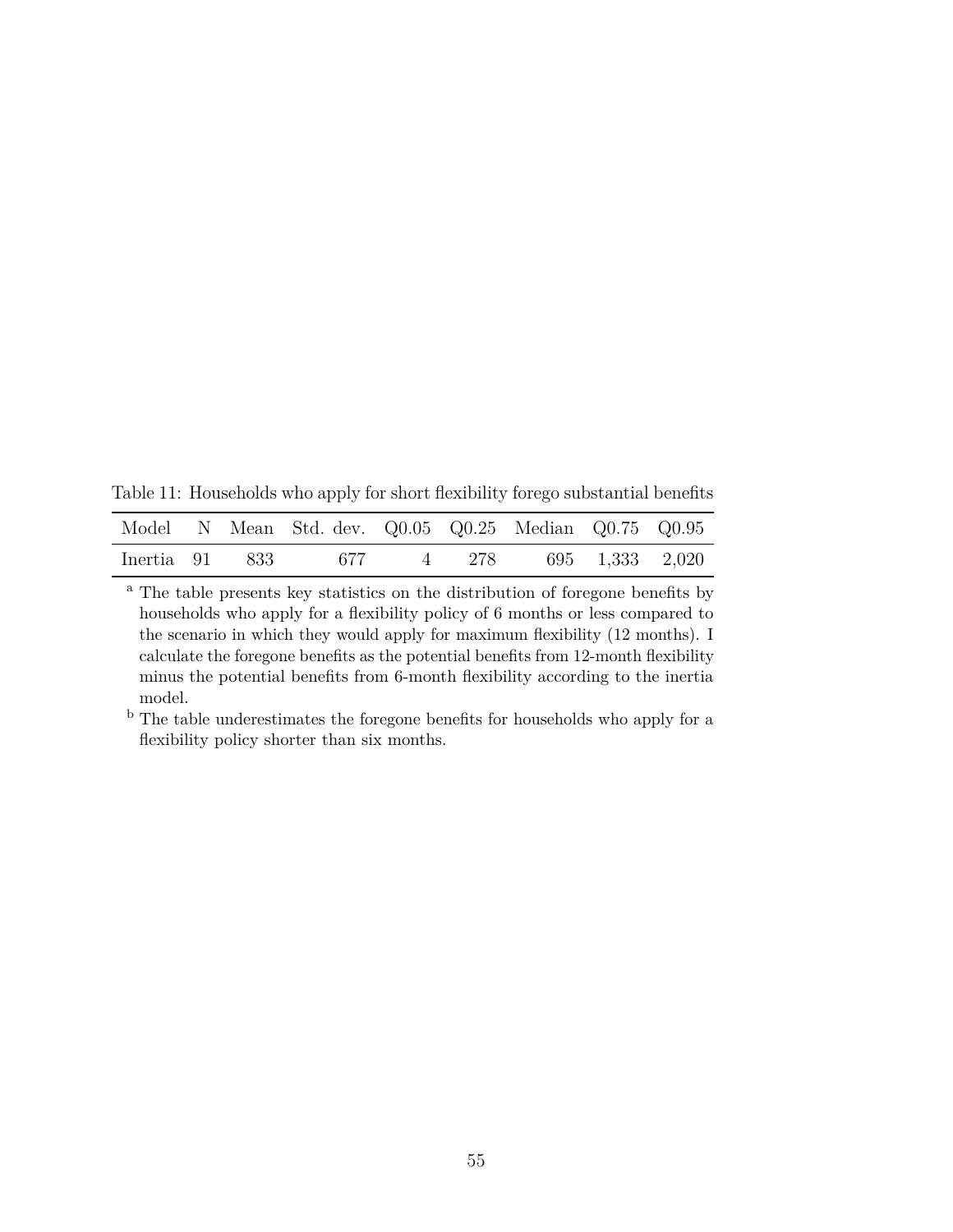<span id="page-54-0"></span>Table 11: Households who apply for short flexibility forego substantial benefits

|                |  | Model N Mean Std. dev. Q0.05 Q0.25 Median Q0.75 Q0.95 |  |  |  |
|----------------|--|-------------------------------------------------------|--|--|--|
| Inertia 91 833 |  | 677 4 278 695 1,333 2,020                             |  |  |  |

<sup>a</sup> The table presents key statistics on the distribution of foregone benefits by households who apply for a flexibility policy of 6 months or less compared to the scenario in which they would apply for maximum flexibility (12 months). I calculate the foregone benefits as the potential benefits from 12-month flexibility minus the potential benefits from 6-month flexibility according to the inertia model.

<sup>b</sup> The table underestimates the foregone benefits for households who apply for a flexibility policy shorter than six months.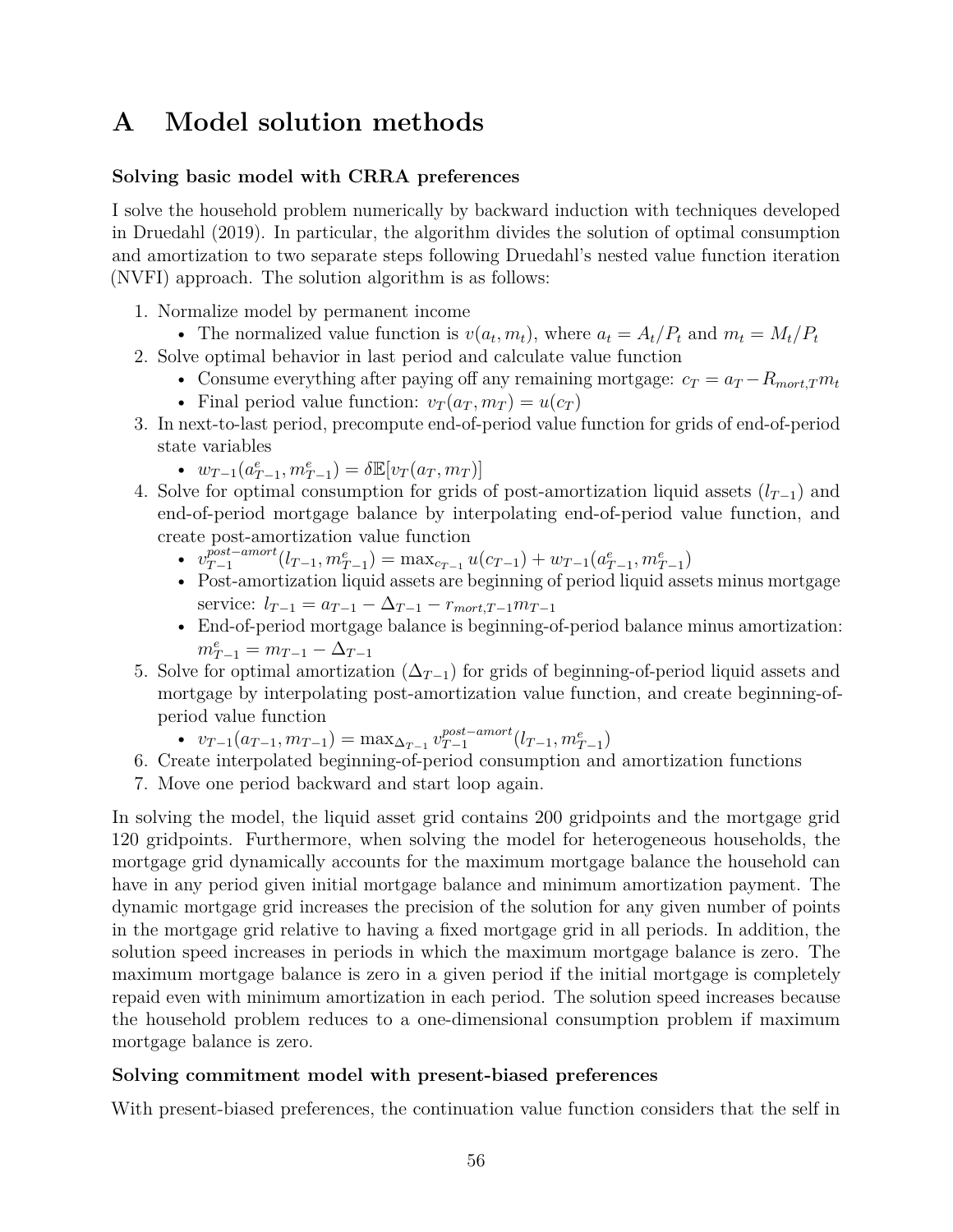# <span id="page-55-0"></span>**A Model solution methods**

### **Solving basic model with CRRA preferences**

I solve the household problem numerically by backward induction with techniques developed in Druedahl (2019). In particular, the algorithm divides the solution of optimal consumption and amortization to two separate steps following Druedahl's nested value function iteration (NVFI) approach. The solution algorithm is as follows:

- 1. Normalize model by permanent income
	- The normalized value function is  $v(a_t, m_t)$ , where  $a_t = A_t/P_t$  and  $m_t = M_t/P_t$
- 2. Solve optimal behavior in last period and calculate value function
	- Consume everything after paying off any remaining mortgage:  $c_T = a_T R_{mort,T}m_t$
	- Final period value function:  $v_T(a_T, m_T) = u(c_T)$
- 3. In next-to-last period, precompute end-of-period value function for grids of end-of-period state variables
	- $w_{T-1}(a_{T-1}^e, m_{T-1}^e) = \delta \mathbb{E}[v_T(a_T, m_T)]$
- 4. Solve for optimal consumption for grids of post-amortization liquid assets  $(l_{T-1})$  and end-of-period mortgage balance by interpolating end-of-period value function, and create post-amortization value function
	- $v_{T-1}^{post-amort}$  $\frac{post-amort}{T-1}(l_{T-1}, m_{T-1}^e) = \max_{c_{T-1}} u(c_{T-1}) + w_{T-1}(a_{T-1}^e, m_{T-1}^e)$
	- Post-amortization liquid assets are beginning of period liquid assets minus mortgage service:  $l_{T-1} = a_{T-1} - \Delta_{T-1} - r_{mort,T-1}m_{T-1}$
	- End-of-period mortgage balance is beginning-of-period balance minus amortization:  $m_{T-1}^e = m_{T-1} - \Delta_{T-1}$
- 5. Solve for optimal amortization  $(\Delta_{T-1})$  for grids of beginning-of-period liquid assets and mortgage by interpolating post-amortization value function, and create beginning-ofperiod value function
	- $v_{T-1}(a_{T-1}, m_{T-1}) = \max_{\Delta_{T-1}} v_{T-1}^{post-amort}$  $_{T-1}^{post-amort}(l_{T-1}, m_{T-1}^e)$
- 6. Create interpolated beginning-of-period consumption and amortization functions
- 7. Move one period backward and start loop again.

In solving the model, the liquid asset grid contains 200 gridpoints and the mortgage grid 120 gridpoints. Furthermore, when solving the model for heterogeneous households, the mortgage grid dynamically accounts for the maximum mortgage balance the household can have in any period given initial mortgage balance and minimum amortization payment. The dynamic mortgage grid increases the precision of the solution for any given number of points in the mortgage grid relative to having a fixed mortgage grid in all periods. In addition, the solution speed increases in periods in which the maximum mortgage balance is zero. The maximum mortgage balance is zero in a given period if the initial mortgage is completely repaid even with minimum amortization in each period. The solution speed increases because the household problem reduces to a one-dimensional consumption problem if maximum mortgage balance is zero.

#### **Solving commitment model with present-biased preferences**

With present-biased preferences, the continuation value function considers that the self in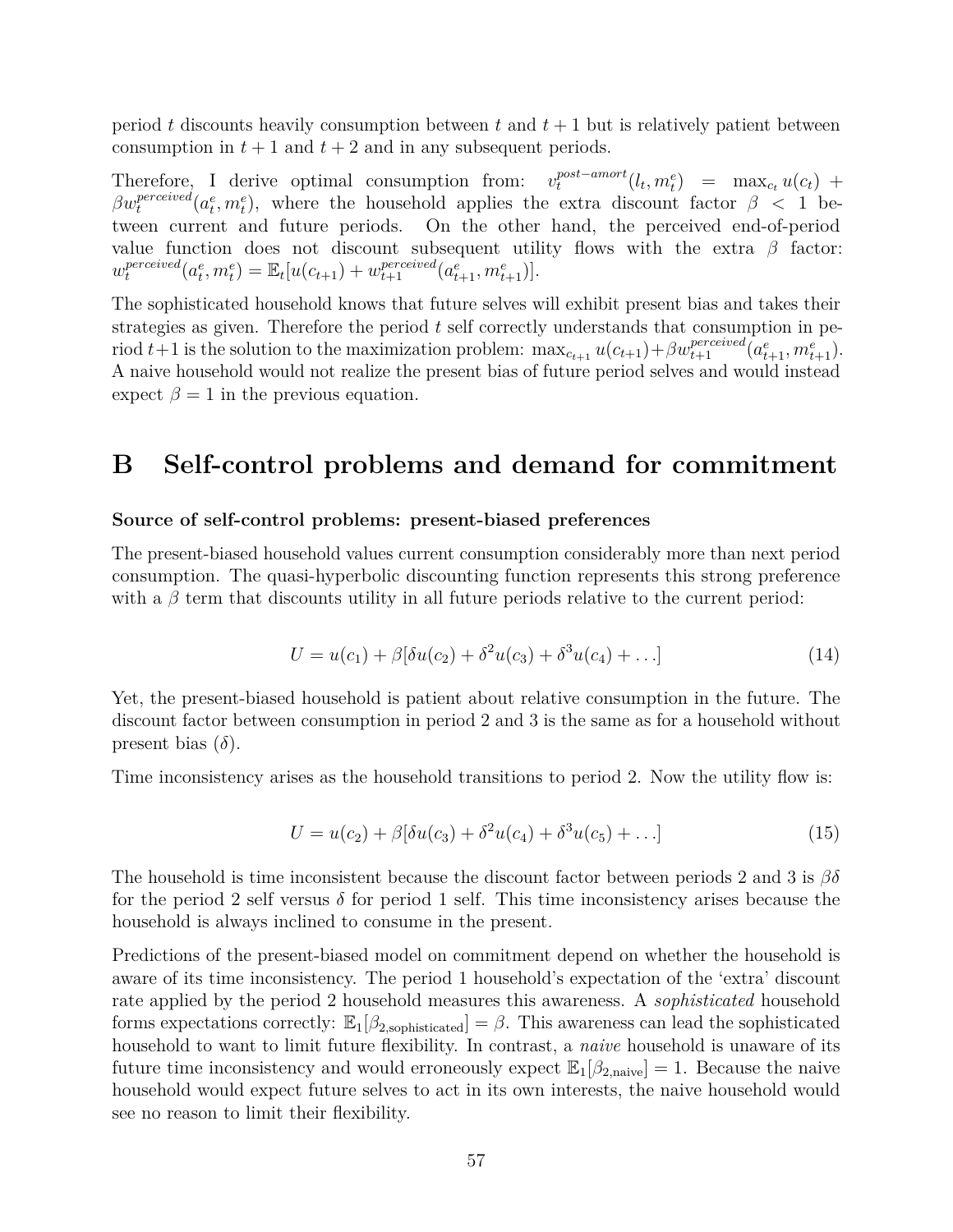period *t* discounts heavily consumption between *t* and *t* + 1 but is relatively patient between consumption in  $t + 1$  and  $t + 2$  and in any subsequent periods.

Therefore, I derive optimal consumption from:  $v_t^{post-amort}$  $\int_{t}^{post-amort} (l_t, m_t^e) = \max_{c_t} u(c_t) + \int_{t}^{t}$  $\beta w_t^{perceived}(a_t^e, m_t^e)$ , where the household applies the extra discount factor  $\beta$  < 1 between current and future periods. On the other hand, the perceived end-of-period value function does not discount subsequent utility flows with the extra  $\beta$  factor: *w perceived*  $\mathbb{E}_{t} [u(c_{t+1}) + w_{t+1}^{perceived}(a_{t+1}^{e}, m_{t+1}^{e})].$ 

The sophisticated household knows that future selves will exhibit present bias and takes their strategies as given. Therefore the period *t* self correctly understands that consumption in period  $t+1$  is the solution to the maximization problem:  $\max_{c_{t+1}} u(c_{t+1}) + \beta w_{t+1}^{perceived}(a_{t+1}^e, m_{t+1}^e)$ . A naive household would not realize the present bias of future period selves and would instead expect  $\beta = 1$  in the previous equation.

# <span id="page-56-0"></span>**B Self-control problems and demand for commitment**

#### **Source of self-control problems: present-biased preferences**

The present-biased household values current consumption considerably more than next period consumption. The quasi-hyperbolic discounting function represents this strong preference with a  $\beta$  term that discounts utility in all future periods relative to the current period:

$$
U = u(c_1) + \beta[\delta u(c_2) + \delta^2 u(c_3) + \delta^3 u(c_4) + \dots]
$$
\n(14)

Yet, the present-biased household is patient about relative consumption in the future. The discount factor between consumption in period 2 and 3 is the same as for a household without present bias  $(\delta)$ .

Time inconsistency arises as the household transitions to period 2. Now the utility flow is:

$$
U = u(c_2) + \beta[\delta u(c_3) + \delta^2 u(c_4) + \delta^3 u(c_5) + \ldots] \tag{15}
$$

The household is time inconsistent because the discount factor between periods 2 and 3 is *βδ* for the period 2 self versus  $\delta$  for period 1 self. This time inconsistency arises because the household is always inclined to consume in the present.

Predictions of the present-biased model on commitment depend on whether the household is aware of its time inconsistency. The period 1 household's expectation of the 'extra' discount rate applied by the period 2 household measures this awareness. A *sophisticated* household forms expectations correctly:  $\mathbb{E}_1[\beta_{2,\text{sophisticated}}] = \beta$ . This awareness can lead the sophisticated household to want to limit future flexibility. In contrast, a *naive* household is unaware of its future time inconsistency and would erroneously expect  $\mathbb{E}_{1}[\beta_{2,\text{naive}}] = 1$ . Because the naive household would expect future selves to act in its own interests, the naive household would see no reason to limit their flexibility.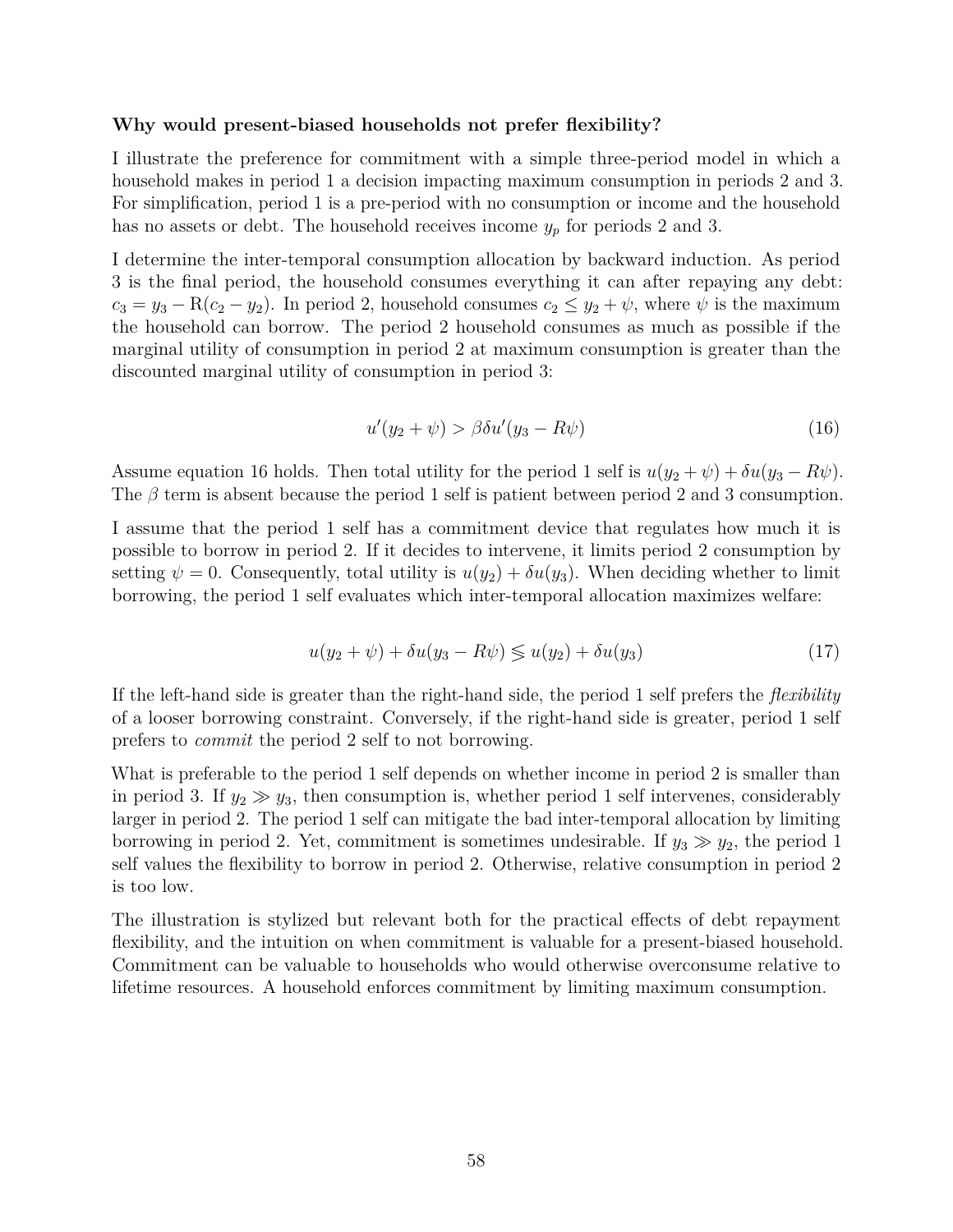#### **Why would present-biased households not prefer flexibility?**

I illustrate the preference for commitment with a simple three-period model in which a household makes in period 1 a decision impacting maximum consumption in periods 2 and 3. For simplification, period 1 is a pre-period with no consumption or income and the household has no assets or debt. The household receives income *y<sup>p</sup>* for periods 2 and 3.

I determine the inter-temporal consumption allocation by backward induction. As period 3 is the final period, the household consumes everything it can after repaying any debt:  $c_3 = y_3 - R(c_2 - y_2)$ . In period 2, household consumes  $c_2 \le y_2 + \psi$ , where  $\psi$  is the maximum the household can borrow. The period 2 household consumes as much as possible if the marginal utility of consumption in period 2 at maximum consumption is greater than the discounted marginal utility of consumption in period 3:

$$
u'(y_2 + \psi) > \beta \delta u'(y_3 - R\psi)
$$
\n(16)

Assume equation 16 holds. Then total utility for the period 1 self is  $u(y_2 + \psi) + \delta u(y_3 - R\psi)$ . The *β* term is absent because the period 1 self is patient between period 2 and 3 consumption.

I assume that the period 1 self has a commitment device that regulates how much it is possible to borrow in period 2. If it decides to intervene, it limits period 2 consumption by setting  $\psi = 0$ . Consequently, total utility is  $u(y_2) + \delta u(y_3)$ . When deciding whether to limit borrowing, the period 1 self evaluates which inter-temporal allocation maximizes welfare:

$$
u(y_2 + \psi) + \delta u(y_3 - R\psi) \lessgtr u(y_2) + \delta u(y_3)
$$
\n
$$
(17)
$$

If the left-hand side is greater than the right-hand side, the period 1 self prefers the *flexibility* of a looser borrowing constraint. Conversely, if the right-hand side is greater, period 1 self prefers to *commit* the period 2 self to not borrowing.

What is preferable to the period 1 self depends on whether income in period 2 is smaller than in period 3. If  $y_2 \gg y_3$ , then consumption is, whether period 1 self intervenes, considerably larger in period 2. The period 1 self can mitigate the bad inter-temporal allocation by limiting borrowing in period 2. Yet, commitment is sometimes undesirable. If  $y_3 \gg y_2$ , the period 1 self values the flexibility to borrow in period 2. Otherwise, relative consumption in period 2 is too low.

The illustration is stylized but relevant both for the practical effects of debt repayment flexibility, and the intuition on when commitment is valuable for a present-biased household. Commitment can be valuable to households who would otherwise overconsume relative to lifetime resources. A household enforces commitment by limiting maximum consumption.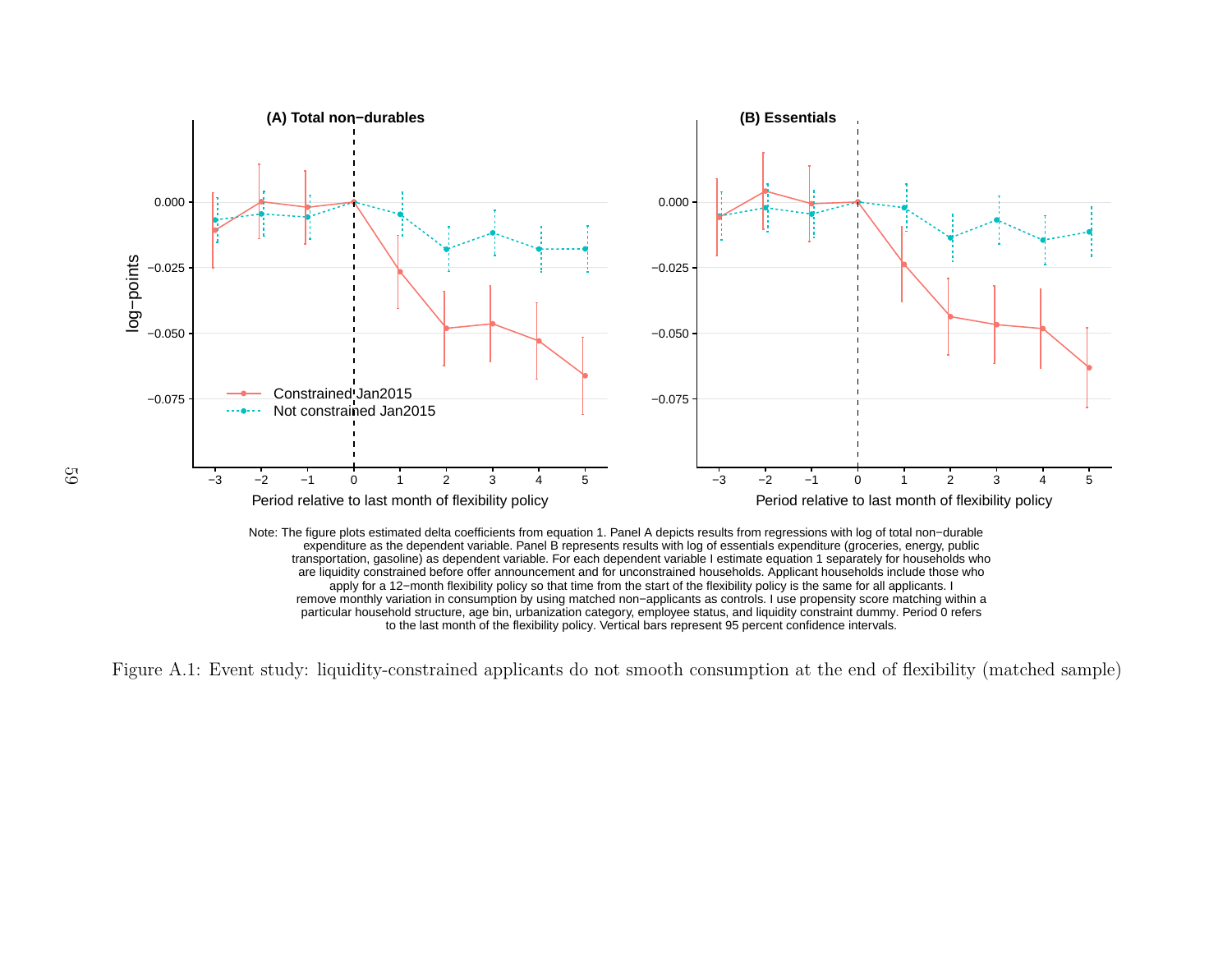<span id="page-58-1"></span>

to the last month of the flexibility policy. Vertical bars represent 95 percent confidence intervals.

<span id="page-58-0"></span>Figure A.1: Event study: liquidity-constrained applicants do not smooth consumption at the end of flexibility (matched sample)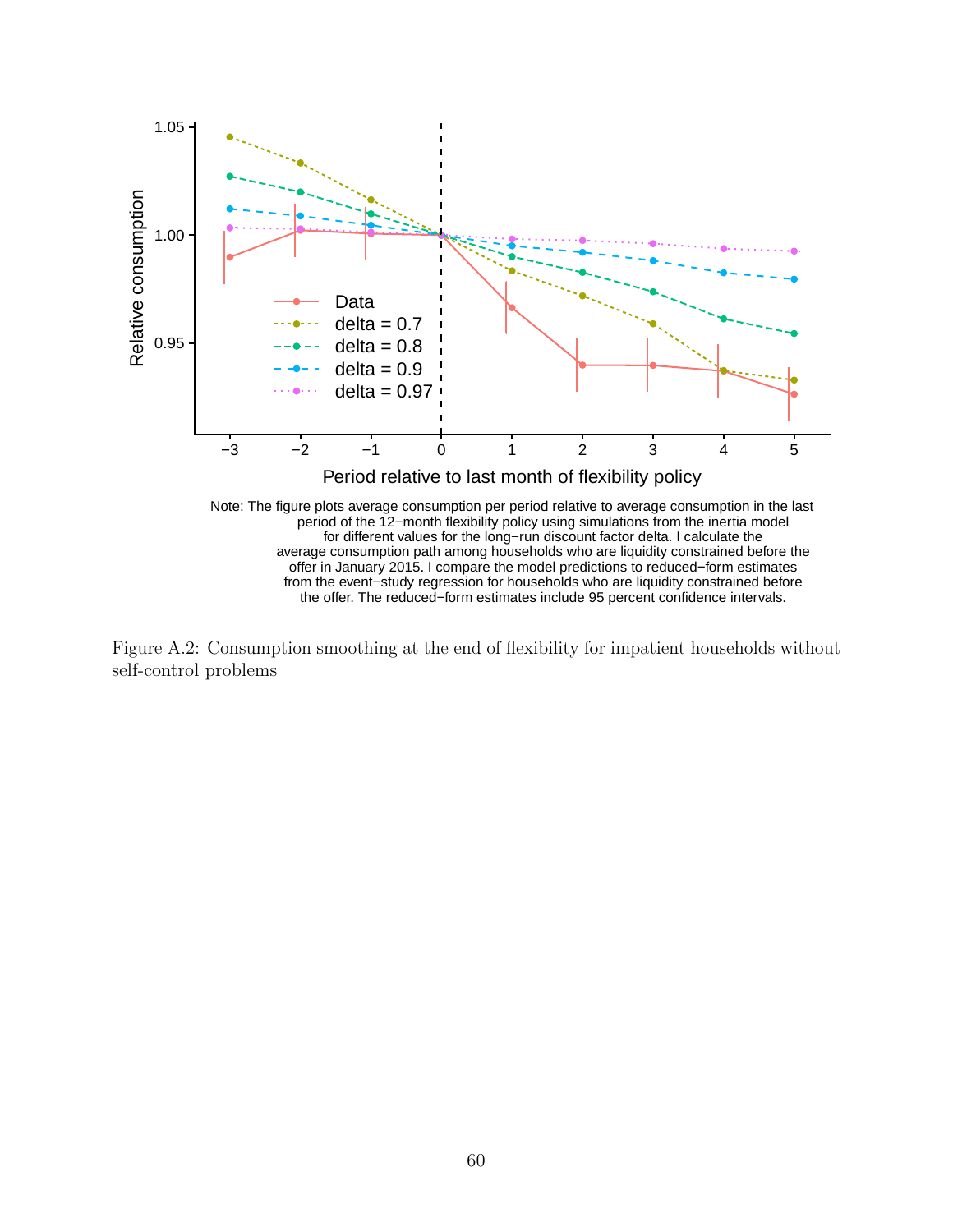

<span id="page-59-0"></span>Figure A.2: Consumption smoothing at the end of flexibility for impatient households without self-control problems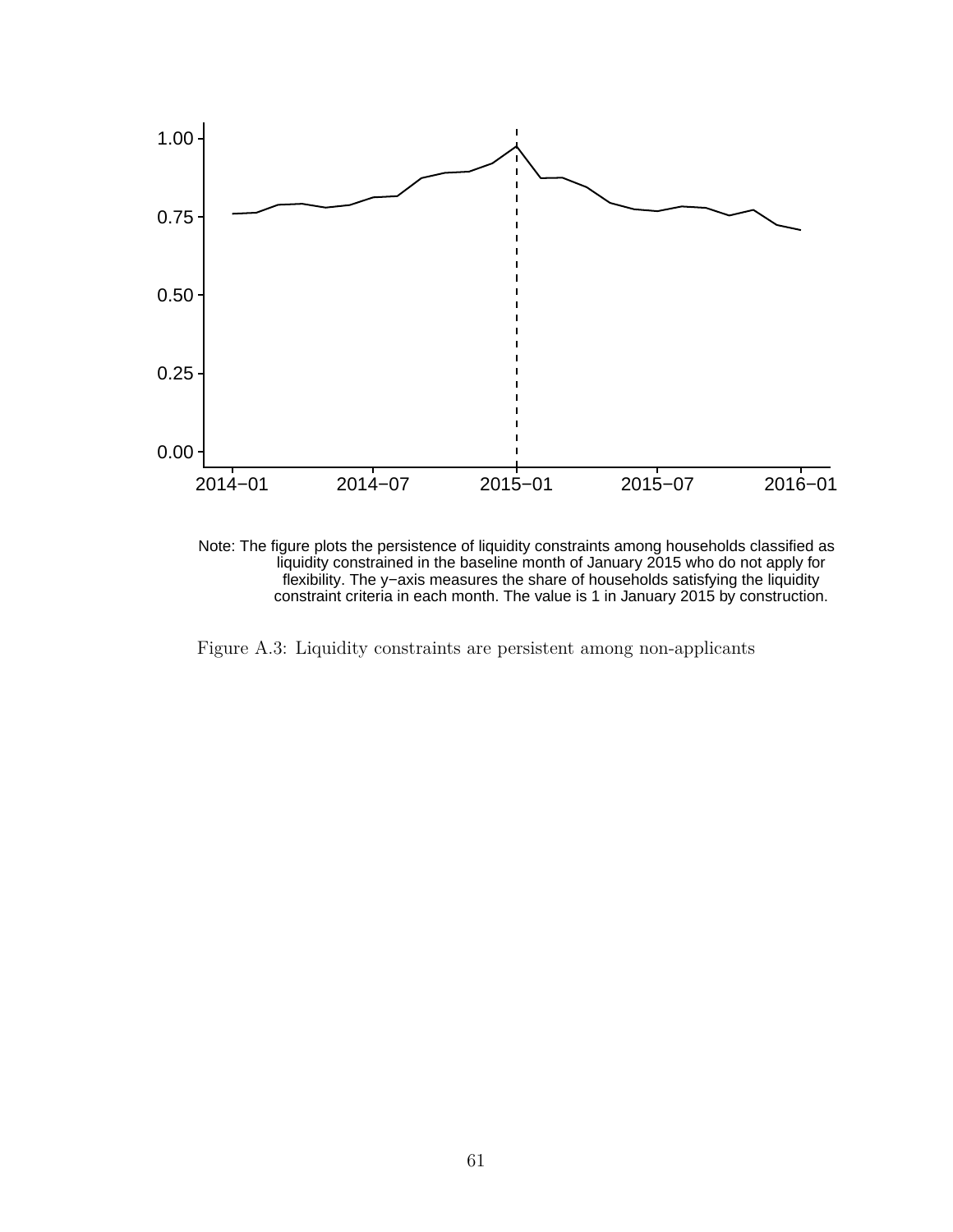



<span id="page-60-0"></span>Figure A.3: Liquidity constraints are persistent among non-applicants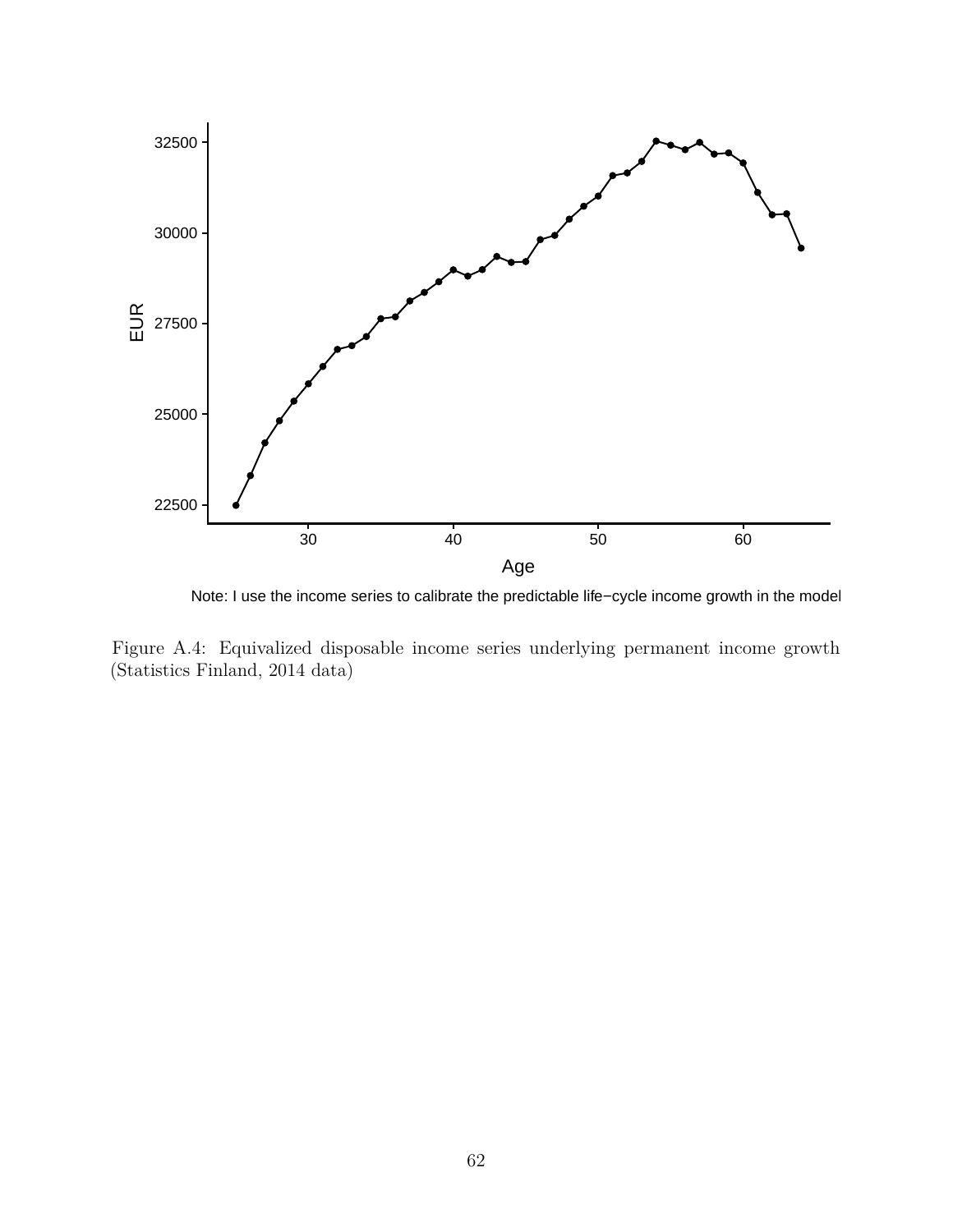<span id="page-61-1"></span>

Note: I use the income series to calibrate the predictable life−cycle income growth in the model.

<span id="page-61-0"></span>Figure A.4: Equivalized disposable income series underlying permanent income growth (Statistics Finland, 2014 data)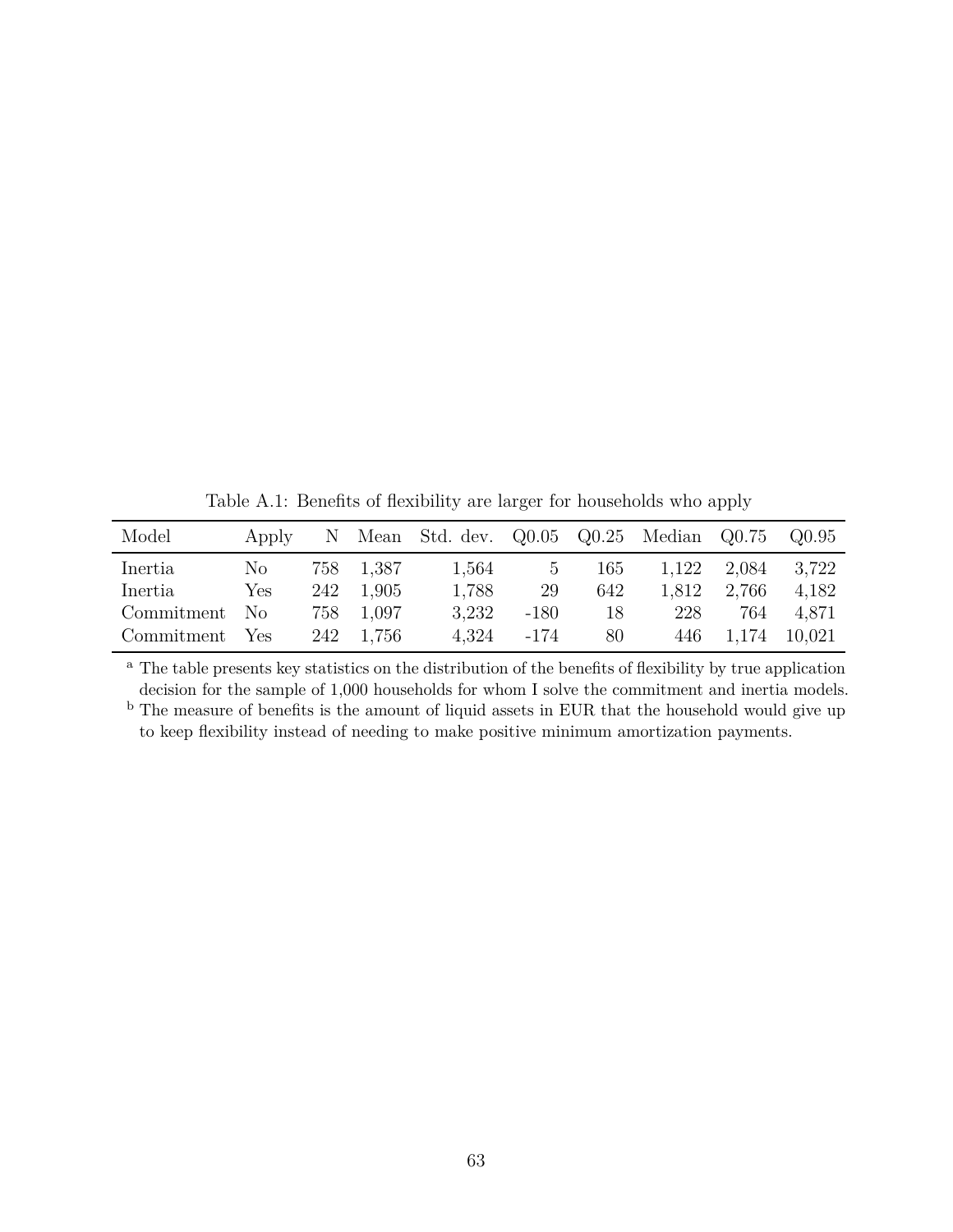Table A.1: Benefits of flexibility are larger for households who apply

<span id="page-62-0"></span>

| Model      | Apply          | N.  |           | Mean Std. dev. Q0.05 Q0.25 Median Q0.75 |        |     |       |       | Q0.95  |
|------------|----------------|-----|-----------|-----------------------------------------|--------|-----|-------|-------|--------|
| Inertia    | No.            |     | 758 1,387 | 1,564                                   | 5      | 165 | 1,122 | 2,084 | 3,722  |
| Inertia    | Yes            | 242 | 1.905     | 1,788                                   | 29     | 642 | 1,812 | 2.766 | 4,182  |
| Commitment | N <sub>o</sub> | 758 | 1,097     | 3.232                                   | $-180$ | 18  | 228   | 764   | 4,871  |
| Commitment | Yes            | 242 | 1.756     | 4,324                                   | -174   | 80  | 446.  | 1.174 | 10,021 |

<sup>a</sup> The table presents key statistics on the distribution of the benefits of flexibility by true application decision for the sample of 1,000 households for whom I solve the commitment and inertia models.

<sup>b</sup> The measure of benefits is the amount of liquid assets in EUR that the household would give up to keep flexibility instead of needing to make positive minimum amortization payments.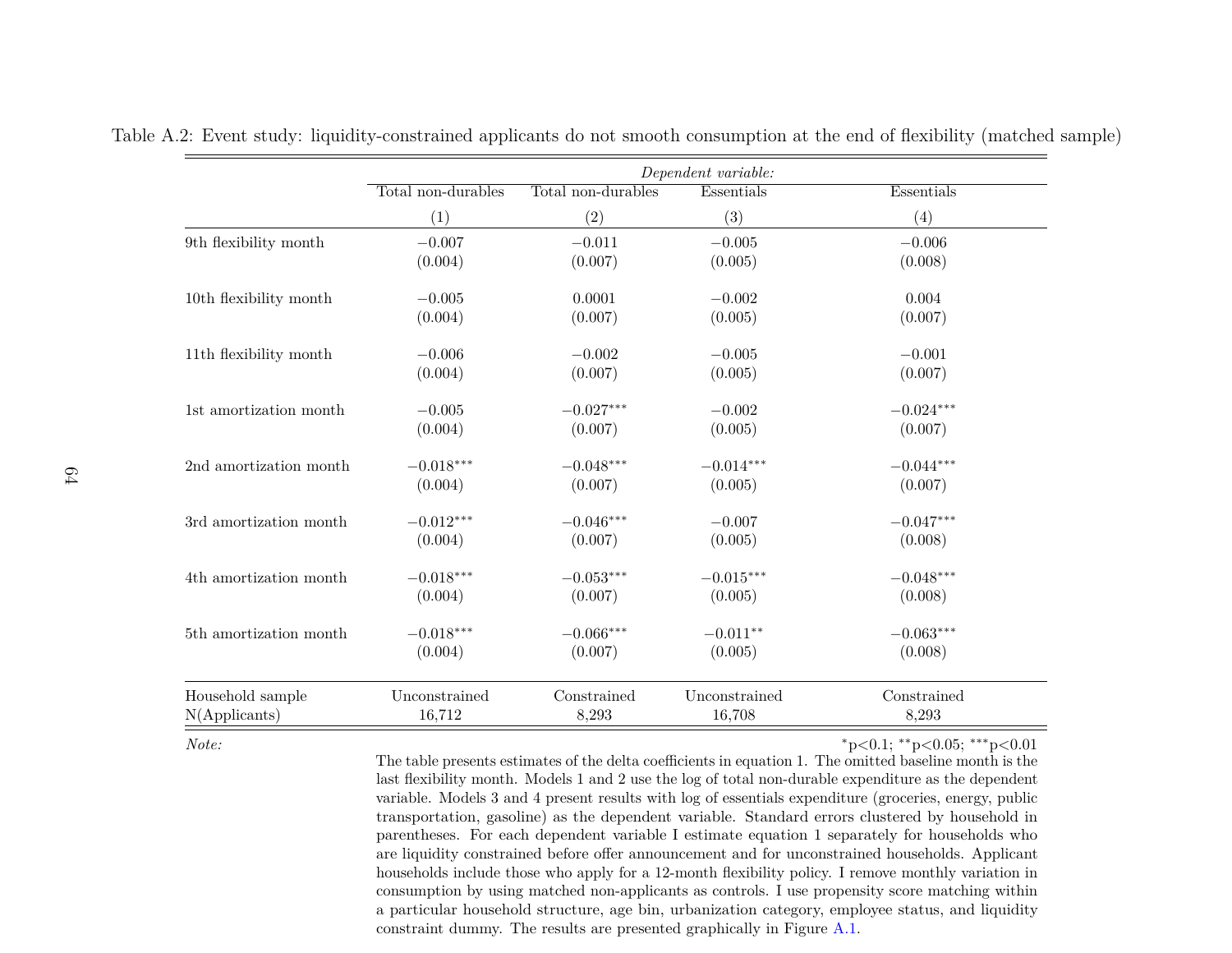|                              | Dependent variable: |                    |               |             |  |  |
|------------------------------|---------------------|--------------------|---------------|-------------|--|--|
|                              | Total non-durables  | Total non-durables | Essentials    | Essentials  |  |  |
|                              | (1)                 | (2)                | (3)           | (4)         |  |  |
| 9th flexibility month        | $-0.007$            | $-0.011$           | $-0.005$      | $-0.006$    |  |  |
|                              | (0.004)             | (0.007)            | (0.005)       | (0.008)     |  |  |
| $10\rm th$ flexibility month | $-0.005$            | 0.0001             | $-0.002$      | 0.004       |  |  |
|                              | (0.004)             | (0.007)            | (0.005)       | (0.007)     |  |  |
| 11th flexibility month       | $-0.006$            | $-0.002$           | $-0.005$      | $-0.001$    |  |  |
|                              | (0.004)             | (0.007)            | (0.005)       | (0.007)     |  |  |
| 1st amortization month       | $-0.005$            | $-0.027***$        | $-0.002$      | $-0.024***$ |  |  |
|                              | (0.004)             | (0.007)            | (0.005)       | (0.007)     |  |  |
| 2nd amortization month       | $-0.018***$         | $-0.048***$        | $-0.014***$   | $-0.044***$ |  |  |
|                              | (0.004)             | (0.007)            | (0.005)       | (0.007)     |  |  |
| 3rd amortization month       | $-0.012***$         | $-0.046***$        | $-0.007$      | $-0.047***$ |  |  |
|                              | (0.004)             | (0.007)            | (0.005)       | (0.008)     |  |  |
| 4th amortization month       | $-0.018***$         | $-0.053***$        | $-0.015***$   | $-0.048***$ |  |  |
|                              | (0.004)             | (0.007)            | (0.005)       | (0.008)     |  |  |
| 5th amortization month       | $-0.018***$         | $-0.066***$        | $-0.011**$    | $-0.063***$ |  |  |
|                              | (0.004)             | (0.007)            | (0.005)       | (0.008)     |  |  |
| Household sample             | Unconstrained       | Constrained        | Unconstrained | Constrained |  |  |
| N(Applicants)                | 16,712              | 8,293              | 16,708        | 8,293       |  |  |

<span id="page-63-0"></span>Table A.2: Event study: liquidity-constrained applicants do not smooth consumption at the end of flexibility (matched sample)

*Note:*

<sup>∗</sup>p*<*0.1; ∗∗ p*<*0.05; ∗∗∗ p*<*0.01

 The table presents estimates of the delta coefficients in equation 1. The omitted baseline month is the last flexibility month. Models 1 and 2 use the log of total non-durable expenditure as the dependent variable. Models <sup>3</sup> and <sup>4</sup> present results with log of essentials expenditure (groceries, energy, public transportation, gasoline) as the dependent variable. Standard errors clustered by household in parentheses. For each dependent variable I estimate equation 1 separately for households who are liquidity constrained before offer announcement and for unconstrained households. Applicant households include those who apply for <sup>a</sup> 12-month flexibility policy. I remove monthly variation in consumption by using matched non-applicants as controls. I use propensity score matching within <sup>a</sup> particular household structure, age bin, urbanization category, employee status, and liquidityconstraint dummy. The results are presented graphically in Figure [A.1.](#page-58-1)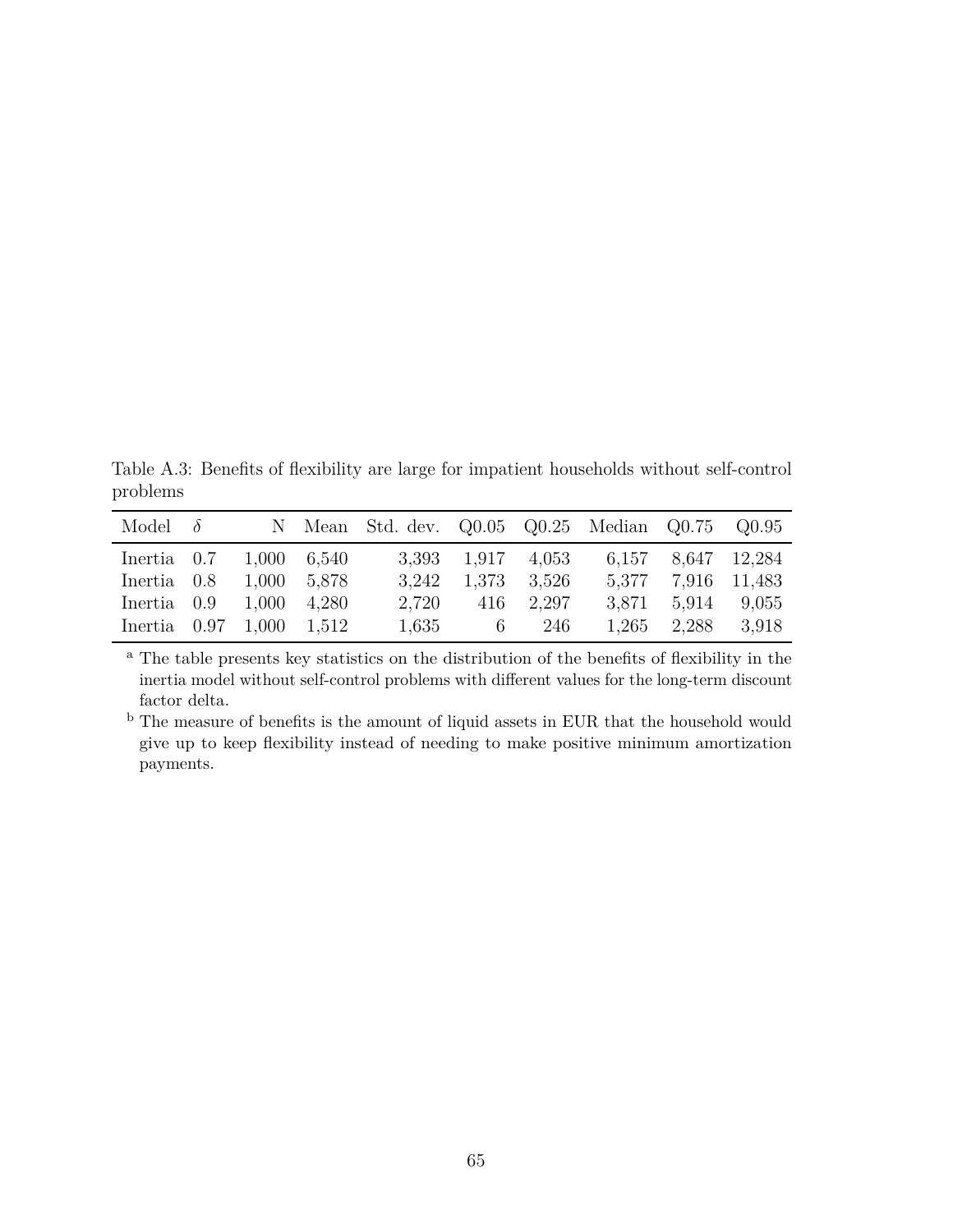<span id="page-64-0"></span>Table A.3: Benefits of flexibility are large for impatient households without self-control problems

| Model $\delta$                         |  | N Mean Std. dev. Q0.05 Q0.25 Median Q0.75 Q0.95 |                   |           |                    |                    |
|----------------------------------------|--|-------------------------------------------------|-------------------|-----------|--------------------|--------------------|
| Inertia $0.7 \quad 1,000 \quad 6,540$  |  |                                                 | 3,393 1,917 4,053 |           |                    | 6,157 8,647 12,284 |
| Inertia 0.8 1,000 5,878                |  | 3.242                                           | 1,373 3,526       |           | 5,377 7,916 11,483 |                    |
| Inertia $0.9 \quad 1,000 \quad 4,280$  |  | 2,720                                           |                   | 416 2.297 | 3,871 5,914 9,055  |                    |
| Inertia $0.97 \quad 1,000 \quad 1,512$ |  | 1,635                                           |                   | 6 246     | $1,265$ $2,288$    | 3.918              |

<sup>a</sup> The table presents key statistics on the distribution of the benefits of flexibility in the inertia model without self-control problems with different values for the long-term discount factor delta.

<sup>b</sup> The measure of benefits is the amount of liquid assets in EUR that the household would give up to keep flexibility instead of needing to make positive minimum amortization payments.